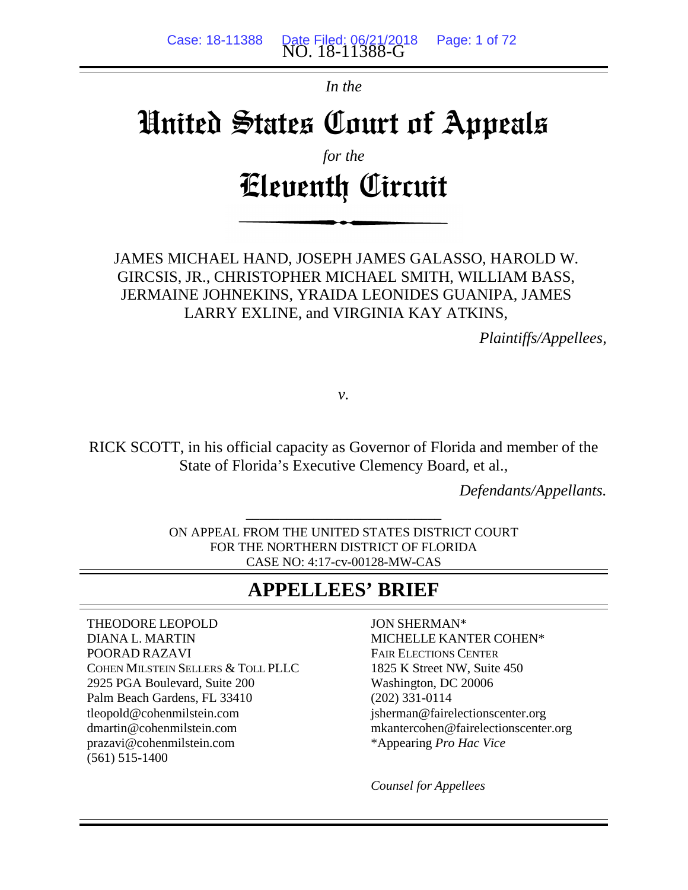*In the* 

# United States Court of Appeals

# *for the* Eleventh Circuit

JAMES MICHAEL HAND, JOSEPH JAMES GALASSO, HAROLD W. GIRCSIS, JR., CHRISTOPHER MICHAEL SMITH, WILLIAM BASS, JERMAINE JOHNEKINS, YRAIDA LEONIDES GUANIPA, JAMES LARRY EXLINE, and VIRGINIA KAY ATKINS,

*Plaintiffs/Appellees,*

*v.*

RICK SCOTT, in his official capacity as Governor of Florida and member of the State of Florida's Executive Clemency Board, et al.,

*Defendants/Appellants.*

ON APPEAL FROM THE UNITED STATES DISTRICT COURT FOR THE NORTHERN DISTRICT OF FLORIDA CASE NO: 4:17-cv-00128-MW-CAS

\_\_\_\_\_\_\_\_\_\_\_\_\_\_\_\_\_\_\_\_\_\_\_\_\_\_\_\_\_

# **APPELLEES' BRIEF**

THEODORE LEOPOLD DIANA L. MARTIN POORAD RAZAVI COHEN MILSTEIN SELLERS & TOLL PLLC 2925 PGA Boulevard, Suite 200 Palm Beach Gardens, FL 33410 tleopold@cohenmilstein.com dmartin@cohenmilstein.com prazavi@cohenmilstein.com (561) 515-1400

JON SHERMAN\* MICHELLE KANTER COHEN\* FAIR ELECTIONS CENTER 1825 K Street NW, Suite 450 Washington, DC 20006 (202) 331-0114 jsherman@fairelectionscenter.org mkantercohen@fairelectionscenter.org \*Appearing *Pro Hac Vice*

*Counsel for Appellees*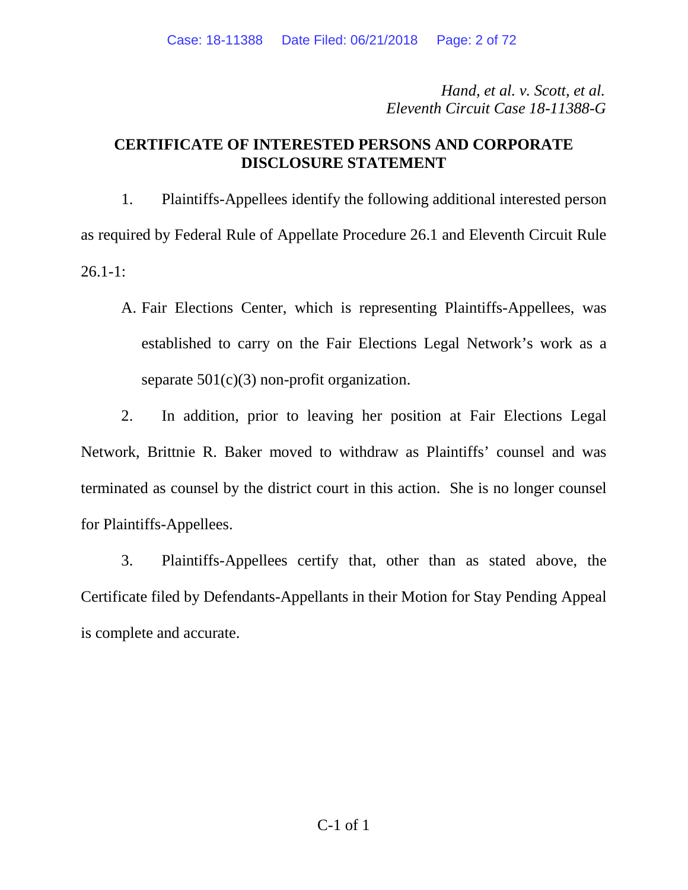*Hand, et al. v. Scott, et al. Eleventh Circuit Case 18-11388-G*

### **CERTIFICATE OF INTERESTED PERSONS AND CORPORATE DISCLOSURE STATEMENT**

1. Plaintiffs-Appellees identify the following additional interested person as required by Federal Rule of Appellate Procedure 26.1 and Eleventh Circuit Rule  $26.1 - 1:$ 

A. Fair Elections Center, which is representing Plaintiffs-Appellees, was established to carry on the Fair Elections Legal Network's work as a separate  $501(c)(3)$  non-profit organization.

2. In addition, prior to leaving her position at Fair Elections Legal Network, Brittnie R. Baker moved to withdraw as Plaintiffs' counsel and was terminated as counsel by the district court in this action. She is no longer counsel for Plaintiffs-Appellees.

3. Plaintiffs-Appellees certify that, other than as stated above, the Certificate filed by Defendants-Appellants in their Motion for Stay Pending Appeal is complete and accurate.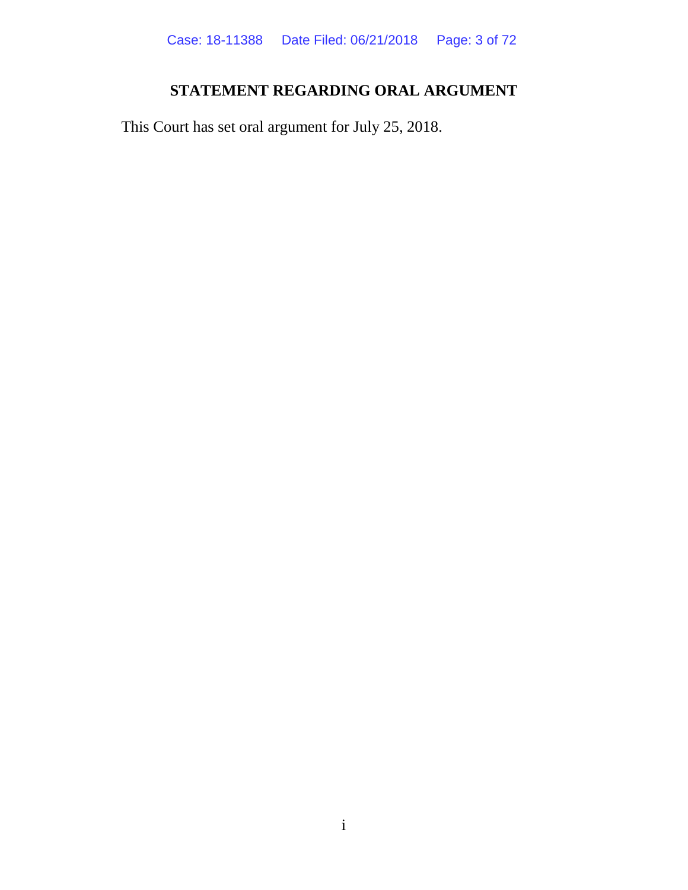# **STATEMENT REGARDING ORAL ARGUMENT**

This Court has set oral argument for July 25, 2018.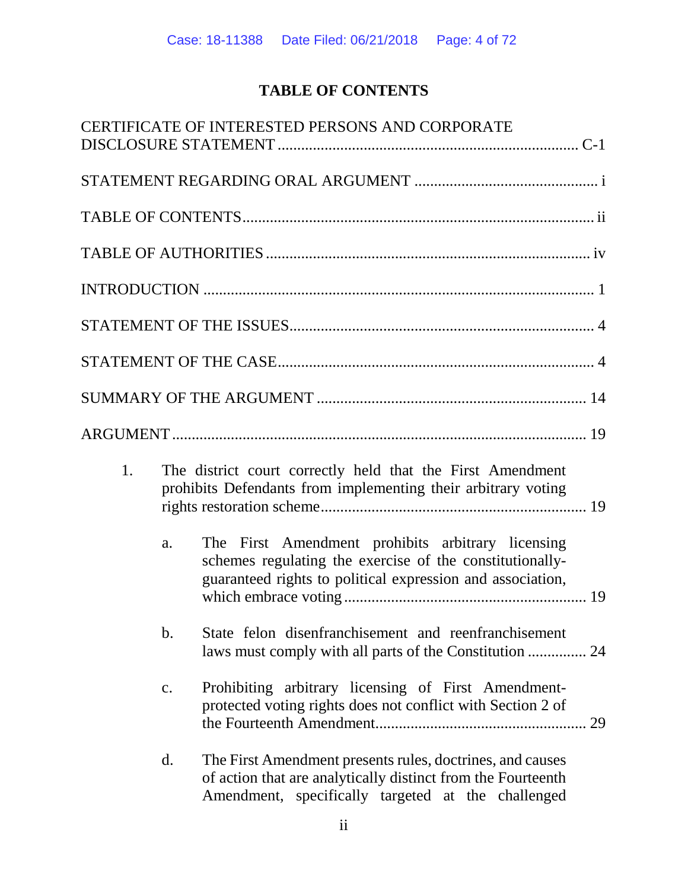## **TABLE OF CONTENTS**

|    |                | <b>CERTIFICATE OF INTERESTED PERSONS AND CORPORATE</b>                                                                                                                          |
|----|----------------|---------------------------------------------------------------------------------------------------------------------------------------------------------------------------------|
|    |                |                                                                                                                                                                                 |
|    |                |                                                                                                                                                                                 |
|    |                |                                                                                                                                                                                 |
|    |                |                                                                                                                                                                                 |
|    |                |                                                                                                                                                                                 |
|    |                |                                                                                                                                                                                 |
|    |                |                                                                                                                                                                                 |
|    |                |                                                                                                                                                                                 |
| 1. |                | The district court correctly held that the First Amendment<br>prohibits Defendants from implementing their arbitrary voting                                                     |
|    | a.             | The First Amendment prohibits arbitrary licensing<br>schemes regulating the exercise of the constitutionally-<br>guaranteed rights to political expression and association,     |
|    | $\mathbf{b}$ . | State felon disenfranchisement and reenfranchisement                                                                                                                            |
|    | c.             | Prohibiting arbitrary licensing of First Amendment-<br>protected voting rights does not conflict with Section 2 of<br>29                                                        |
|    | $\mathbf{d}$ . | The First Amendment presents rules, doctrines, and causes<br>of action that are analytically distinct from the Fourteenth<br>Amendment, specifically targeted at the challenged |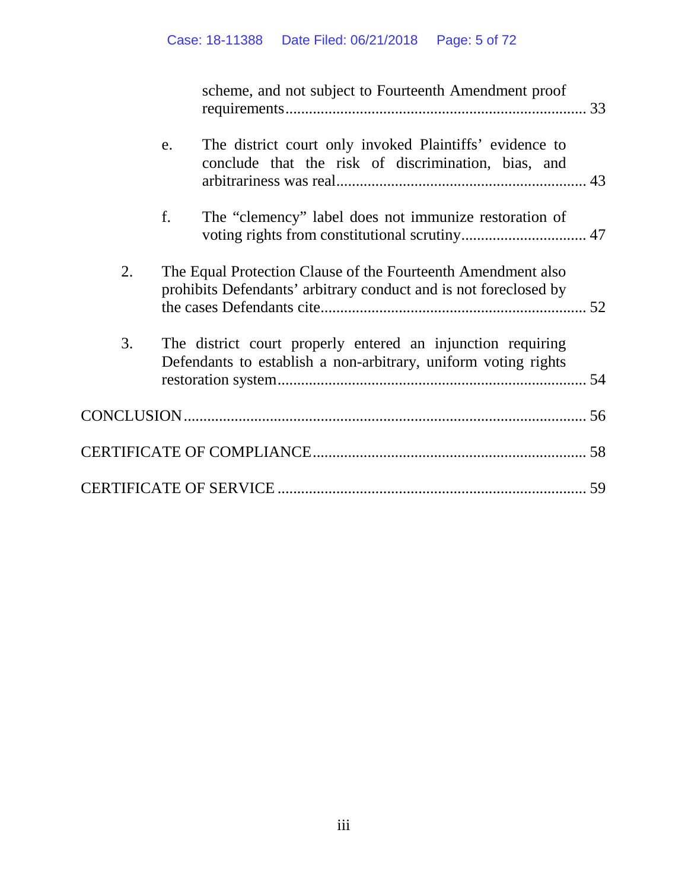|    |    | scheme, and not subject to Fourteenth Amendment proof                                                                            |  |
|----|----|----------------------------------------------------------------------------------------------------------------------------------|--|
|    | e. | The district court only invoked Plaintiffs' evidence to<br>conclude that the risk of discrimination, bias, and                   |  |
|    | f. | The "clemency" label does not immunize restoration of                                                                            |  |
| 2. |    | The Equal Protection Clause of the Fourteenth Amendment also<br>prohibits Defendants' arbitrary conduct and is not foreclosed by |  |
| 3. |    | The district court properly entered an injunction requiring<br>Defendants to establish a non-arbitrary, uniform voting rights    |  |
|    |    |                                                                                                                                  |  |
|    |    |                                                                                                                                  |  |
|    |    |                                                                                                                                  |  |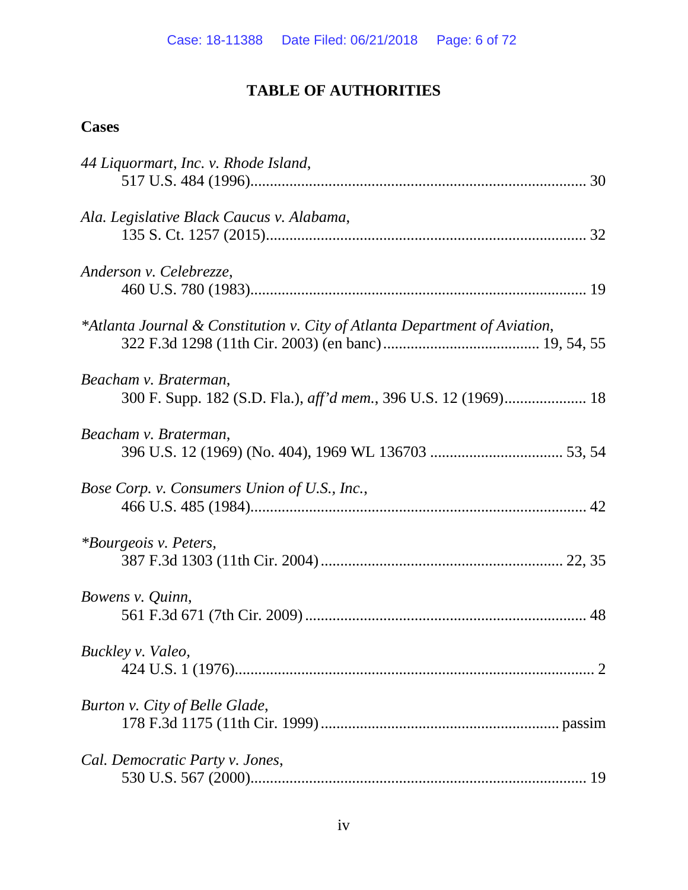### **TABLE OF AUTHORITIES**

### **Cases**

| 44 Liquormart, Inc. v. Rhode Island,                                                     |
|------------------------------------------------------------------------------------------|
| Ala. Legislative Black Caucus v. Alabama,                                                |
| Anderson v. Celebrezze,                                                                  |
| *Atlanta Journal & Constitution v. City of Atlanta Department of Aviation,               |
| Beacham v. Braterman,<br>300 F. Supp. 182 (S.D. Fla.), aff'd mem., 396 U.S. 12 (1969) 18 |
| Beacham v. Braterman,                                                                    |
| Bose Corp. v. Consumers Union of U.S., Inc.,                                             |
| <i>*Bourgeois v. Peters,</i>                                                             |
| Bowens v. Quinn,                                                                         |
| Buckley v. Valeo,                                                                        |
| Burton v. City of Belle Glade,                                                           |
| Cal. Democratic Party v. Jones,                                                          |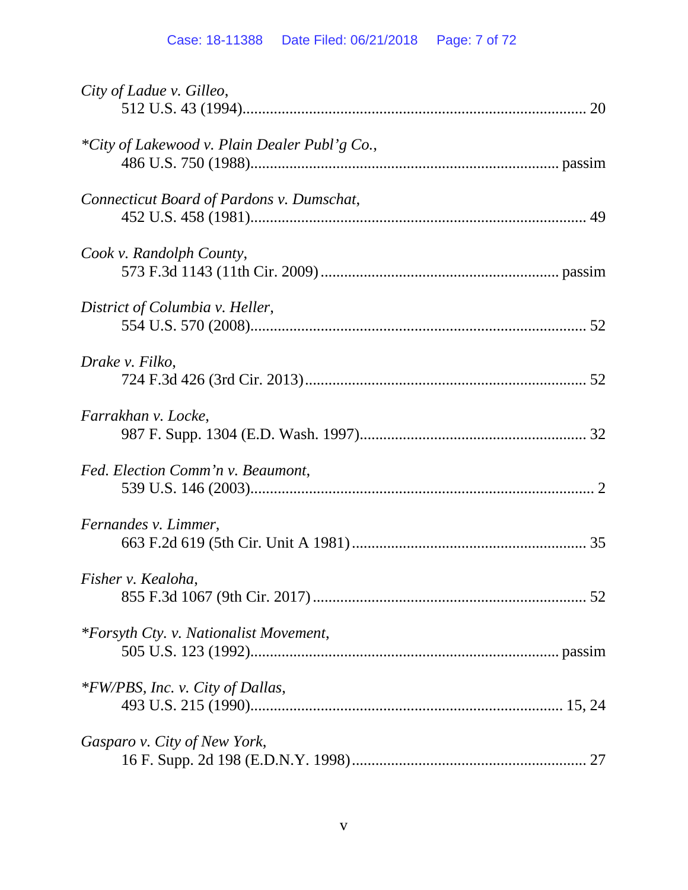| City of Ladue v. Gilleo,                      |
|-----------------------------------------------|
| *City of Lakewood v. Plain Dealer Publ'g Co., |
| Connecticut Board of Pardons v. Dumschat,     |
| Cook v. Randolph County,                      |
| District of Columbia v. Heller,               |
| Drake v. Filko,                               |
| Farrakhan v. Locke,                           |
| Fed. Election Comm'n v. Beaumont,             |
| Fernandes v. Limmer,                          |
| Fisher v. Kealoha,                            |
| *Forsyth Cty. v. Nationalist Movement,        |
| <i>*FW/PBS, Inc. v. City of Dallas,</i>       |
| Gasparo v. City of New York,                  |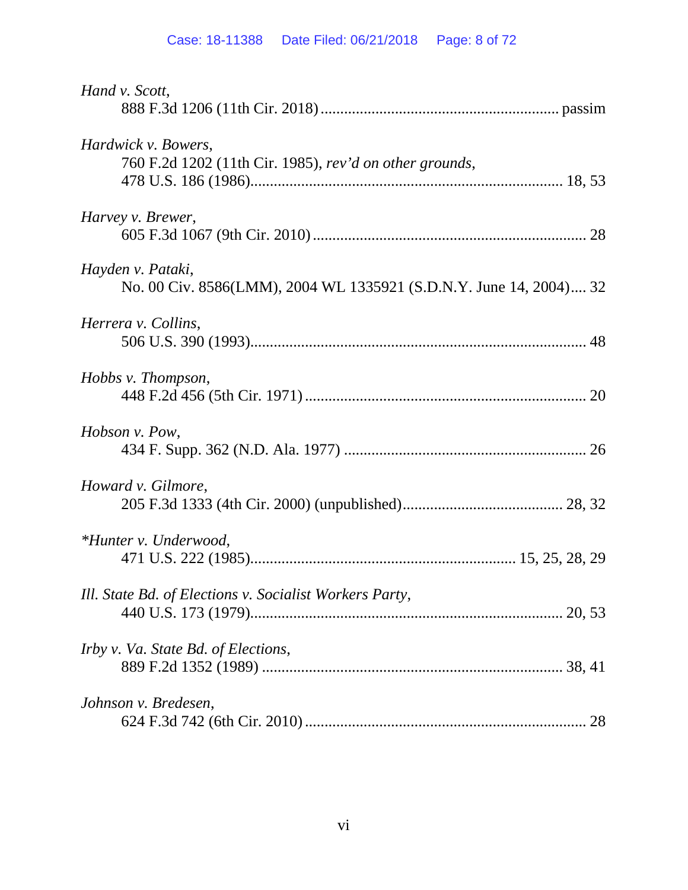### Case: 18-11388 Date Filed: 06/21/2018 Page: 8 of 72

| Hand v. Scott,                                                     |
|--------------------------------------------------------------------|
|                                                                    |
| Hardwick v. Bowers,                                                |
| 760 F.2d 1202 (11th Cir. 1985), rev'd on other grounds,            |
|                                                                    |
| Harvey v. Brewer,                                                  |
|                                                                    |
| Hayden v. Pataki,                                                  |
| No. 00 Civ. 8586(LMM), 2004 WL 1335921 (S.D.N.Y. June 14, 2004) 32 |
| Herrera v. Collins,                                                |
|                                                                    |
| Hobbs v. Thompson,                                                 |
|                                                                    |
| Hobson v. Pow,                                                     |
|                                                                    |
| Howard v. Gilmore,                                                 |
|                                                                    |
| *Hunter v. Underwood,                                              |
|                                                                    |
| Ill. State Bd. of Elections v. Socialist Workers Party,            |
|                                                                    |
| <i>Irby v. Va. State Bd. of Elections,</i>                         |
|                                                                    |
| Johnson v. Bredesen,                                               |
|                                                                    |
|                                                                    |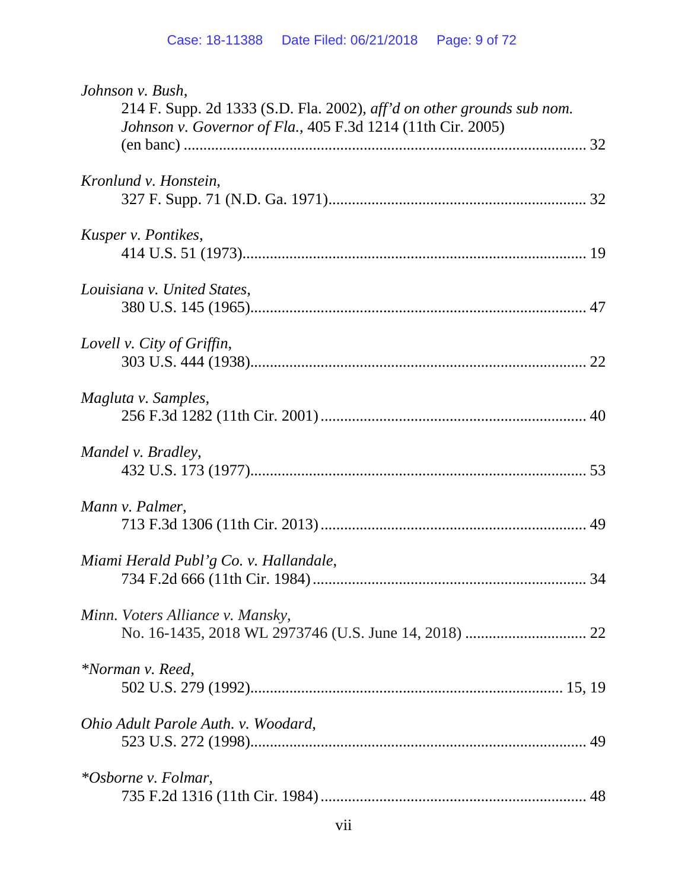| Johnson v. Bush,                                                       |
|------------------------------------------------------------------------|
| 214 F. Supp. 2d 1333 (S.D. Fla. 2002), aff'd on other grounds sub nom. |
| Johnson v. Governor of Fla., 405 F.3d 1214 (11th Cir. 2005)            |
|                                                                        |
|                                                                        |
| Kronlund v. Honstein,                                                  |
|                                                                        |
| Kusper v. Pontikes,                                                    |
|                                                                        |
|                                                                        |
| Louisiana v. United States,                                            |
|                                                                        |
|                                                                        |
| Lovell v. City of Griffin,                                             |
|                                                                        |
|                                                                        |
| Magluta v. Samples,                                                    |
|                                                                        |
| Mandel v. Bradley,                                                     |
|                                                                        |
|                                                                        |
| Mann v. Palmer,                                                        |
|                                                                        |
|                                                                        |
| Miami Herald Publ'g Co. v. Hallandale,                                 |
|                                                                        |
|                                                                        |
| Minn. Voters Alliance v. Mansky,                                       |
|                                                                        |
| *Norman v. Reed.                                                       |
|                                                                        |
|                                                                        |
| Ohio Adult Parole Auth. v. Woodard,                                    |
|                                                                        |
|                                                                        |
| *Osborne v. Folmar,                                                    |
|                                                                        |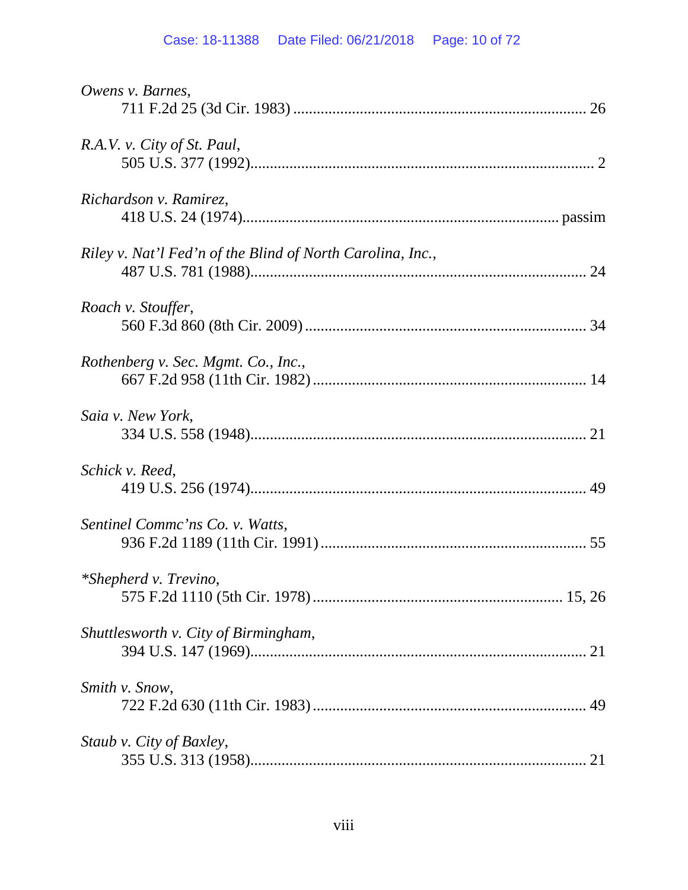| Owens v. Barnes,                                           |
|------------------------------------------------------------|
| R.A.V. v. City of St. Paul,                                |
| Richardson v. Ramirez,                                     |
| Riley v. Nat'l Fed'n of the Blind of North Carolina, Inc., |
| Roach v. Stouffer,                                         |
| Rothenberg v. Sec. Mgmt. Co., Inc.,                        |
| Saia v. New York,                                          |
| Schick v. Reed,                                            |
| Sentinel Commc'ns Co. v. Watts,                            |
| *Shepherd v. Trevino,                                      |
| Shuttlesworth v. City of Birmingham,                       |
| Smith v. Snow,                                             |
| Staub v. City of Baxley,                                   |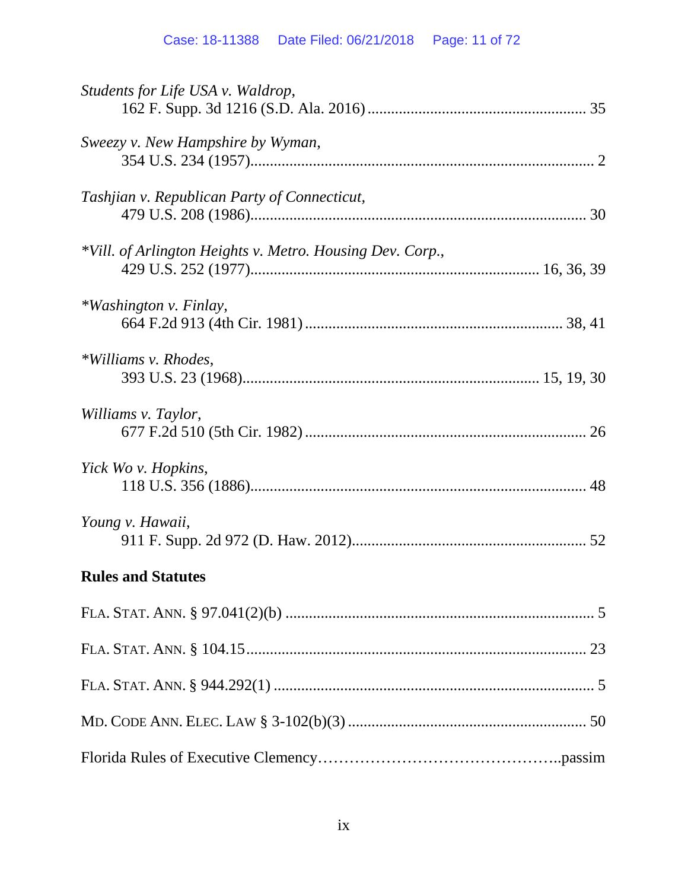| Students for Life USA v. Waldrop,                         |
|-----------------------------------------------------------|
| Sweezy v. New Hampshire by Wyman,                         |
| Tashjian v. Republican Party of Connecticut,              |
| *Vill. of Arlington Heights v. Metro. Housing Dev. Corp., |
| *Washington v. Finlay,                                    |
| *Williams v. Rhodes,                                      |
| Williams v. Taylor,                                       |
| Yick Wo v. Hopkins,                                       |
| Young v. Hawaii,                                          |
| <b>Rules and Statutes</b>                                 |
|                                                           |
|                                                           |
|                                                           |
|                                                           |
|                                                           |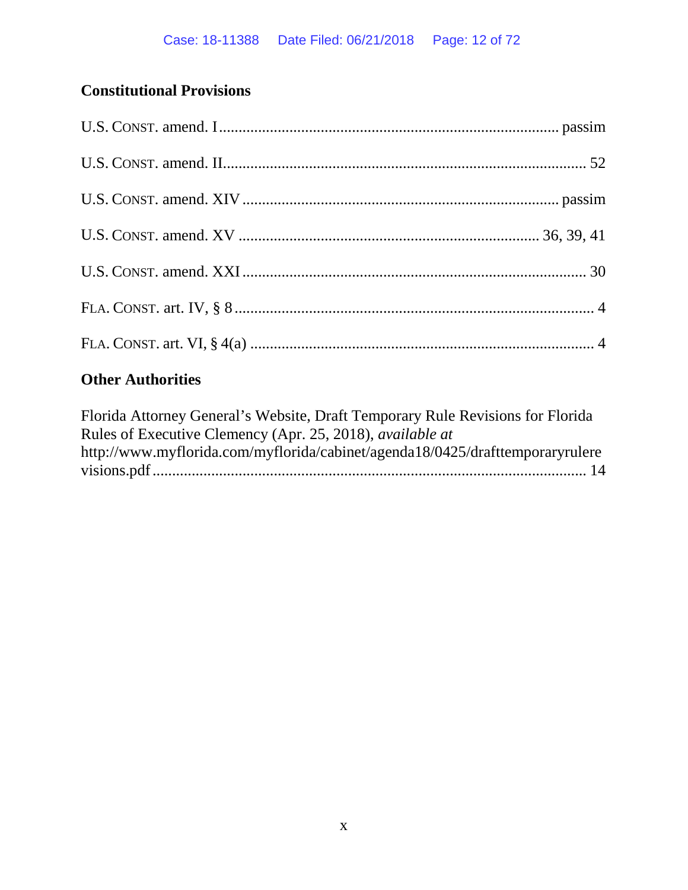### **Constitutional Provisions**

### **Other Authorities**

| Florida Attorney General's Website, Draft Temporary Rule Revisions for Florida |
|--------------------------------------------------------------------------------|
| Rules of Executive Clemency (Apr. 25, 2018), <i>available at</i>               |
| http://www.myflorida.com/myflorida/cabinet/agenda18/0425/drafttemporaryrulere  |
|                                                                                |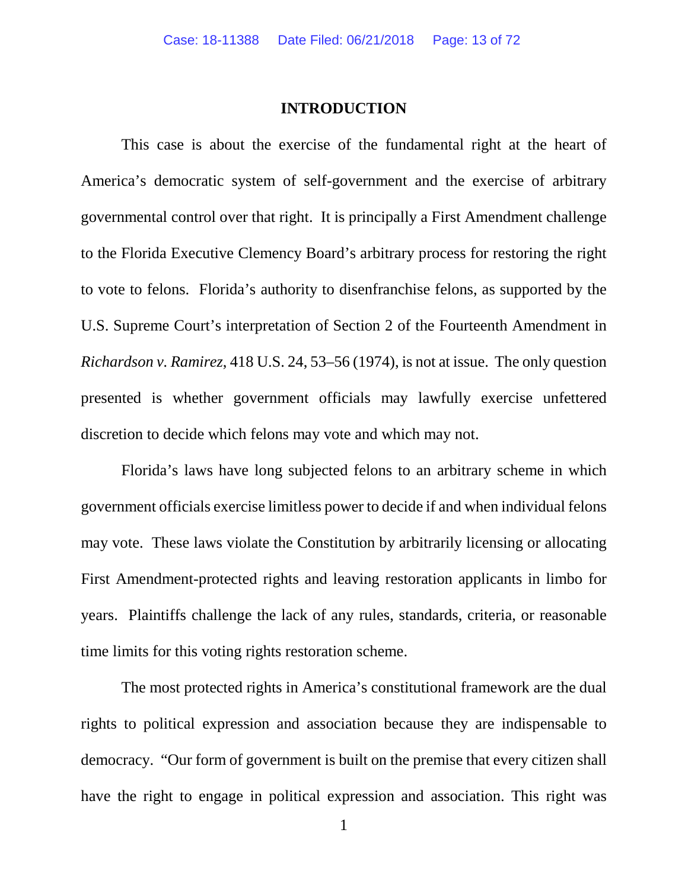#### **INTRODUCTION**

This case is about the exercise of the fundamental right at the heart of America's democratic system of self-government and the exercise of arbitrary governmental control over that right. It is principally a First Amendment challenge to the Florida Executive Clemency Board's arbitrary process for restoring the right to vote to felons. Florida's authority to disenfranchise felons, as supported by the U.S. Supreme Court's interpretation of Section 2 of the Fourteenth Amendment in *Richardson v. Ramirez*, 418 U.S. 24, 53–56 (1974), is not at issue. The only question presented is whether government officials may lawfully exercise unfettered discretion to decide which felons may vote and which may not.

Florida's laws have long subjected felons to an arbitrary scheme in which government officials exercise limitless power to decide if and when individual felons may vote. These laws violate the Constitution by arbitrarily licensing or allocating First Amendment-protected rights and leaving restoration applicants in limbo for years. Plaintiffs challenge the lack of any rules, standards, criteria, or reasonable time limits for this voting rights restoration scheme.

The most protected rights in America's constitutional framework are the dual rights to political expression and association because they are indispensable to democracy. "Our form of government is built on the premise that every citizen shall have the right to engage in political expression and association. This right was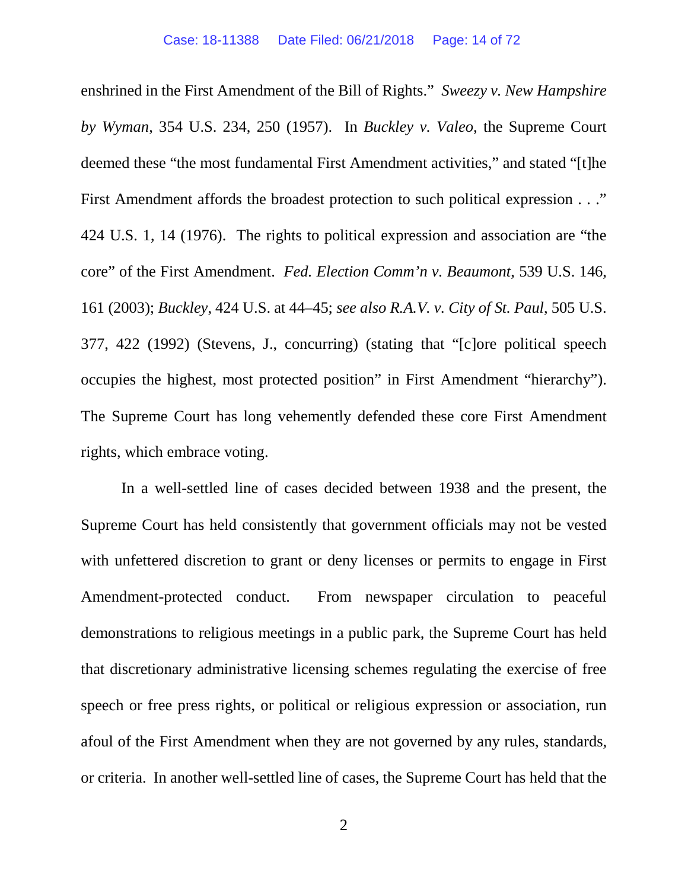enshrined in the First Amendment of the Bill of Rights." *Sweezy v. New Hampshire by Wyman*, 354 U.S. 234, 250 (1957). In *Buckley v. Valeo*, the Supreme Court deemed these "the most fundamental First Amendment activities," and stated "[t]he First Amendment affords the broadest protection to such political expression . . ." 424 U.S. 1, 14 (1976). The rights to political expression and association are "the core" of the First Amendment. *Fed. Election Comm'n v. Beaumont*, 539 U.S. 146, 161 (2003); *Buckley*, 424 U.S. at 44–45; *see also R.A.V. v. City of St. Paul*, 505 U.S. 377, 422 (1992) (Stevens, J., concurring) (stating that "[c]ore political speech occupies the highest, most protected position" in First Amendment "hierarchy"). The Supreme Court has long vehemently defended these core First Amendment rights, which embrace voting.

In a well-settled line of cases decided between 1938 and the present, the Supreme Court has held consistently that government officials may not be vested with unfettered discretion to grant or deny licenses or permits to engage in First Amendment-protected conduct. From newspaper circulation to peaceful demonstrations to religious meetings in a public park, the Supreme Court has held that discretionary administrative licensing schemes regulating the exercise of free speech or free press rights, or political or religious expression or association, run afoul of the First Amendment when they are not governed by any rules, standards, or criteria. In another well-settled line of cases, the Supreme Court has held that the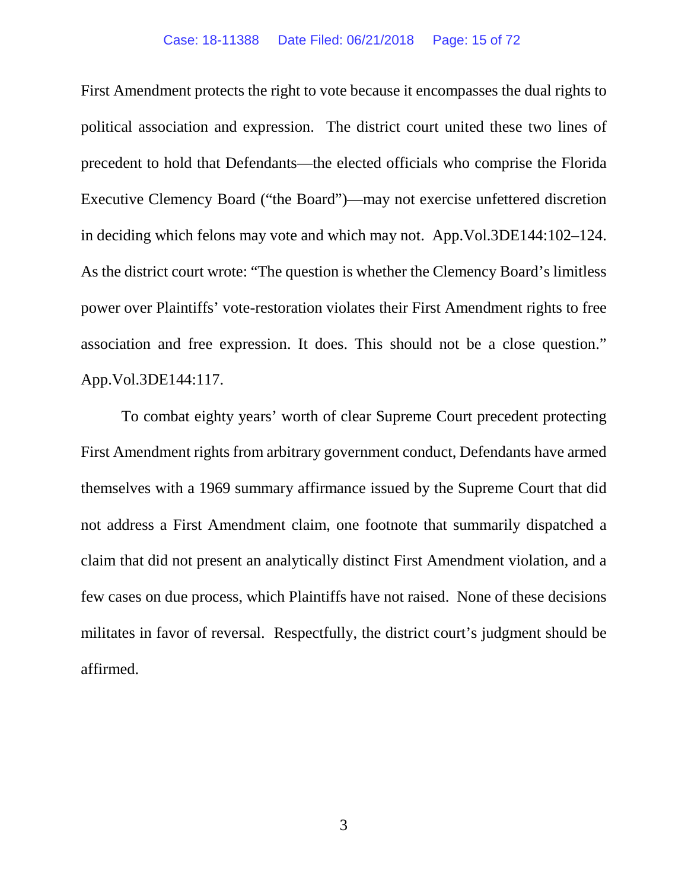#### Case: 18-11388 Date Filed: 06/21/2018 Page: 15 of 72

First Amendment protects the right to vote because it encompasses the dual rights to political association and expression. The district court united these two lines of precedent to hold that Defendants—the elected officials who comprise the Florida Executive Clemency Board ("the Board")—may not exercise unfettered discretion in deciding which felons may vote and which may not. App.Vol.3DE144:102–124. As the district court wrote: "The question is whether the Clemency Board's limitless power over Plaintiffs' vote-restoration violates their First Amendment rights to free association and free expression. It does. This should not be a close question." App.Vol.3DE144:117.

To combat eighty years' worth of clear Supreme Court precedent protecting First Amendment rights from arbitrary government conduct, Defendants have armed themselves with a 1969 summary affirmance issued by the Supreme Court that did not address a First Amendment claim, one footnote that summarily dispatched a claim that did not present an analytically distinct First Amendment violation, and a few cases on due process, which Plaintiffs have not raised. None of these decisions militates in favor of reversal. Respectfully, the district court's judgment should be affirmed.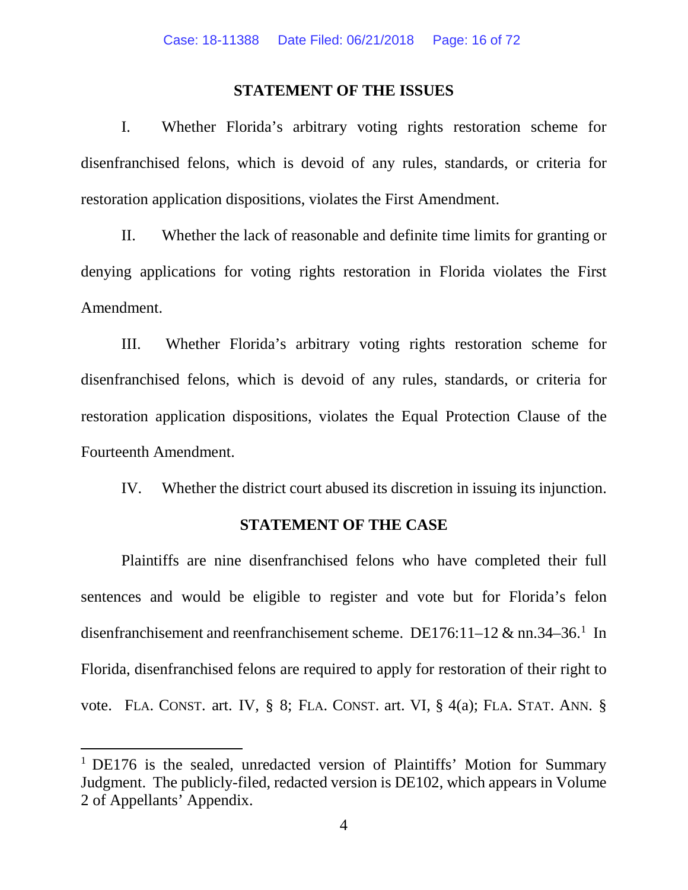#### **STATEMENT OF THE ISSUES**

I. Whether Florida's arbitrary voting rights restoration scheme for disenfranchised felons, which is devoid of any rules, standards, or criteria for restoration application dispositions, violates the First Amendment.

II. Whether the lack of reasonable and definite time limits for granting or denying applications for voting rights restoration in Florida violates the First Amendment.

III. Whether Florida's arbitrary voting rights restoration scheme for disenfranchised felons, which is devoid of any rules, standards, or criteria for restoration application dispositions, violates the Equal Protection Clause of the Fourteenth Amendment.

IV. Whether the district court abused its discretion in issuing its injunction.

#### **STATEMENT OF THE CASE**

Plaintiffs are nine disenfranchised felons who have completed their full sentences and would be eligible to register and vote but for Florida's felon disenfranchisement and reenfranchisement scheme. DE[1](#page-15-0)76:11–12 & nn.34–36.<sup>1</sup> In Florida, disenfranchised felons are required to apply for restoration of their right to vote. FLA. CONST. art. IV, § 8; FLA. CONST. art. VI, § 4(a); FLA. STAT. ANN. §

<span id="page-15-0"></span><sup>&</sup>lt;sup>1</sup> DE176 is the sealed, unredacted version of Plaintiffs' Motion for Summary Judgment. The publicly-filed, redacted version is DE102, which appears in Volume 2 of Appellants' Appendix.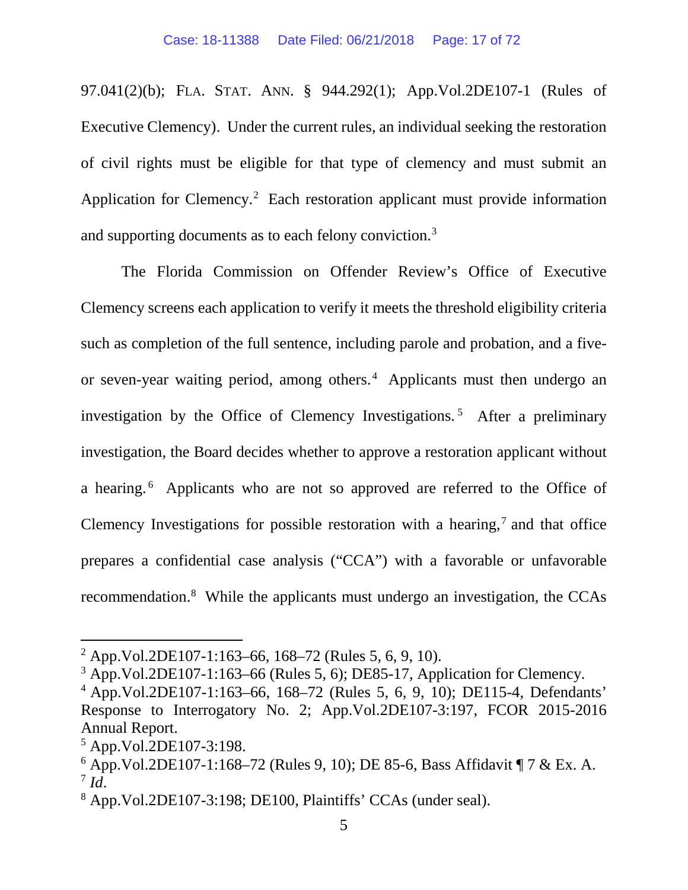97.041(2)(b); FLA. STAT. ANN. § 944.292(1); App.Vol.2DE107-1 (Rules of Executive Clemency). Under the current rules, an individual seeking the restoration of civil rights must be eligible for that type of clemency and must submit an Application for Clemency.<sup>[2](#page-16-0)</sup> Each restoration applicant must provide information and supporting documents as to each felony conviction. [3](#page-16-1)

The Florida Commission on Offender Review's Office of Executive Clemency screens each application to verify it meets the threshold eligibility criteria such as completion of the full sentence, including parole and probation, and a fiveor seven-year waiting period, among others. [4](#page-16-2) Applicants must then undergo an investigation by the Office of Clemency Investigations.<sup>[5](#page-16-3)</sup> After a preliminary investigation, the Board decides whether to approve a restoration applicant without a hearing. [6](#page-16-4) Applicants who are not so approved are referred to the Office of Clemency Investigations for possible restoration with a hearing,<sup>[7](#page-16-5)</sup> and that office prepares a confidential case analysis ("CCA") with a favorable or unfavorable recommendation.<sup>[8](#page-16-6)</sup> While the applicants must undergo an investigation, the CCAs

<span id="page-16-1"></span><span id="page-16-0"></span><sup>&</sup>lt;sup>2</sup> App. Vol.2DE107-1:163–66, 168–72 (Rules 5, 6, 9, 10).<br><sup>3</sup> App. Vol.2DE107-1:163–66 (Rules 5, 6); DE85-17, Application for Clemency.

<span id="page-16-2"></span><sup>4</sup> App.Vol.2DE107-1:163–66, 168–72 (Rules 5, 6, 9, 10); DE115-4, Defendants' Response to Interrogatory No. 2; App.Vol.2DE107-3:197, FCOR 2015-2016 Annual Report.

<span id="page-16-3"></span><sup>5</sup> App.Vol.2DE107-3:198.

<span id="page-16-5"></span><span id="page-16-4"></span><sup>6</sup> App.Vol.2DE107-1:168–72 (Rules 9, 10); DE 85-6, Bass Affidavit ¶ 7 & Ex. A.  $^7$  *Id*.<br><sup>8</sup> App.Vol.2DE107-3:198; DE100, Plaintiffs' CCAs (under seal).

<span id="page-16-6"></span>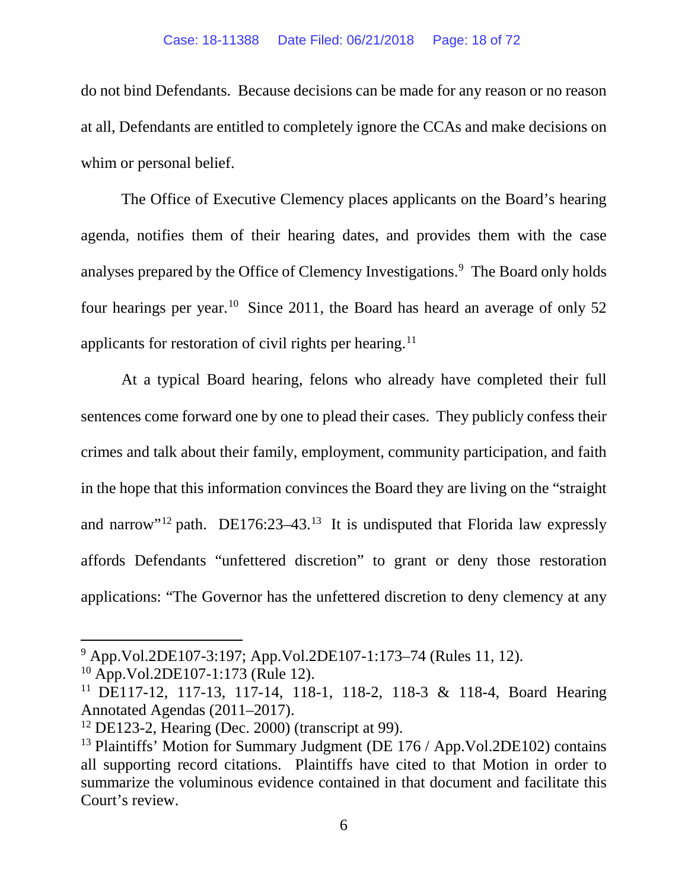do not bind Defendants. Because decisions can be made for any reason or no reason at all, Defendants are entitled to completely ignore the CCAs and make decisions on whim or personal belief.

The Office of Executive Clemency places applicants on the Board's hearing agenda, notifies them of their hearing dates, and provides them with the case analyses prepared by the Office of Clemency Investigations. [9](#page-17-0) The Board only holds four hearings per year.<sup>[10](#page-17-1)</sup> Since 2011, the Board has heard an average of only 52 applicants for restoration of civil rights per hearing.<sup>11</sup>

At a typical Board hearing, felons who already have completed their full sentences come forward one by one to plead their cases. They publicly confess their crimes and talk about their family, employment, community participation, and faith in the hope that this information convinces the Board they are living on the "straight and narrow"<sup>[12](#page-17-3)</sup> path. DE176:23–43.<sup>[13](#page-17-4)</sup> It is undisputed that Florida law expressly affords Defendants "unfettered discretion" to grant or deny those restoration applications: "The Governor has the unfettered discretion to deny clemency at any

<span id="page-17-1"></span><span id="page-17-0"></span><sup>&</sup>lt;sup>9</sup> App.Vol.2DE107-3:197; App.Vol.2DE107-1:173–74 (Rules 11, 12).<br><sup>10</sup> App.Vol.2DE107-1:173 (Rule 12).<br><sup>11</sup> DE117-12, 117-13, 117-14, 118-1, 118-2, 118-3 & 118-4, Board Hearing

<span id="page-17-2"></span>Annotated Agendas (2011–2017).

<span id="page-17-3"></span> $12$  DE123-2, Hearing (Dec. 2000) (transcript at 99).

<span id="page-17-4"></span><sup>&</sup>lt;sup>13</sup> Plaintiffs' Motion for Summary Judgment (DE 176 / App. Vol. 2DE102) contains all supporting record citations. Plaintiffs have cited to that Motion in order to summarize the voluminous evidence contained in that document and facilitate this Court's review.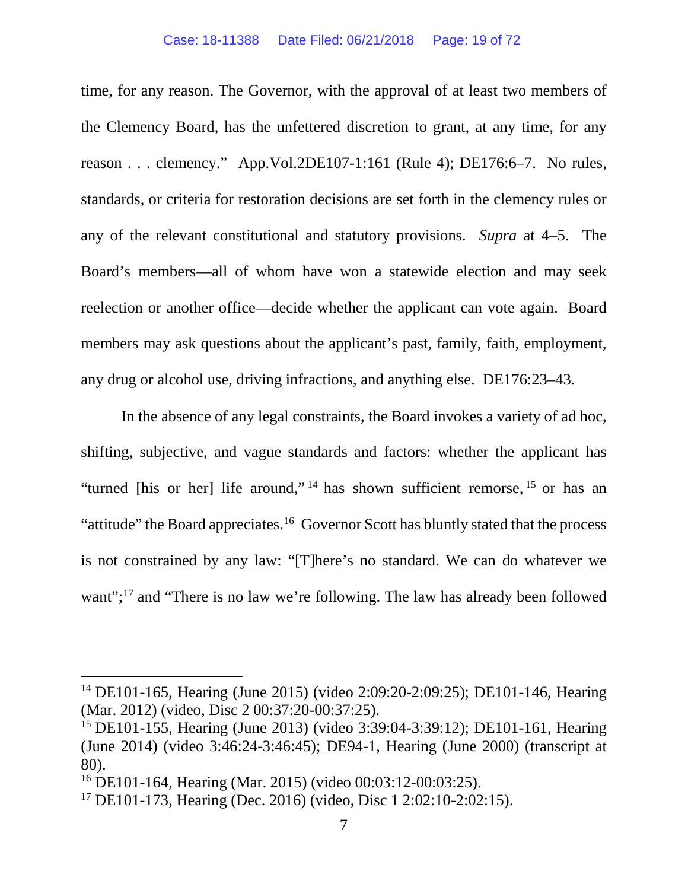time, for any reason. The Governor, with the approval of at least two members of the Clemency Board, has the unfettered discretion to grant, at any time, for any reason . . . clemency." App.Vol.2DE107-1:161 (Rule 4); DE176:6–7. No rules, standards, or criteria for restoration decisions are set forth in the clemency rules or any of the relevant constitutional and statutory provisions. *Supra* at 4–5. The Board's members—all of whom have won a statewide election and may seek reelection or another office—decide whether the applicant can vote again. Board members may ask questions about the applicant's past, family, faith, employment, any drug or alcohol use, driving infractions, and anything else. DE176:23–43.

In the absence of any legal constraints, the Board invokes a variety of ad hoc, shifting, subjective, and vague standards and factors: whether the applicant has "turned [his or her] life around,"<sup>[14](#page-18-0)</sup> has shown sufficient remorse,  $15$  or has an "attitude" the Board appreciates.<sup>16</sup> Governor Scott has bluntly stated that the process is not constrained by any law: "[T]here's no standard. We can do whatever we want";<sup>[17](#page-18-3)</sup> and "There is no law we're following. The law has already been followed

<span id="page-18-0"></span><sup>14</sup> DE101-165, Hearing (June 2015) (video 2:09:20-2:09:25); DE101-146, Hearing (Mar. 2012) (video, Disc 2 00:37:20-00:37:25).

<span id="page-18-1"></span><sup>15</sup> DE101-155, Hearing (June 2013) (video 3:39:04-3:39:12); DE101-161, Hearing (June 2014) (video 3:46:24-3:46:45); DE94-1, Hearing (June 2000) (transcript at 80).

<span id="page-18-2"></span><sup>16</sup> DE101-164, Hearing (Mar. 2015) (video 00:03:12-00:03:25).

<span id="page-18-3"></span><sup>17</sup> DE101-173, Hearing (Dec. 2016) (video, Disc 1 2:02:10-2:02:15).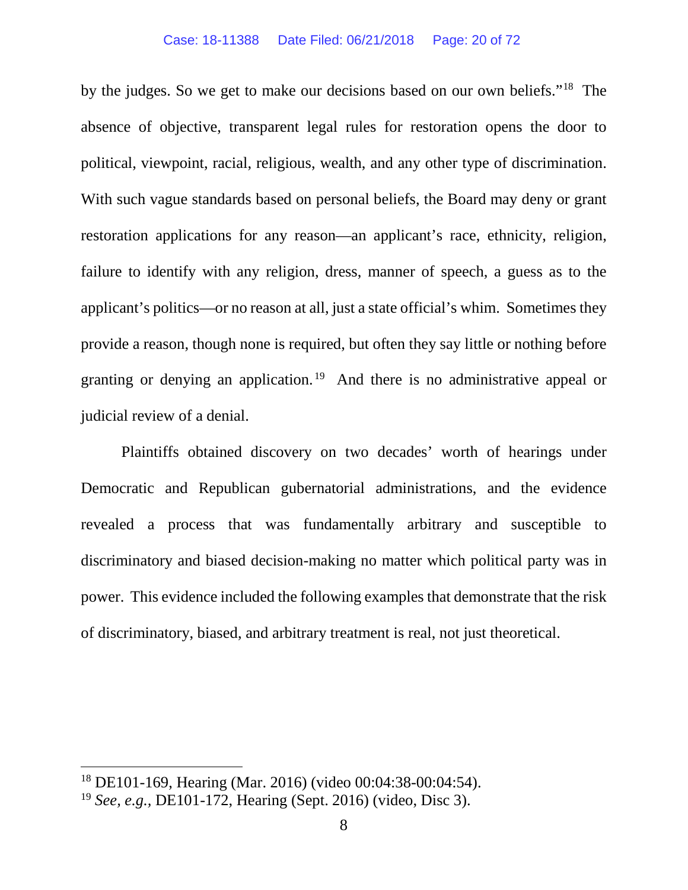#### Case: 18-11388 Date Filed: 06/21/2018 Page: 20 of 72

by the judges. So we get to make our decisions based on our own beliefs."[18](#page-19-0) The absence of objective, transparent legal rules for restoration opens the door to political, viewpoint, racial, religious, wealth, and any other type of discrimination. With such vague standards based on personal beliefs, the Board may deny or grant restoration applications for any reason—an applicant's race, ethnicity, religion, failure to identify with any religion, dress, manner of speech, a guess as to the applicant's politics—or no reason at all, just a state official's whim. Sometimes they provide a reason, though none is required, but often they say little or nothing before granting or denying an application.<sup>[19](#page-19-1)</sup> And there is no administrative appeal or judicial review of a denial.

Plaintiffs obtained discovery on two decades' worth of hearings under Democratic and Republican gubernatorial administrations, and the evidence revealed a process that was fundamentally arbitrary and susceptible to discriminatory and biased decision-making no matter which political party was in power. This evidence included the following examples that demonstrate that the risk of discriminatory, biased, and arbitrary treatment is real, not just theoretical.

<span id="page-19-0"></span><sup>18</sup> DE101-169, Hearing (Mar. 2016) (video 00:04:38-00:04:54).

<span id="page-19-1"></span><sup>19</sup> *See, e.g.,* DE101-172, Hearing (Sept. 2016) (video, Disc 3).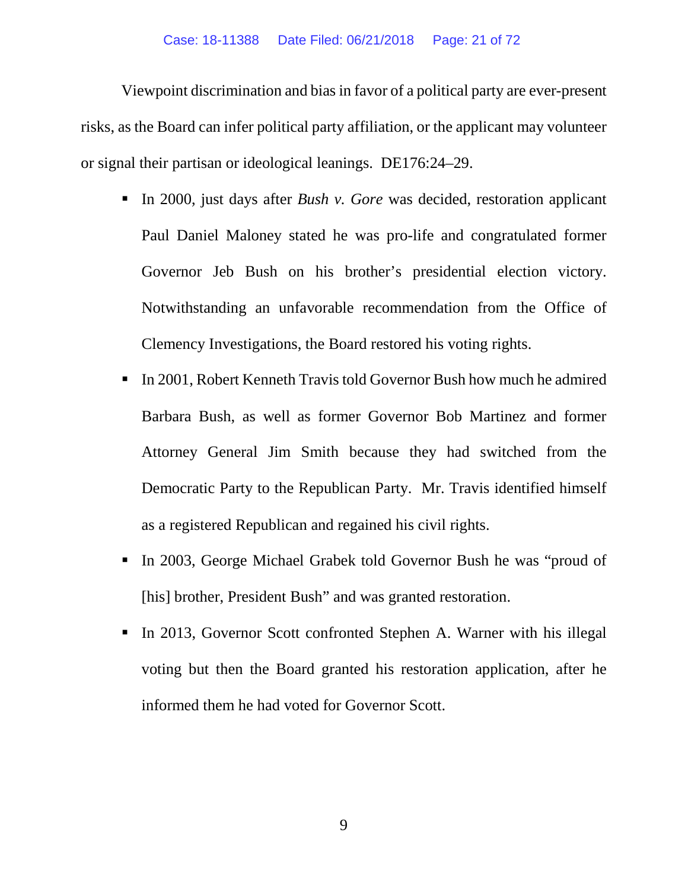#### Case: 18-11388 Date Filed: 06/21/2018 Page: 21 of 72

Viewpoint discrimination and bias in favor of a political party are ever-present risks, as the Board can infer political party affiliation, or the applicant may volunteer or signal their partisan or ideological leanings. DE176:24–29.

- In 2000, just days after *Bush v. Gore* was decided, restoration applicant Paul Daniel Maloney stated he was pro-life and congratulated former Governor Jeb Bush on his brother's presidential election victory. Notwithstanding an unfavorable recommendation from the Office of Clemency Investigations, the Board restored his voting rights.
- In 2001, Robert Kenneth Travis told Governor Bush how much he admired Barbara Bush, as well as former Governor Bob Martinez and former Attorney General Jim Smith because they had switched from the Democratic Party to the Republican Party. Mr. Travis identified himself as a registered Republican and regained his civil rights.
- In 2003, George Michael Grabek told Governor Bush he was "proud of [his] brother, President Bush" and was granted restoration.
- In 2013, Governor Scott confronted Stephen A. Warner with his illegal voting but then the Board granted his restoration application, after he informed them he had voted for Governor Scott.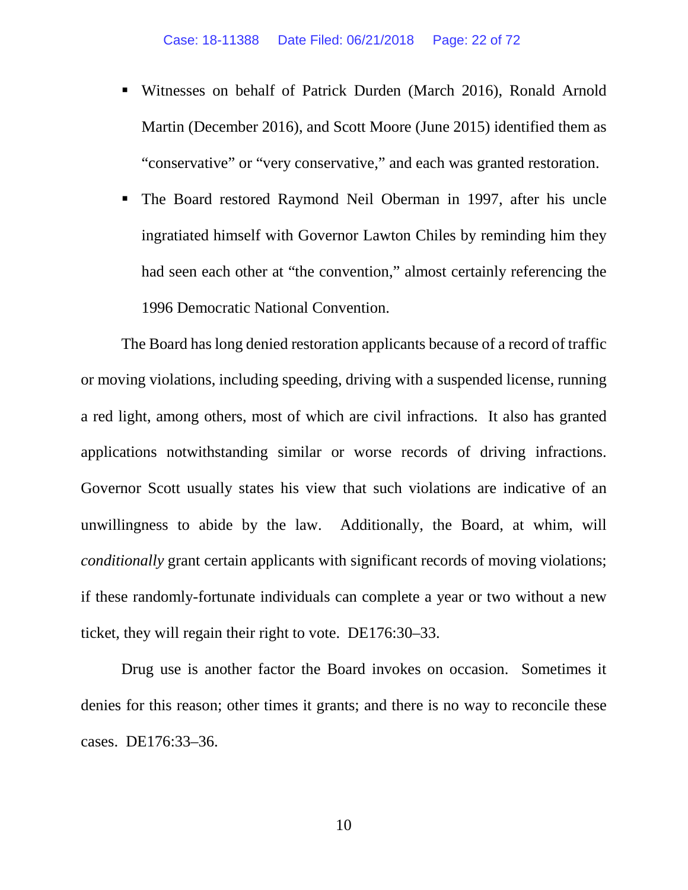- Witnesses on behalf of Patrick Durden (March 2016), Ronald Arnold Martin (December 2016), and Scott Moore (June 2015) identified them as "conservative" or "very conservative," and each was granted restoration.
- The Board restored Raymond Neil Oberman in 1997, after his uncle ingratiated himself with Governor Lawton Chiles by reminding him they had seen each other at "the convention," almost certainly referencing the 1996 Democratic National Convention.

The Board has long denied restoration applicants because of a record of traffic or moving violations, including speeding, driving with a suspended license, running a red light, among others, most of which are civil infractions. It also has granted applications notwithstanding similar or worse records of driving infractions. Governor Scott usually states his view that such violations are indicative of an unwillingness to abide by the law. Additionally, the Board, at whim, will *conditionally* grant certain applicants with significant records of moving violations; if these randomly-fortunate individuals can complete a year or two without a new ticket, they will regain their right to vote. DE176:30–33.

Drug use is another factor the Board invokes on occasion. Sometimes it denies for this reason; other times it grants; and there is no way to reconcile these cases. DE176:33–36.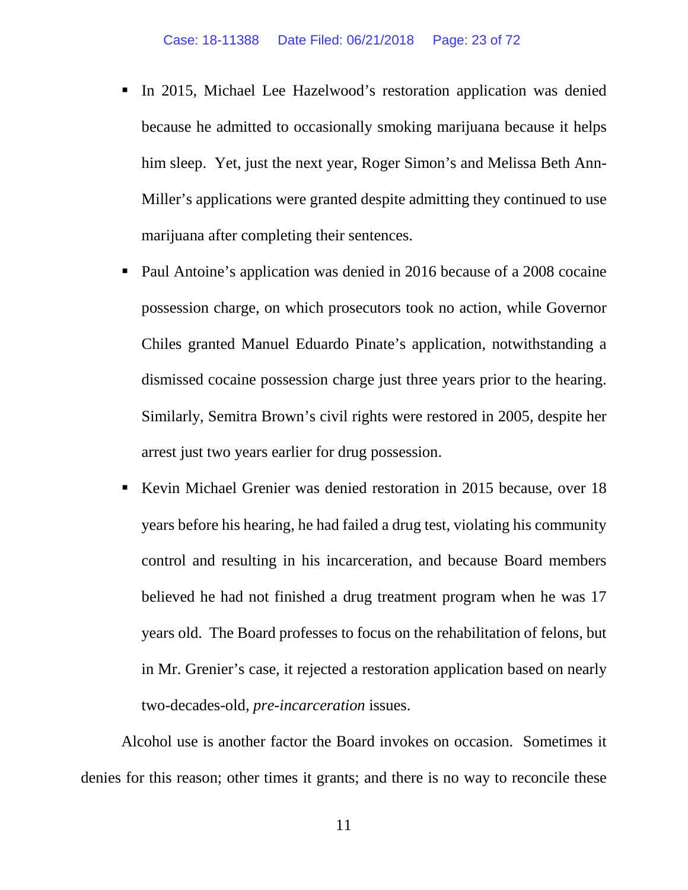- In 2015, Michael Lee Hazelwood's restoration application was denied because he admitted to occasionally smoking marijuana because it helps him sleep. Yet, just the next year, Roger Simon's and Melissa Beth Ann-Miller's applications were granted despite admitting they continued to use marijuana after completing their sentences.
- Paul Antoine's application was denied in 2016 because of a 2008 cocaine possession charge, on which prosecutors took no action, while Governor Chiles granted Manuel Eduardo Pinate's application, notwithstanding a dismissed cocaine possession charge just three years prior to the hearing. Similarly, Semitra Brown's civil rights were restored in 2005, despite her arrest just two years earlier for drug possession.
- Kevin Michael Grenier was denied restoration in 2015 because, over 18 years before his hearing, he had failed a drug test, violating his community control and resulting in his incarceration, and because Board members believed he had not finished a drug treatment program when he was 17 years old. The Board professes to focus on the rehabilitation of felons, but in Mr. Grenier's case, it rejected a restoration application based on nearly two-decades-old, *pre-incarceration* issues.

Alcohol use is another factor the Board invokes on occasion. Sometimes it denies for this reason; other times it grants; and there is no way to reconcile these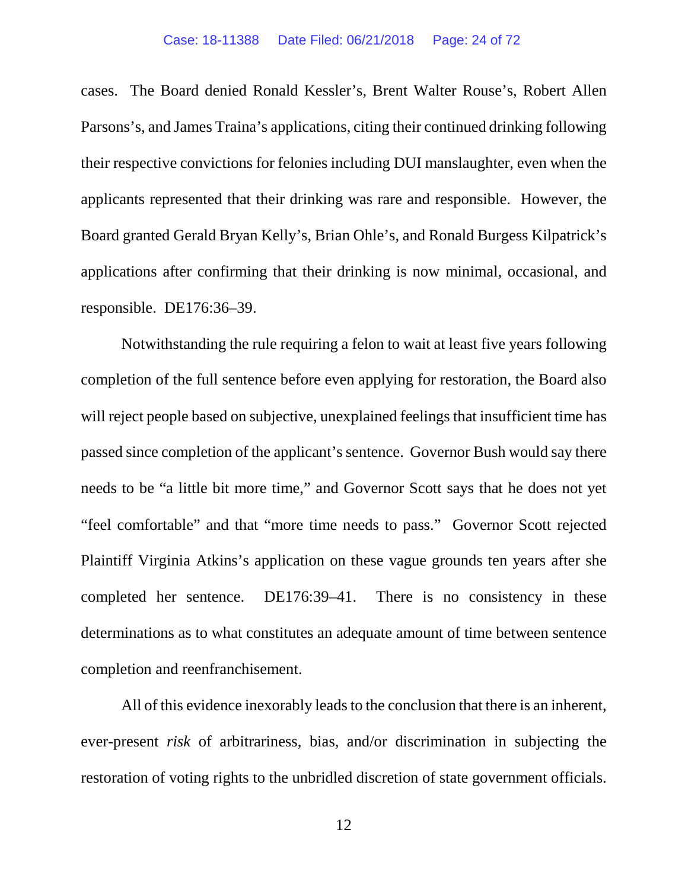#### Case: 18-11388 Date Filed: 06/21/2018 Page: 24 of 72

cases. The Board denied Ronald Kessler's, Brent Walter Rouse's, Robert Allen Parsons's, and James Traina's applications, citing their continued drinking following their respective convictions for felonies including DUI manslaughter, even when the applicants represented that their drinking was rare and responsible. However, the Board granted Gerald Bryan Kelly's, Brian Ohle's, and Ronald Burgess Kilpatrick's applications after confirming that their drinking is now minimal, occasional, and responsible. DE176:36–39.

Notwithstanding the rule requiring a felon to wait at least five years following completion of the full sentence before even applying for restoration, the Board also will reject people based on subjective, unexplained feelings that insufficient time has passed since completion of the applicant's sentence. Governor Bush would say there needs to be "a little bit more time," and Governor Scott says that he does not yet "feel comfortable" and that "more time needs to pass." Governor Scott rejected Plaintiff Virginia Atkins's application on these vague grounds ten years after she completed her sentence. DE176:39–41. There is no consistency in these determinations as to what constitutes an adequate amount of time between sentence completion and reenfranchisement.

All of this evidence inexorably leads to the conclusion that there is an inherent, ever-present *risk* of arbitrariness, bias, and/or discrimination in subjecting the restoration of voting rights to the unbridled discretion of state government officials.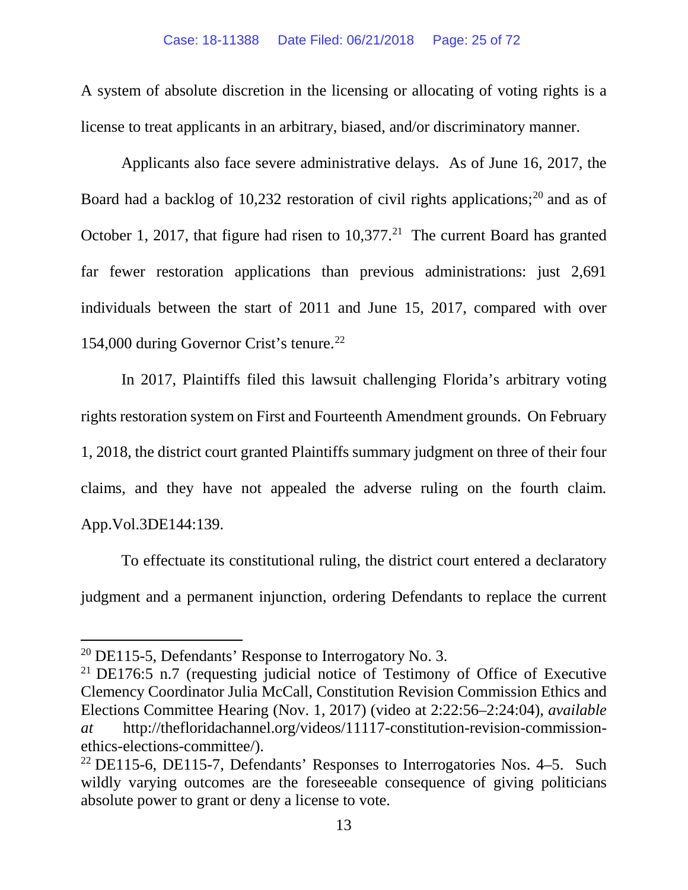A system of absolute discretion in the licensing or allocating of voting rights is a license to treat applicants in an arbitrary, biased, and/or discriminatory manner.

Applicants also face severe administrative delays. As of June 16, 2017, the Board had a backlog of 10,232 restoration of civil rights applications;<sup>20</sup> and as of October 1, 2017, that figure had risen to  $10,377$ .<sup>[21](#page-24-1)</sup> The current Board has granted far fewer restoration applications than previous administrations: just 2,691 individuals between the start of 2011 and June 15, 2017, compared with over 154,000 during Governor Crist's tenure.[22](#page-24-2)

In 2017, Plaintiffs filed this lawsuit challenging Florida's arbitrary voting rights restoration system on First and Fourteenth Amendment grounds. On February 1, 2018, the district court granted Plaintiffs summary judgment on three of their four claims, and they have not appealed the adverse ruling on the fourth claim. App.Vol.3DE144:139.

To effectuate its constitutional ruling, the district court entered a declaratory judgment and a permanent injunction, ordering Defendants to replace the current

<span id="page-24-0"></span> $20$  DE115-5, Defendants' Response to Interrogatory No. 3.

<span id="page-24-1"></span><sup>&</sup>lt;sup>21</sup> DE176:5 n.7 (requesting judicial notice of Testimony of Office of Executive Clemency Coordinator Julia McCall, Constitution Revision Commission Ethics and Elections Committee Hearing (Nov. 1, 2017) (video at 2:22:56–2:24:04), *available at* http://thefloridachannel.org/videos/11117-constitution-revision-commissionethics-elections-committee/).

<span id="page-24-2"></span> $22$  DE115-6, DE115-7, Defendants' Responses to Interrogatories Nos. 4–5. Such wildly varying outcomes are the foreseeable consequence of giving politicians absolute power to grant or deny a license to vote.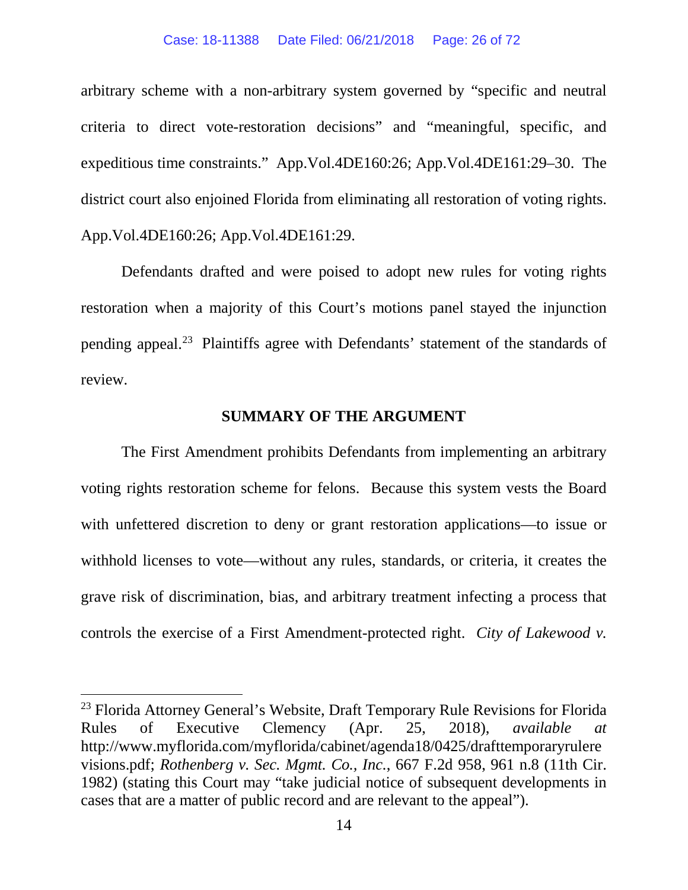#### Case: 18-11388 Date Filed: 06/21/2018 Page: 26 of 72

arbitrary scheme with a non-arbitrary system governed by "specific and neutral criteria to direct vote-restoration decisions" and "meaningful, specific, and expeditious time constraints." App.Vol.4DE160:26; App.Vol.4DE161:29–30. The district court also enjoined Florida from eliminating all restoration of voting rights. App.Vol.4DE160:26; App.Vol.4DE161:29.

Defendants drafted and were poised to adopt new rules for voting rights restoration when a majority of this Court's motions panel stayed the injunction pending appeal[.23](#page-25-0) Plaintiffs agree with Defendants' statement of the standards of review.

#### **SUMMARY OF THE ARGUMENT**

The First Amendment prohibits Defendants from implementing an arbitrary voting rights restoration scheme for felons. Because this system vests the Board with unfettered discretion to deny or grant restoration applications—to issue or withhold licenses to vote—without any rules, standards, or criteria, it creates the grave risk of discrimination, bias, and arbitrary treatment infecting a process that controls the exercise of a First Amendment-protected right. *City of Lakewood v.* 

<span id="page-25-0"></span><sup>&</sup>lt;sup>23</sup> Florida Attorney General's Website, Draft Temporary Rule Revisions for Florida Rules of Executive Clemency (Apr. 25, 2018), *available at*  http://www.myflorida.com/myflorida/cabinet/agenda18/0425/drafttemporaryrulere visions.pdf; *Rothenberg v. Sec. Mgmt. Co., Inc.*, 667 F.2d 958, 961 n.8 (11th Cir. 1982) (stating this Court may "take judicial notice of subsequent developments in cases that are a matter of public record and are relevant to the appeal").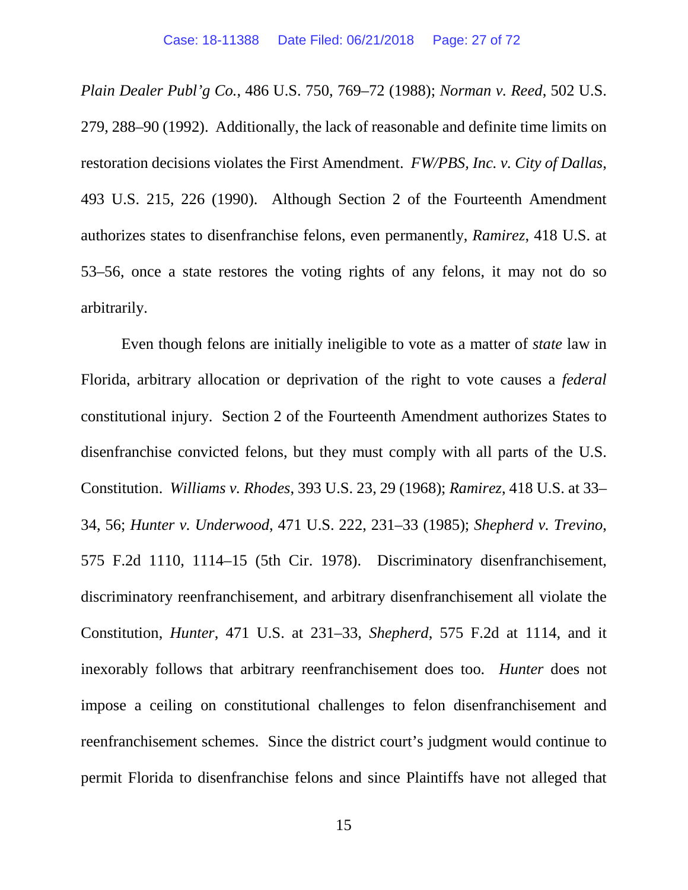*Plain Dealer Publ'g Co.*, 486 U.S. 750, 769–72 (1988); *Norman v. Reed*, 502 U.S. 279, 288–90 (1992). Additionally, the lack of reasonable and definite time limits on restoration decisions violates the First Amendment. *FW/PBS, Inc. v. City of Dallas*, 493 U.S. 215, 226 (1990). Although Section 2 of the Fourteenth Amendment authorizes states to disenfranchise felons, even permanently, *Ramirez*, 418 U.S. at 53–56, once a state restores the voting rights of any felons, it may not do so arbitrarily.

Even though felons are initially ineligible to vote as a matter of *state* law in Florida, arbitrary allocation or deprivation of the right to vote causes a *federal* constitutional injury. Section 2 of the Fourteenth Amendment authorizes States to disenfranchise convicted felons, but they must comply with all parts of the U.S. Constitution. *Williams v. Rhodes*, 393 U.S. 23, 29 (1968); *Ramirez*, 418 U.S. at 33– 34, 56; *Hunter v. Underwood*, 471 U.S. 222, 231–33 (1985); *Shepherd v. Trevino*, 575 F.2d 1110, 1114–15 (5th Cir. 1978). Discriminatory disenfranchisement, discriminatory reenfranchisement, and arbitrary disenfranchisement all violate the Constitution, *Hunter*, 471 U.S. at 231–33, *Shepherd*, 575 F.2d at 1114, and it inexorably follows that arbitrary reenfranchisement does too. *Hunter* does not impose a ceiling on constitutional challenges to felon disenfranchisement and reenfranchisement schemes. Since the district court's judgment would continue to permit Florida to disenfranchise felons and since Plaintiffs have not alleged that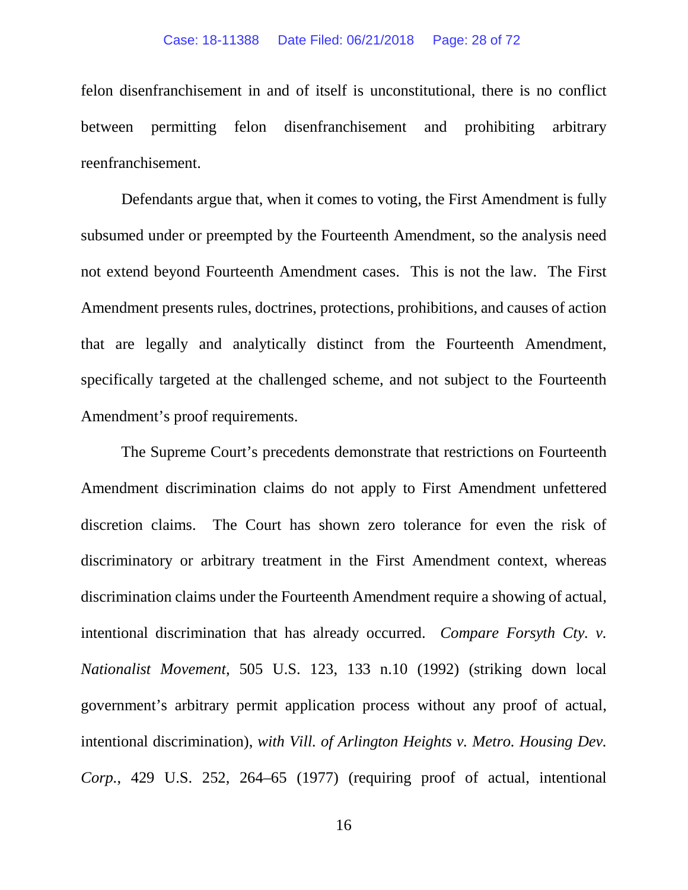felon disenfranchisement in and of itself is unconstitutional, there is no conflict between permitting felon disenfranchisement and prohibiting arbitrary reenfranchisement.

Defendants argue that, when it comes to voting, the First Amendment is fully subsumed under or preempted by the Fourteenth Amendment, so the analysis need not extend beyond Fourteenth Amendment cases. This is not the law. The First Amendment presents rules, doctrines, protections, prohibitions, and causes of action that are legally and analytically distinct from the Fourteenth Amendment, specifically targeted at the challenged scheme, and not subject to the Fourteenth Amendment's proof requirements.

The Supreme Court's precedents demonstrate that restrictions on Fourteenth Amendment discrimination claims do not apply to First Amendment unfettered discretion claims. The Court has shown zero tolerance for even the risk of discriminatory or arbitrary treatment in the First Amendment context, whereas discrimination claims under the Fourteenth Amendment require a showing of actual, intentional discrimination that has already occurred. *Compare Forsyth Cty. v. Nationalist Movement*, 505 U.S. 123, 133 n.10 (1992) (striking down local government's arbitrary permit application process without any proof of actual, intentional discrimination), *with Vill. of Arlington Heights v. Metro. Housing Dev. Corp.*, 429 U.S. 252, 264–65 (1977) (requiring proof of actual, intentional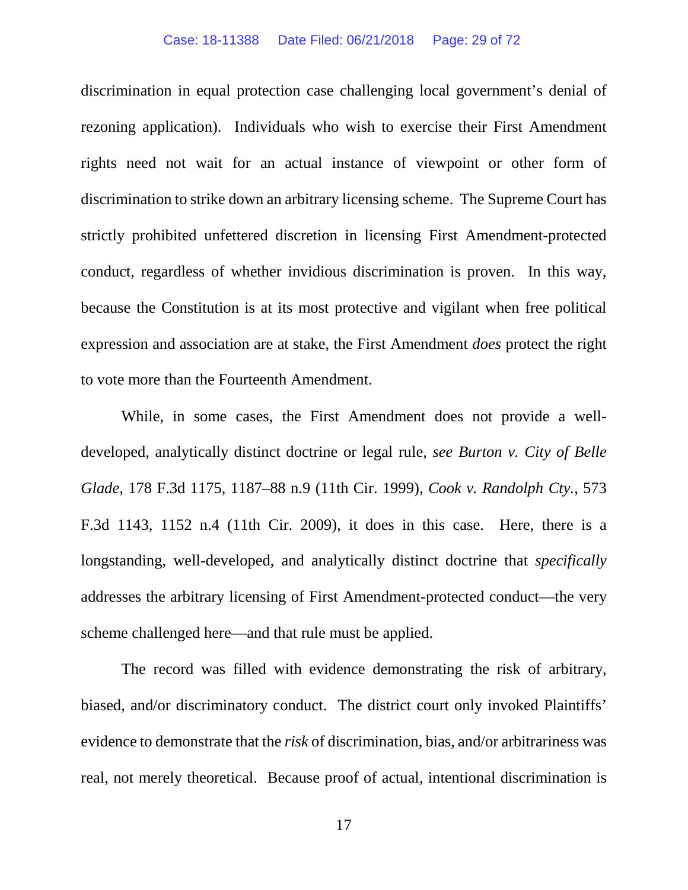#### Case: 18-11388 Date Filed: 06/21/2018 Page: 29 of 72

discrimination in equal protection case challenging local government's denial of rezoning application). Individuals who wish to exercise their First Amendment rights need not wait for an actual instance of viewpoint or other form of discrimination to strike down an arbitrary licensing scheme. The Supreme Court has strictly prohibited unfettered discretion in licensing First Amendment-protected conduct, regardless of whether invidious discrimination is proven. In this way, because the Constitution is at its most protective and vigilant when free political expression and association are at stake, the First Amendment *does* protect the right to vote more than the Fourteenth Amendment.

While, in some cases, the First Amendment does not provide a welldeveloped, analytically distinct doctrine or legal rule, *see Burton v. City of Belle Glade*, 178 F.3d 1175, 1187–88 n.9 (11th Cir. 1999), *Cook v. Randolph Cty.*, 573 F.3d 1143, 1152 n.4 (11th Cir. 2009), it does in this case. Here, there is a longstanding, well-developed, and analytically distinct doctrine that *specifically* addresses the arbitrary licensing of First Amendment-protected conduct—the very scheme challenged here—and that rule must be applied.

The record was filled with evidence demonstrating the risk of arbitrary, biased, and/or discriminatory conduct. The district court only invoked Plaintiffs' evidence to demonstrate that the *risk* of discrimination, bias, and/or arbitrariness was real, not merely theoretical. Because proof of actual, intentional discrimination is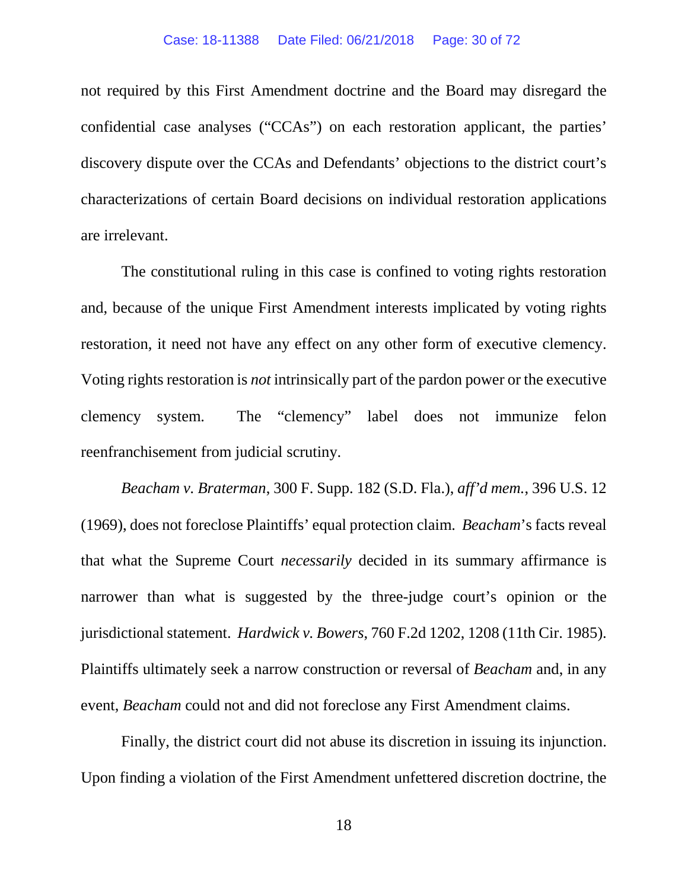not required by this First Amendment doctrine and the Board may disregard the confidential case analyses ("CCAs") on each restoration applicant, the parties' discovery dispute over the CCAs and Defendants' objections to the district court's characterizations of certain Board decisions on individual restoration applications are irrelevant.

The constitutional ruling in this case is confined to voting rights restoration and, because of the unique First Amendment interests implicated by voting rights restoration, it need not have any effect on any other form of executive clemency. Voting rights restoration is *not* intrinsically part of the pardon power or the executive clemency system. The "clemency" label does not immunize felon reenfranchisement from judicial scrutiny.

*Beacham v. Braterman*, 300 F. Supp. 182 (S.D. Fla.), *aff'd mem.*, 396 U.S. 12 (1969), does not foreclose Plaintiffs' equal protection claim. *Beacham*'s facts reveal that what the Supreme Court *necessarily* decided in its summary affirmance is narrower than what is suggested by the three-judge court's opinion or the jurisdictional statement. *Hardwick v. Bowers*, 760 F.2d 1202, 1208 (11th Cir. 1985). Plaintiffs ultimately seek a narrow construction or reversal of *Beacham* and, in any event, *Beacham* could not and did not foreclose any First Amendment claims.

Finally, the district court did not abuse its discretion in issuing its injunction. Upon finding a violation of the First Amendment unfettered discretion doctrine, the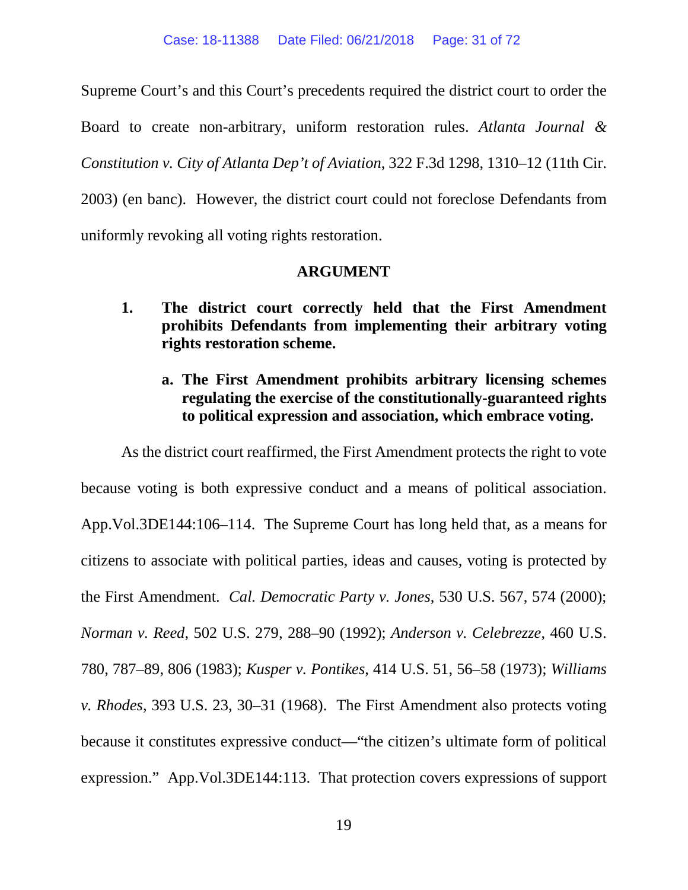Supreme Court's and this Court's precedents required the district court to order the

Board to create non-arbitrary, uniform restoration rules. *Atlanta Journal &* 

*Constitution v. City of Atlanta Dep't of Aviation*, 322 F.3d 1298, 1310–12 (11th Cir.

2003) (en banc). However, the district court could not foreclose Defendants from uniformly revoking all voting rights restoration.

### **ARGUMENT**

- **1. The district court correctly held that the First Amendment prohibits Defendants from implementing their arbitrary voting rights restoration scheme.** 
	- **a. The First Amendment prohibits arbitrary licensing schemes regulating the exercise of the constitutionally-guaranteed rights to political expression and association, which embrace voting.**

As the district court reaffirmed, the First Amendment protects the right to vote because voting is both expressive conduct and a means of political association. App.Vol.3DE144:106–114. The Supreme Court has long held that, as a means for citizens to associate with political parties, ideas and causes, voting is protected by the First Amendment. *Cal. Democratic Party v. Jones*, 530 U.S. 567, 574 (2000); *Norman v. Reed*, 502 U.S. 279, 288–90 (1992); *Anderson v. Celebrezze*, 460 U.S. 780, 787–89, 806 (1983); *Kusper v. Pontikes*, 414 U.S. 51, 56–58 (1973); *Williams v. Rhodes*, 393 U.S. 23, 30–31 (1968). The First Amendment also protects voting because it constitutes expressive conduct—"the citizen's ultimate form of political expression." App.Vol.3DE144:113. That protection covers expressions of support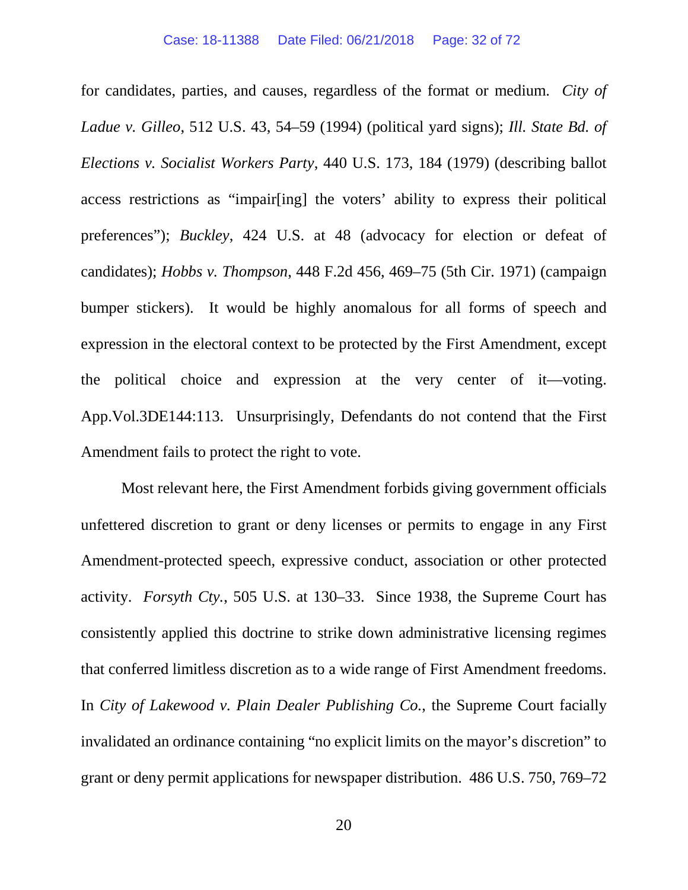for candidates, parties, and causes, regardless of the format or medium. *City of Ladue v. Gilleo*, 512 U.S. 43, 54–59 (1994) (political yard signs); *Ill. State Bd. of Elections v. Socialist Workers Party*, 440 U.S. 173, 184 (1979) (describing ballot access restrictions as "impair[ing] the voters' ability to express their political preferences"); *Buckley*, 424 U.S. at 48 (advocacy for election or defeat of candidates); *Hobbs v. Thompson*, 448 F.2d 456, 469–75 (5th Cir. 1971) (campaign bumper stickers). It would be highly anomalous for all forms of speech and expression in the electoral context to be protected by the First Amendment, except the political choice and expression at the very center of it—voting. App.Vol.3DE144:113. Unsurprisingly, Defendants do not contend that the First Amendment fails to protect the right to vote.

Most relevant here, the First Amendment forbids giving government officials unfettered discretion to grant or deny licenses or permits to engage in any First Amendment-protected speech, expressive conduct, association or other protected activity. *Forsyth Cty.*, 505 U.S. at 130–33. Since 1938, the Supreme Court has consistently applied this doctrine to strike down administrative licensing regimes that conferred limitless discretion as to a wide range of First Amendment freedoms. In *City of Lakewood v. Plain Dealer Publishing Co.*, the Supreme Court facially invalidated an ordinance containing "no explicit limits on the mayor's discretion" to grant or deny permit applications for newspaper distribution. 486 U.S. 750, 769–72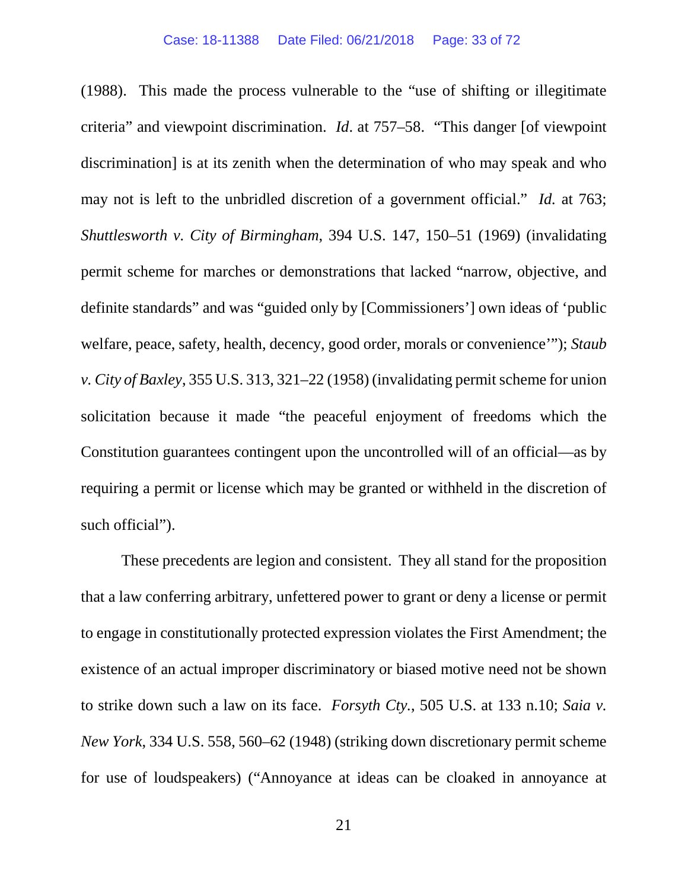(1988). This made the process vulnerable to the "use of shifting or illegitimate criteria" and viewpoint discrimination. *Id*. at 757–58. "This danger [of viewpoint discrimination] is at its zenith when the determination of who may speak and who may not is left to the unbridled discretion of a government official." *Id.* at 763; *Shuttlesworth v. City of Birmingham*, 394 U.S. 147, 150–51 (1969) (invalidating permit scheme for marches or demonstrations that lacked "narrow, objective, and definite standards" and was "guided only by [Commissioners'] own ideas of 'public welfare, peace, safety, health, decency, good order, morals or convenience'"); *Staub v. City of Baxley*, 355 U.S. 313, 321–22 (1958) (invalidating permit scheme for union solicitation because it made "the peaceful enjoyment of freedoms which the Constitution guarantees contingent upon the uncontrolled will of an official—as by requiring a permit or license which may be granted or withheld in the discretion of such official").

These precedents are legion and consistent. They all stand for the proposition that a law conferring arbitrary, unfettered power to grant or deny a license or permit to engage in constitutionally protected expression violates the First Amendment; the existence of an actual improper discriminatory or biased motive need not be shown to strike down such a law on its face. *Forsyth Cty.*, 505 U.S. at 133 n.10; *Saia v. New York*, 334 U.S. 558, 560–62 (1948) (striking down discretionary permit scheme for use of loudspeakers) ("Annoyance at ideas can be cloaked in annoyance at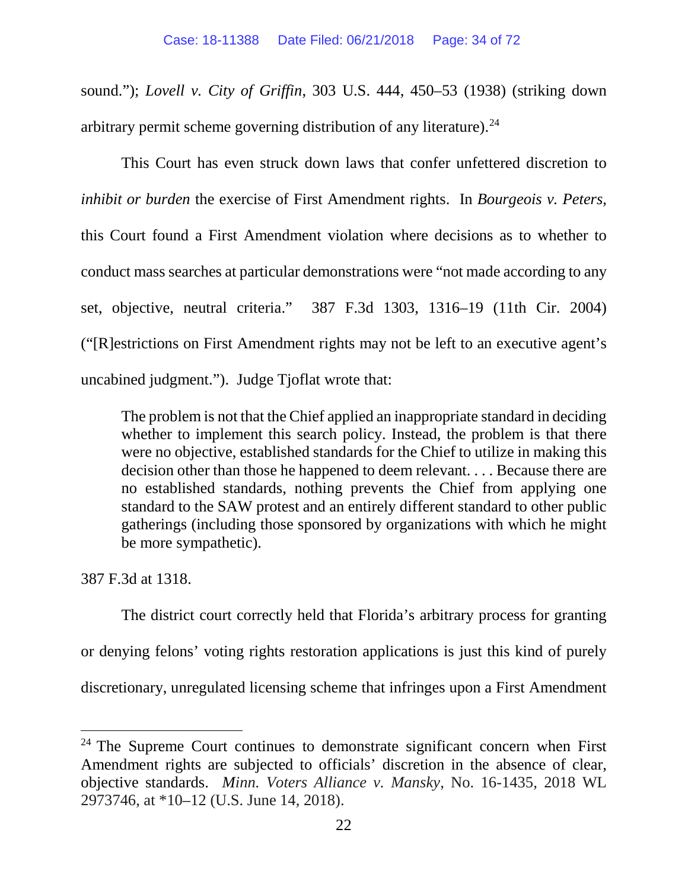sound."); *Lovell v. City of Griffin*, 303 U.S. 444, 450–53 (1938) (striking down arbitrary permit scheme governing distribution of any literature).<sup>24</sup>

This Court has even struck down laws that confer unfettered discretion to *inhibit or burden* the exercise of First Amendment rights. In *Bourgeois v. Peters*, this Court found a First Amendment violation where decisions as to whether to conduct mass searches at particular demonstrations were "not made according to any set, objective, neutral criteria." 387 F.3d 1303, 1316–19 (11th Cir. 2004) ("[R]estrictions on First Amendment rights may not be left to an executive agent's uncabined judgment."). Judge Tjoflat wrote that:

The problem is not that the Chief applied an inappropriate standard in deciding whether to implement this search policy. Instead, the problem is that there were no objective, established standards for the Chief to utilize in making this decision other than those he happened to deem relevant. . . . Because there are no established standards, nothing prevents the Chief from applying one standard to the SAW protest and an entirely different standard to other public gatherings (including those sponsored by organizations with which he might be more sympathetic).

387 F.3d at 1318.

The district court correctly held that Florida's arbitrary process for granting or denying felons' voting rights restoration applications is just this kind of purely discretionary, unregulated licensing scheme that infringes upon a First Amendment

<span id="page-33-0"></span><sup>&</sup>lt;sup>24</sup> The Supreme Court continues to demonstrate significant concern when First Amendment rights are subjected to officials' discretion in the absence of clear, objective standards. *Minn. Voters Alliance v. Mansky*, No. 16-1435, 2018 WL 2973746, at \*10–12 (U.S. June 14, 2018).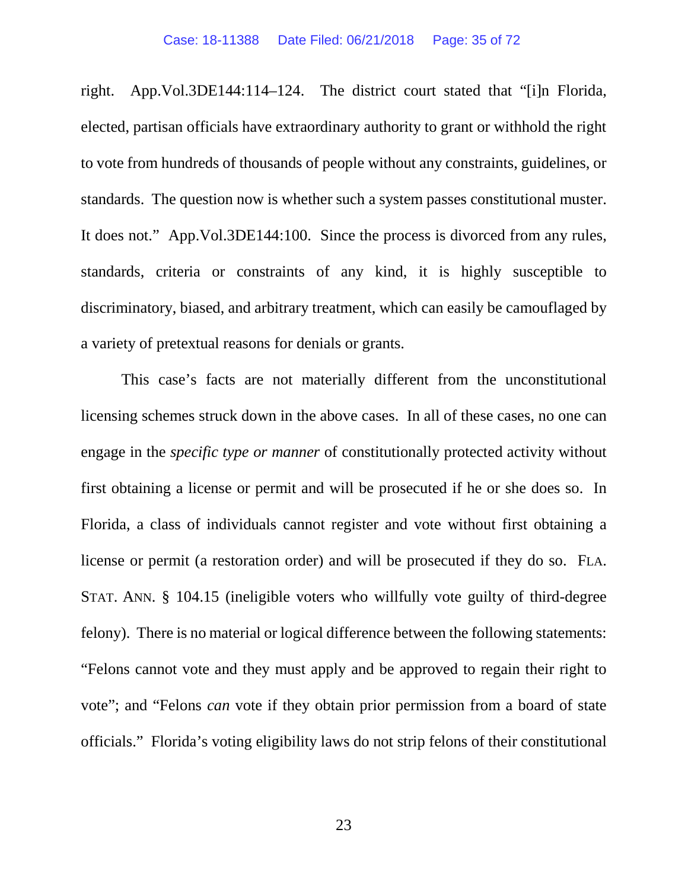right. App.Vol.3DE144:114–124. The district court stated that "[i]n Florida, elected, partisan officials have extraordinary authority to grant or withhold the right to vote from hundreds of thousands of people without any constraints, guidelines, or standards. The question now is whether such a system passes constitutional muster. It does not." App.Vol.3DE144:100. Since the process is divorced from any rules, standards, criteria or constraints of any kind, it is highly susceptible to discriminatory, biased, and arbitrary treatment, which can easily be camouflaged by a variety of pretextual reasons for denials or grants.

This case's facts are not materially different from the unconstitutional licensing schemes struck down in the above cases. In all of these cases, no one can engage in the *specific type or manner* of constitutionally protected activity without first obtaining a license or permit and will be prosecuted if he or she does so. In Florida, a class of individuals cannot register and vote without first obtaining a license or permit (a restoration order) and will be prosecuted if they do so. FLA. STAT. ANN. § 104.15 (ineligible voters who willfully vote guilty of third-degree felony). There is no material or logical difference between the following statements: "Felons cannot vote and they must apply and be approved to regain their right to vote"; and "Felons *can* vote if they obtain prior permission from a board of state officials." Florida's voting eligibility laws do not strip felons of their constitutional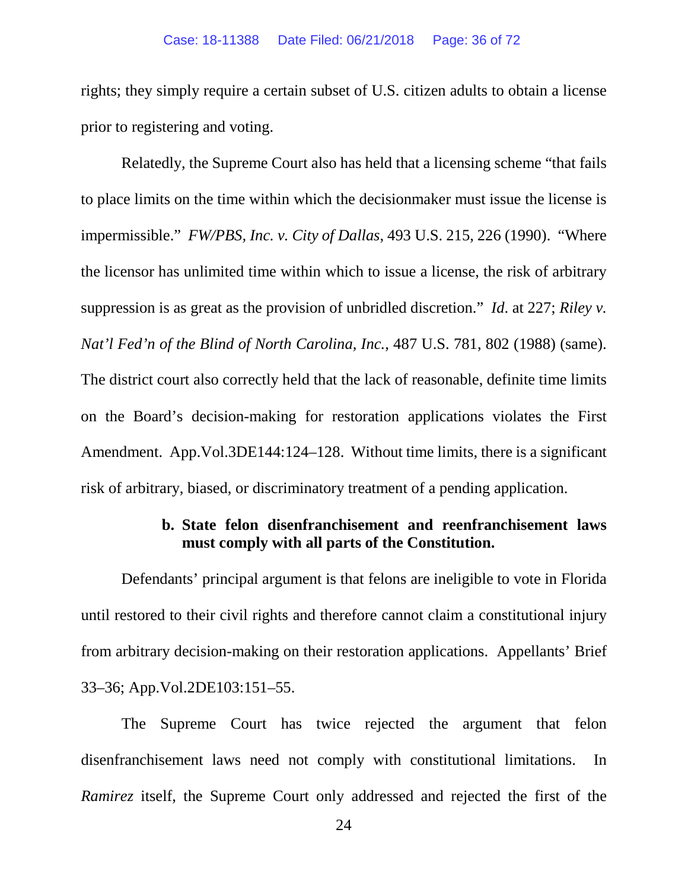rights; they simply require a certain subset of U.S. citizen adults to obtain a license prior to registering and voting.

Relatedly, the Supreme Court also has held that a licensing scheme "that fails to place limits on the time within which the decisionmaker must issue the license is impermissible." *FW/PBS, Inc. v. City of Dallas*, 493 U.S. 215, 226 (1990). "Where the licensor has unlimited time within which to issue a license, the risk of arbitrary suppression is as great as the provision of unbridled discretion." *Id*. at 227; *Riley v. Nat'l Fed'n of the Blind of North Carolina, Inc.*, 487 U.S. 781, 802 (1988) (same). The district court also correctly held that the lack of reasonable, definite time limits on the Board's decision-making for restoration applications violates the First Amendment. App.Vol.3DE144:124–128. Without time limits, there is a significant risk of arbitrary, biased, or discriminatory treatment of a pending application.

### **b. State felon disenfranchisement and reenfranchisement laws must comply with all parts of the Constitution.**

Defendants' principal argument is that felons are ineligible to vote in Florida until restored to their civil rights and therefore cannot claim a constitutional injury from arbitrary decision-making on their restoration applications. Appellants' Brief 33–36; App.Vol.2DE103:151–55.

The Supreme Court has twice rejected the argument that felon disenfranchisement laws need not comply with constitutional limitations. In *Ramirez* itself, the Supreme Court only addressed and rejected the first of the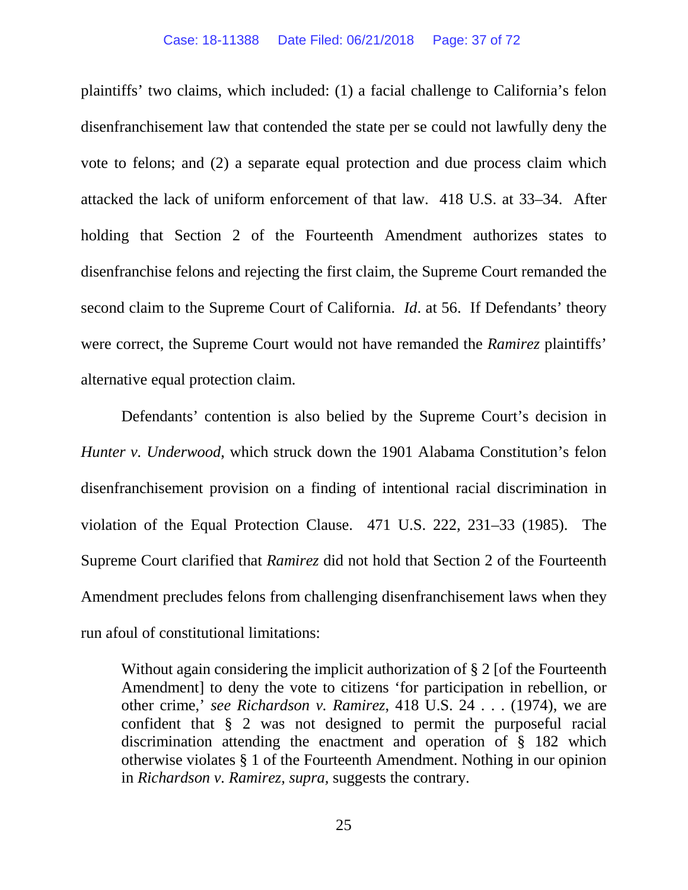plaintiffs' two claims, which included: (1) a facial challenge to California's felon disenfranchisement law that contended the state per se could not lawfully deny the vote to felons; and (2) a separate equal protection and due process claim which attacked the lack of uniform enforcement of that law. 418 U.S. at 33–34. After holding that Section 2 of the Fourteenth Amendment authorizes states to disenfranchise felons and rejecting the first claim, the Supreme Court remanded the second claim to the Supreme Court of California. *Id*. at 56. If Defendants' theory were correct, the Supreme Court would not have remanded the *Ramirez* plaintiffs' alternative equal protection claim.

Defendants' contention is also belied by the Supreme Court's decision in *Hunter v. Underwood*, which struck down the 1901 Alabama Constitution's felon disenfranchisement provision on a finding of intentional racial discrimination in violation of the Equal Protection Clause. 471 U.S. 222, 231–33 (1985). The Supreme Court clarified that *Ramirez* did not hold that Section 2 of the Fourteenth Amendment precludes felons from challenging disenfranchisement laws when they run afoul of constitutional limitations:

Without again considering the implicit authorization of § 2 [of the Fourteenth Amendment] to deny the vote to citizens 'for participation in rebellion, or other crime,' *see Richardson v. Ramirez*, 418 U.S. 24 . . . (1974), we are confident that § 2 was not designed to permit the purposeful racial discrimination attending the enactment and operation of § 182 which otherwise violates § 1 of the Fourteenth Amendment. Nothing in our opinion in *Richardson v. Ramirez, supra,* suggests the contrary.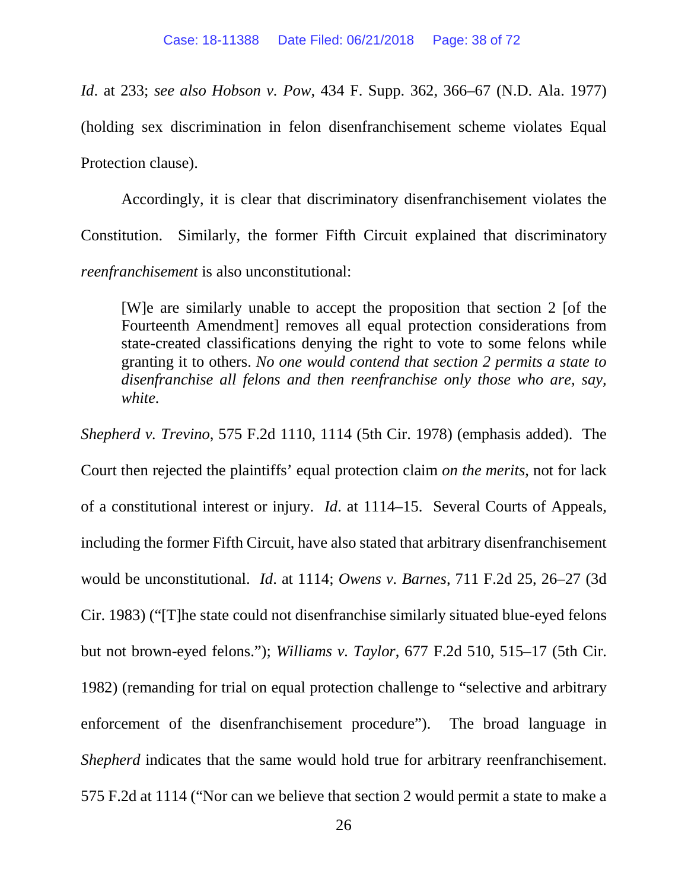*Id*. at 233; *see also Hobson v. Pow*, 434 F. Supp. 362, 366–67 (N.D. Ala. 1977) (holding sex discrimination in felon disenfranchisement scheme violates Equal Protection clause).

Accordingly, it is clear that discriminatory disenfranchisement violates the Constitution. Similarly, the former Fifth Circuit explained that discriminatory *reenfranchisement* is also unconstitutional:

[W]e are similarly unable to accept the proposition that section 2 [of the Fourteenth Amendment] removes all equal protection considerations from state-created classifications denying the right to vote to some felons while granting it to others. *No one would contend that section 2 permits a state to disenfranchise all felons and then reenfranchise only those who are, say, white.* 

*Shepherd v. Trevino*, 575 F.2d 1110, 1114 (5th Cir. 1978) (emphasis added). The Court then rejected the plaintiffs' equal protection claim *on the merits*, not for lack of a constitutional interest or injury. *Id*. at 1114–15. Several Courts of Appeals, including the former Fifth Circuit, have also stated that arbitrary disenfranchisement would be unconstitutional. *Id*. at 1114; *Owens v. Barnes*, 711 F.2d 25, 26–27 (3d Cir. 1983) ("[T]he state could not disenfranchise similarly situated blue-eyed felons but not brown-eyed felons."); *Williams v. Taylor*, 677 F.2d 510, 515–17 (5th Cir. 1982) (remanding for trial on equal protection challenge to "selective and arbitrary enforcement of the disenfranchisement procedure"). The broad language in *Shepherd* indicates that the same would hold true for arbitrary reenfranchisement. 575 F.2d at 1114 ("Nor can we believe that section 2 would permit a state to make a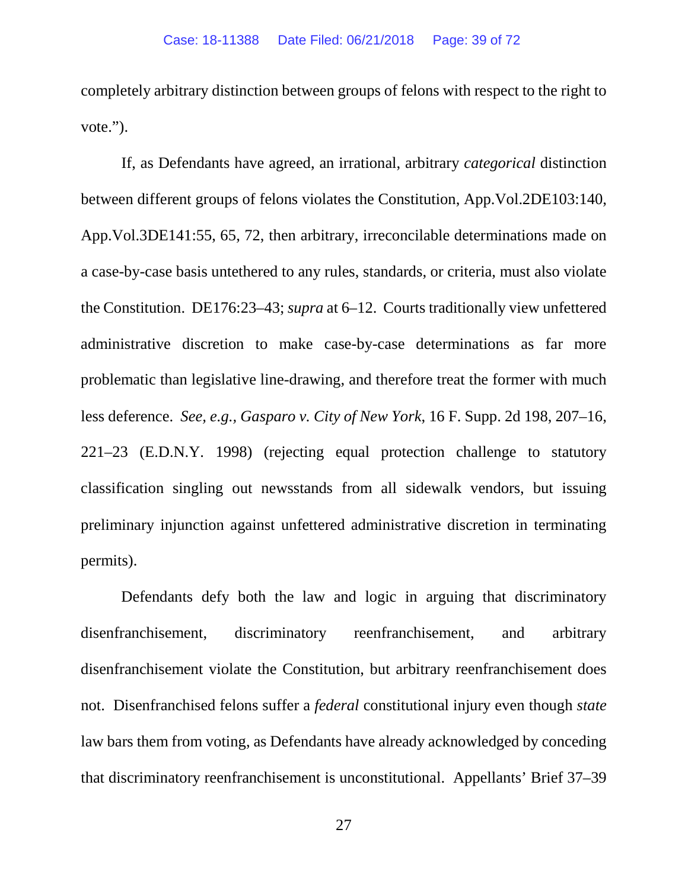completely arbitrary distinction between groups of felons with respect to the right to vote.").

If, as Defendants have agreed, an irrational, arbitrary *categorical* distinction between different groups of felons violates the Constitution, App.Vol.2DE103:140, App.Vol.3DE141:55, 65, 72, then arbitrary, irreconcilable determinations made on a case-by-case basis untethered to any rules, standards, or criteria, must also violate the Constitution. DE176:23–43; *supra* at 6–12. Courts traditionally view unfettered administrative discretion to make case-by-case determinations as far more problematic than legislative line-drawing, and therefore treat the former with much less deference. *See, e.g., Gasparo v. City of New York*, 16 F. Supp. 2d 198, 207–16, 221–23 (E.D.N.Y. 1998) (rejecting equal protection challenge to statutory classification singling out newsstands from all sidewalk vendors, but issuing preliminary injunction against unfettered administrative discretion in terminating permits).

Defendants defy both the law and logic in arguing that discriminatory disenfranchisement, discriminatory reenfranchisement, and arbitrary disenfranchisement violate the Constitution, but arbitrary reenfranchisement does not. Disenfranchised felons suffer a *federal* constitutional injury even though *state* law bars them from voting, as Defendants have already acknowledged by conceding that discriminatory reenfranchisement is unconstitutional. Appellants' Brief 37–39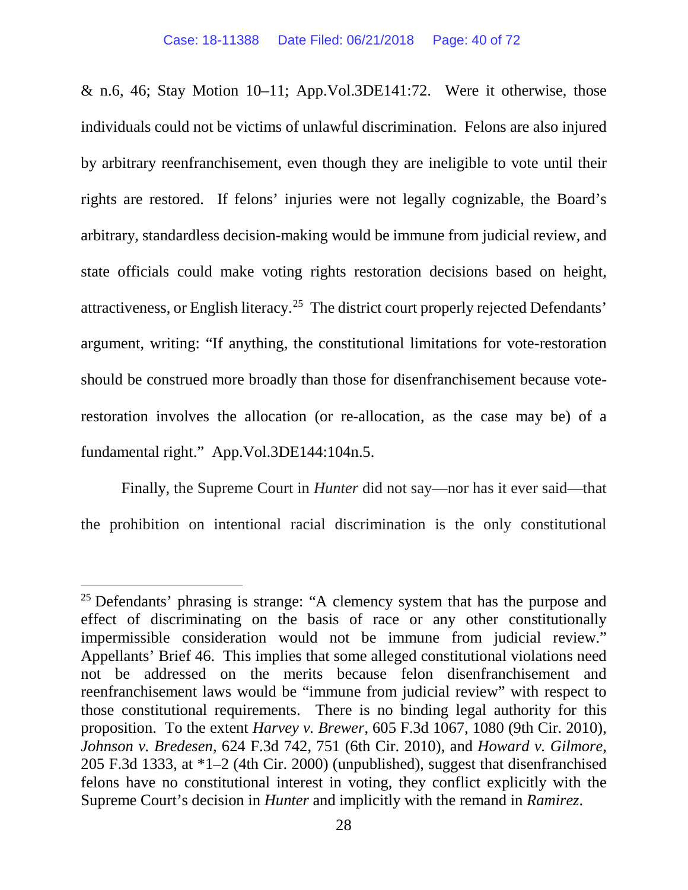& n.6, 46; Stay Motion 10–11; App.Vol.3DE141:72. Were it otherwise, those individuals could not be victims of unlawful discrimination. Felons are also injured by arbitrary reenfranchisement, even though they are ineligible to vote until their rights are restored. If felons' injuries were not legally cognizable, the Board's arbitrary, standardless decision-making would be immune from judicial review, and state officials could make voting rights restoration decisions based on height, attractiveness, or English literacy.<sup>25</sup> The district court properly rejected Defendants' argument, writing: "If anything, the constitutional limitations for vote-restoration should be construed more broadly than those for disenfranchisement because voterestoration involves the allocation (or re-allocation, as the case may be) of a fundamental right." App.Vol.3DE144:104n.5.

Finally, the Supreme Court in *Hunter* did not say—nor has it ever said—that the prohibition on intentional racial discrimination is the only constitutional

<span id="page-39-0"></span><sup>&</sup>lt;sup>25</sup> Defendants' phrasing is strange: "A clemency system that has the purpose and effect of discriminating on the basis of race or any other constitutionally impermissible consideration would not be immune from judicial review." Appellants' Brief 46. This implies that some alleged constitutional violations need not be addressed on the merits because felon disenfranchisement and reenfranchisement laws would be "immune from judicial review" with respect to those constitutional requirements. There is no binding legal authority for this proposition. To the extent *Harvey v. Brewer*, 605 F.3d 1067, 1080 (9th Cir. 2010), *Johnson v. Bredesen*, 624 F.3d 742, 751 (6th Cir. 2010), and *Howard v. Gilmore*, 205 F.3d 1333, at \*1–2 (4th Cir. 2000) (unpublished), suggest that disenfranchised felons have no constitutional interest in voting, they conflict explicitly with the Supreme Court's decision in *Hunter* and implicitly with the remand in *Ramirez*.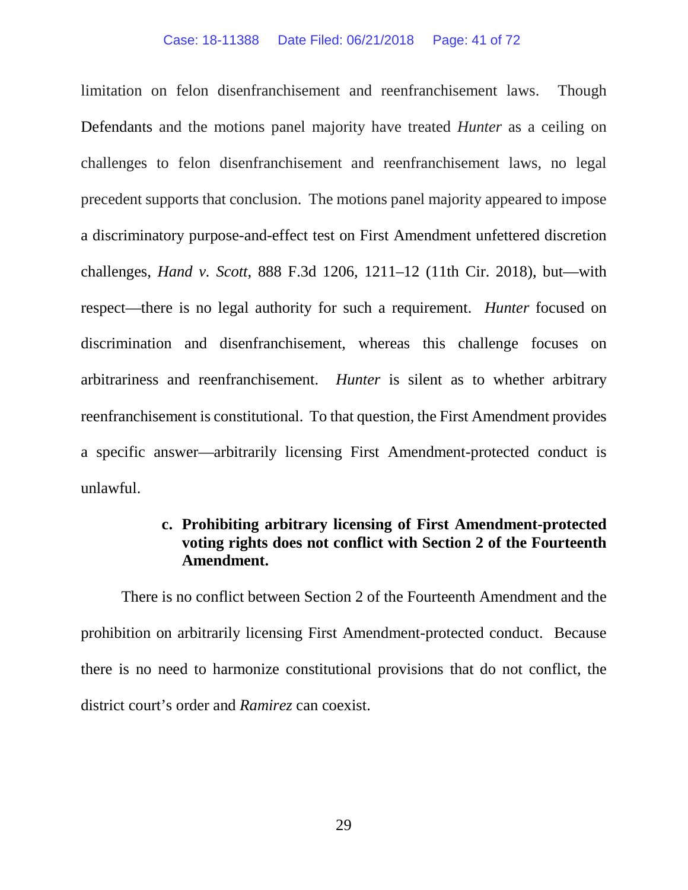#### Case: 18-11388 Date Filed: 06/21/2018 Page: 41 of 72

limitation on felon disenfranchisement and reenfranchisement laws. Though Defendants and the motions panel majority have treated *Hunter* as a ceiling on challenges to felon disenfranchisement and reenfranchisement laws, no legal precedent supports that conclusion. The motions panel majority appeared to impose a discriminatory purpose-and-effect test on First Amendment unfettered discretion challenges, *Hand v. Scott*, 888 F.3d 1206, 1211–12 (11th Cir. 2018), but—with respect—there is no legal authority for such a requirement. *Hunter* focused on discrimination and disenfranchisement, whereas this challenge focuses on arbitrariness and reenfranchisement. *Hunter* is silent as to whether arbitrary reenfranchisement is constitutional. To that question, the First Amendment provides a specific answer—arbitrarily licensing First Amendment-protected conduct is unlawful.

#### **c. Prohibiting arbitrary licensing of First Amendment-protected voting rights does not conflict with Section 2 of the Fourteenth Amendment.**

There is no conflict between Section 2 of the Fourteenth Amendment and the prohibition on arbitrarily licensing First Amendment-protected conduct. Because there is no need to harmonize constitutional provisions that do not conflict, the district court's order and *Ramirez* can coexist.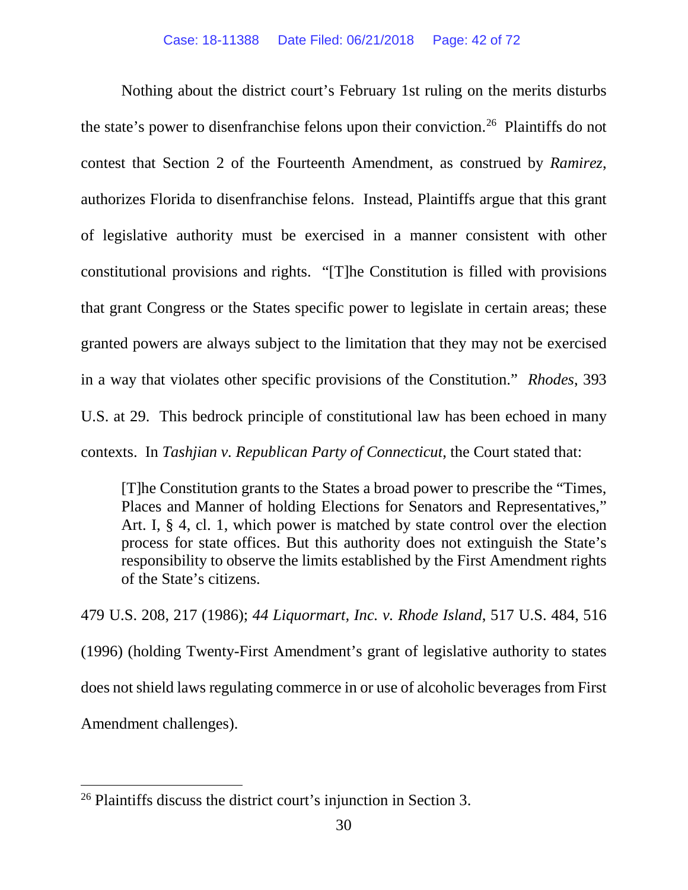Nothing about the district court's February 1st ruling on the merits disturbs the state's power to disenfranchise felons upon their conviction. [26](#page-41-0) Plaintiffs do not contest that Section 2 of the Fourteenth Amendment, as construed by *Ramirez*, authorizes Florida to disenfranchise felons. Instead, Plaintiffs argue that this grant of legislative authority must be exercised in a manner consistent with other constitutional provisions and rights. "[T]he Constitution is filled with provisions that grant Congress or the States specific power to legislate in certain areas; these granted powers are always subject to the limitation that they may not be exercised in a way that violates other specific provisions of the Constitution." *Rhodes*, 393 U.S. at 29. This bedrock principle of constitutional law has been echoed in many contexts. In *Tashjian v. Republican Party of Connecticut*, the Court stated that:

[T]he Constitution grants to the States a broad power to prescribe the "Times, Places and Manner of holding Elections for Senators and Representatives," Art. I, § 4, cl. 1, which power is matched by state control over the election process for state offices. But this authority does not extinguish the State's responsibility to observe the limits established by the First Amendment rights of the State's citizens.

479 U.S. 208, 217 (1986); *44 Liquormart, Inc. v. Rhode Island*, 517 U.S. 484, 516 (1996) (holding Twenty-First Amendment's grant of legislative authority to states does not shield laws regulating commerce in or use of alcoholic beverages from First Amendment challenges).

<span id="page-41-0"></span><sup>26</sup> Plaintiffs discuss the district court's injunction in Section 3.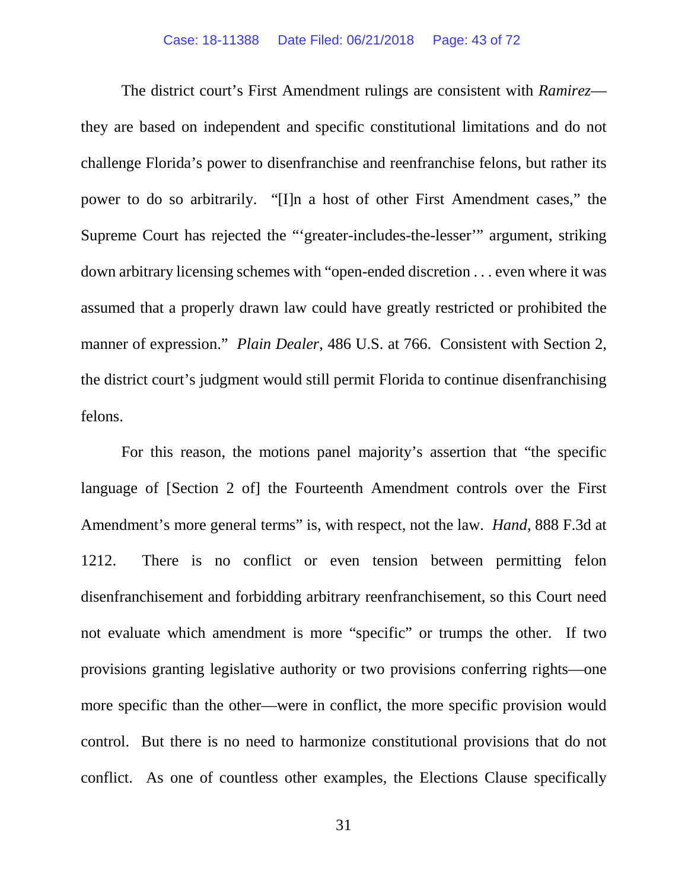The district court's First Amendment rulings are consistent with *Ramirez* they are based on independent and specific constitutional limitations and do not challenge Florida's power to disenfranchise and reenfranchise felons, but rather its power to do so arbitrarily. "[I]n a host of other First Amendment cases," the Supreme Court has rejected the "'greater-includes-the-lesser'" argument, striking down arbitrary licensing schemes with "open-ended discretion . . . even where it was assumed that a properly drawn law could have greatly restricted or prohibited the manner of expression." *Plain Dealer*, 486 U.S. at 766. Consistent with Section 2, the district court's judgment would still permit Florida to continue disenfranchising felons.

For this reason, the motions panel majority's assertion that "the specific language of [Section 2 of] the Fourteenth Amendment controls over the First Amendment's more general terms" is, with respect, not the law. *Hand*, 888 F.3d at 1212. There is no conflict or even tension between permitting felon disenfranchisement and forbidding arbitrary reenfranchisement, so this Court need not evaluate which amendment is more "specific" or trumps the other. If two provisions granting legislative authority or two provisions conferring rights—one more specific than the other—were in conflict, the more specific provision would control. But there is no need to harmonize constitutional provisions that do not conflict. As one of countless other examples, the Elections Clause specifically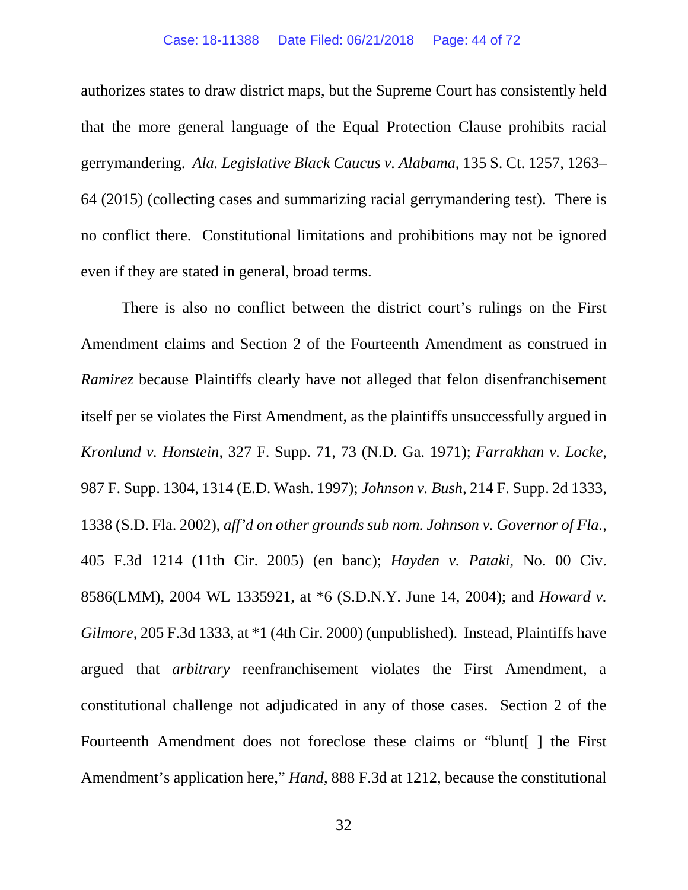authorizes states to draw district maps, but the Supreme Court has consistently held that the more general language of the Equal Protection Clause prohibits racial gerrymandering. *Ala. Legislative Black Caucus v. Alabama*, 135 S. Ct. 1257, 1263– 64 (2015) (collecting cases and summarizing racial gerrymandering test). There is no conflict there. Constitutional limitations and prohibitions may not be ignored even if they are stated in general, broad terms.

There is also no conflict between the district court's rulings on the First Amendment claims and Section 2 of the Fourteenth Amendment as construed in *Ramirez* because Plaintiffs clearly have not alleged that felon disenfranchisement itself per se violates the First Amendment, as the plaintiffs unsuccessfully argued in *Kronlund v. Honstein*, 327 F. Supp. 71, 73 (N.D. Ga. 1971); *Farrakhan v. Locke*, 987 F. Supp. 1304, 1314 (E.D. Wash. 1997); *Johnson v. Bush*, 214 F. Supp. 2d 1333, 1338 (S.D. Fla. 2002), *aff'd on other grounds sub nom. Johnson v. Governor of Fla.*, 405 F.3d 1214 (11th Cir. 2005) (en banc); *Hayden v. Pataki*, No. 00 Civ. 8586(LMM), 2004 WL 1335921, at \*6 (S.D.N.Y. June 14, 2004); and *Howard v. Gilmore*, 205 F.3d 1333, at \*1 (4th Cir. 2000) (unpublished). Instead, Plaintiffs have argued that *arbitrary* reenfranchisement violates the First Amendment, a constitutional challenge not adjudicated in any of those cases. Section 2 of the Fourteenth Amendment does not foreclose these claims or "blunt[ ] the First Amendment's application here," *Hand*, 888 F.3d at 1212, because the constitutional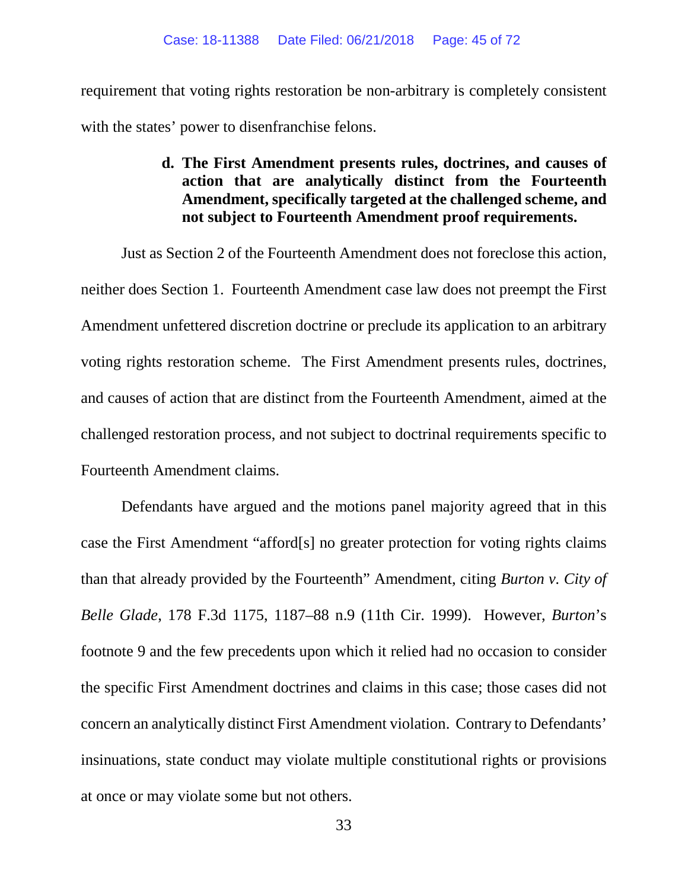requirement that voting rights restoration be non-arbitrary is completely consistent with the states' power to disenfranchise felons.

# **d. The First Amendment presents rules, doctrines, and causes of action that are analytically distinct from the Fourteenth Amendment, specifically targeted at the challenged scheme, and not subject to Fourteenth Amendment proof requirements.**

Just as Section 2 of the Fourteenth Amendment does not foreclose this action, neither does Section 1. Fourteenth Amendment case law does not preempt the First Amendment unfettered discretion doctrine or preclude its application to an arbitrary voting rights restoration scheme. The First Amendment presents rules, doctrines, and causes of action that are distinct from the Fourteenth Amendment, aimed at the challenged restoration process, and not subject to doctrinal requirements specific to Fourteenth Amendment claims.

Defendants have argued and the motions panel majority agreed that in this case the First Amendment "afford[s] no greater protection for voting rights claims than that already provided by the Fourteenth" Amendment, citing *Burton v. City of Belle Glade*, 178 F.3d 1175, 1187–88 n.9 (11th Cir. 1999). However, *Burton*'s footnote 9 and the few precedents upon which it relied had no occasion to consider the specific First Amendment doctrines and claims in this case; those cases did not concern an analytically distinct First Amendment violation. Contrary to Defendants' insinuations, state conduct may violate multiple constitutional rights or provisions at once or may violate some but not others.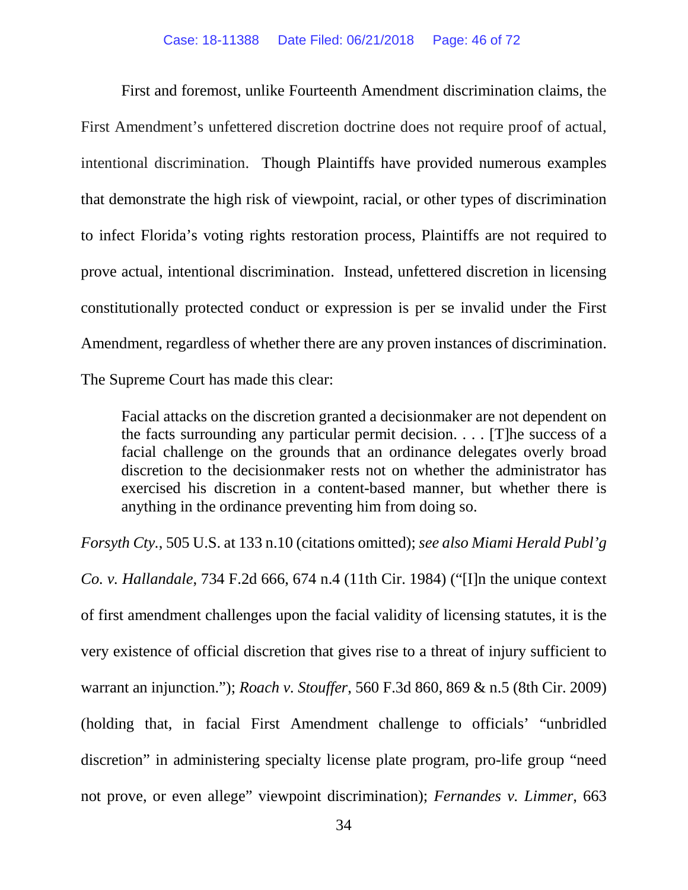First and foremost, unlike Fourteenth Amendment discrimination claims, the First Amendment's unfettered discretion doctrine does not require proof of actual, intentional discrimination. Though Plaintiffs have provided numerous examples that demonstrate the high risk of viewpoint, racial, or other types of discrimination to infect Florida's voting rights restoration process, Plaintiffs are not required to prove actual, intentional discrimination. Instead, unfettered discretion in licensing constitutionally protected conduct or expression is per se invalid under the First Amendment, regardless of whether there are any proven instances of discrimination. The Supreme Court has made this clear:

Facial attacks on the discretion granted a decisionmaker are not dependent on the facts surrounding any particular permit decision. . . . [T]he success of a facial challenge on the grounds that an ordinance delegates overly broad discretion to the decisionmaker rests not on whether the administrator has exercised his discretion in a content-based manner, but whether there is anything in the ordinance preventing him from doing so.

*Forsyth Cty.*, 505 U.S. at 133 n.10 (citations omitted); *see also Miami Herald Publ'g*

*Co. v. Hallandale*, 734 F.2d 666, 674 n.4 (11th Cir. 1984) ("[I]n the unique context of first amendment challenges upon the facial validity of licensing statutes, it is the very existence of official discretion that gives rise to a threat of injury sufficient to warrant an injunction."); *Roach v. Stouffer*, 560 F.3d 860, 869 & n.5 (8th Cir. 2009) (holding that, in facial First Amendment challenge to officials' "unbridled discretion" in administering specialty license plate program, pro-life group "need not prove, or even allege" viewpoint discrimination); *Fernandes v. Limmer*, 663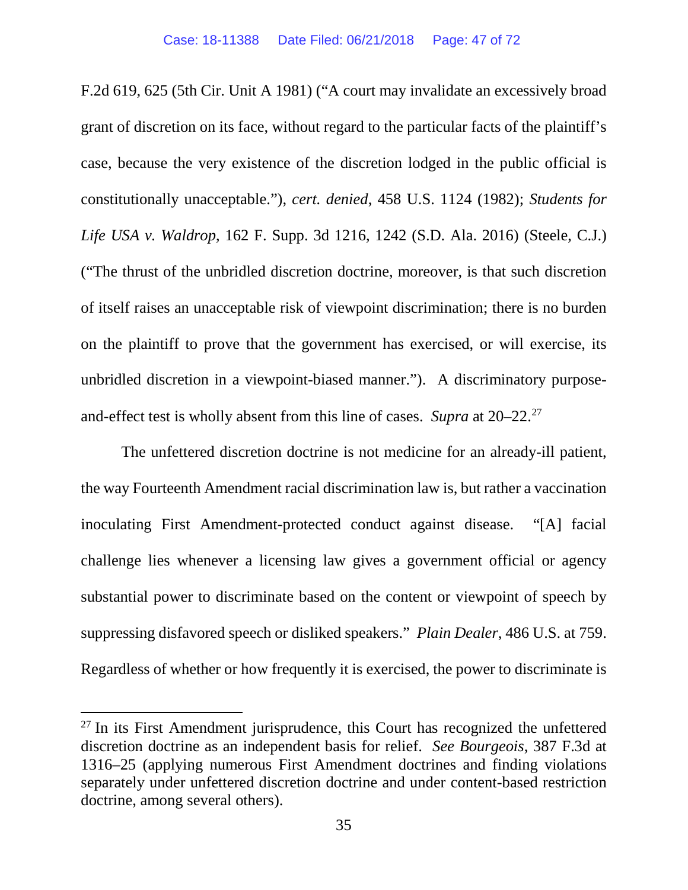F.2d 619, 625 (5th Cir. Unit A 1981) ("A court may invalidate an excessively broad grant of discretion on its face, without regard to the particular facts of the plaintiff's case, because the very existence of the discretion lodged in the public official is constitutionally unacceptable."), *cert. denied*, 458 U.S. 1124 (1982); *Students for Life USA v. Waldrop*, 162 F. Supp. 3d 1216, 1242 (S.D. Ala. 2016) (Steele, C.J.) ("The thrust of the unbridled discretion doctrine, moreover, is that such discretion of itself raises an unacceptable risk of viewpoint discrimination; there is no burden on the plaintiff to prove that the government has exercised, or will exercise, its unbridled discretion in a viewpoint-biased manner."). A discriminatory purposeand-effect test is wholly absent from this line of cases. *Supra* at 20–22. [27](#page-46-0) 

The unfettered discretion doctrine is not medicine for an already-ill patient, the way Fourteenth Amendment racial discrimination law is, but rather a vaccination inoculating First Amendment-protected conduct against disease. "[A] facial challenge lies whenever a licensing law gives a government official or agency substantial power to discriminate based on the content or viewpoint of speech by suppressing disfavored speech or disliked speakers." *Plain Dealer*, 486 U.S. at 759. Regardless of whether or how frequently it is exercised, the power to discriminate is

<span id="page-46-0"></span><sup>&</sup>lt;sup>27</sup> In its First Amendment jurisprudence, this Court has recognized the unfettered discretion doctrine as an independent basis for relief. *See Bourgeois*, 387 F.3d at 1316–25 (applying numerous First Amendment doctrines and finding violations separately under unfettered discretion doctrine and under content-based restriction doctrine, among several others).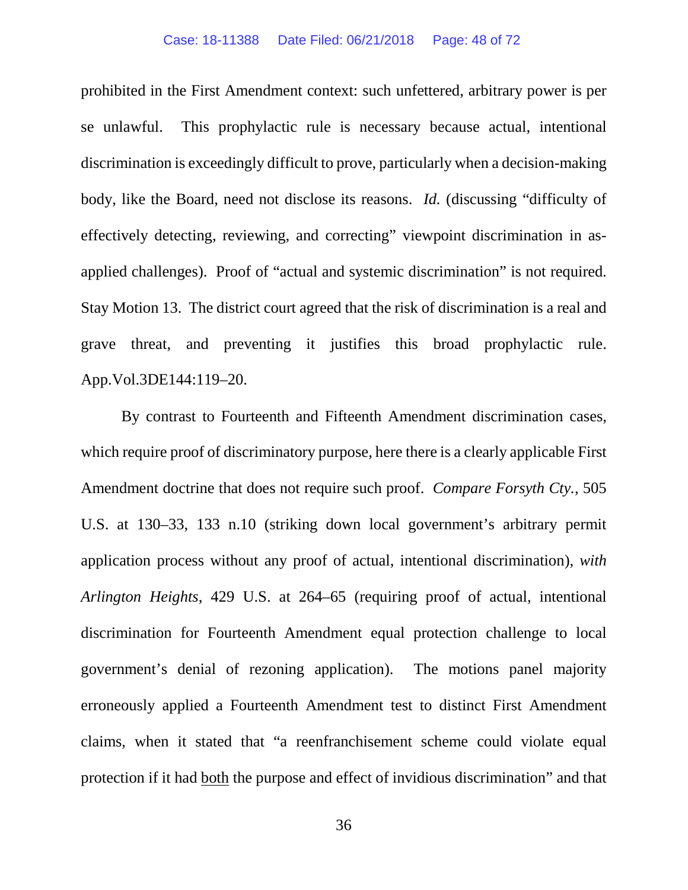#### Case: 18-11388 Date Filed: 06/21/2018 Page: 48 of 72

prohibited in the First Amendment context: such unfettered, arbitrary power is per se unlawful. This prophylactic rule is necessary because actual, intentional discrimination is exceedingly difficult to prove, particularly when a decision-making body, like the Board, need not disclose its reasons. *Id.* (discussing "difficulty of effectively detecting, reviewing, and correcting" viewpoint discrimination in asapplied challenges). Proof of "actual and systemic discrimination" is not required. Stay Motion 13. The district court agreed that the risk of discrimination is a real and grave threat, and preventing it justifies this broad prophylactic rule. App.Vol.3DE144:119–20.

By contrast to Fourteenth and Fifteenth Amendment discrimination cases, which require proof of discriminatory purpose, here there is a clearly applicable First Amendment doctrine that does not require such proof. *Compare Forsyth Cty.*, 505 U.S. at 130–33, 133 n.10 (striking down local government's arbitrary permit application process without any proof of actual, intentional discrimination), *with Arlington Heights*, 429 U.S. at 264–65 (requiring proof of actual, intentional discrimination for Fourteenth Amendment equal protection challenge to local government's denial of rezoning application). The motions panel majority erroneously applied a Fourteenth Amendment test to distinct First Amendment claims, when it stated that "a reenfranchisement scheme could violate equal protection if it had both the purpose and effect of invidious discrimination" and that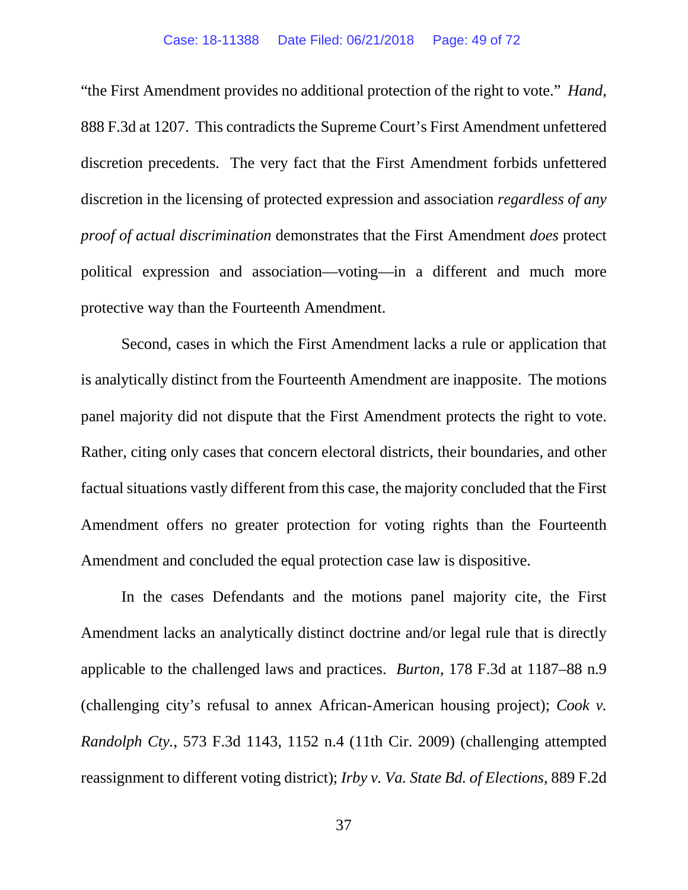#### Case: 18-11388 Date Filed: 06/21/2018 Page: 49 of 72

"the First Amendment provides no additional protection of the right to vote." *Hand*, 888 F.3d at 1207. This contradicts the Supreme Court's First Amendment unfettered discretion precedents. The very fact that the First Amendment forbids unfettered discretion in the licensing of protected expression and association *regardless of any proof of actual discrimination* demonstrates that the First Amendment *does* protect political expression and association—voting—in a different and much more protective way than the Fourteenth Amendment.

Second, cases in which the First Amendment lacks a rule or application that is analytically distinct from the Fourteenth Amendment are inapposite. The motions panel majority did not dispute that the First Amendment protects the right to vote. Rather, citing only cases that concern electoral districts, their boundaries, and other factual situations vastly different from this case, the majority concluded that the First Amendment offers no greater protection for voting rights than the Fourteenth Amendment and concluded the equal protection case law is dispositive.

In the cases Defendants and the motions panel majority cite, the First Amendment lacks an analytically distinct doctrine and/or legal rule that is directly applicable to the challenged laws and practices. *Burton*, 178 F.3d at 1187–88 n.9 (challenging city's refusal to annex African-American housing project); *Cook v. Randolph Cty.*, 573 F.3d 1143, 1152 n.4 (11th Cir. 2009) (challenging attempted reassignment to different voting district); *Irby v. Va. State Bd. of Elections*, 889 F.2d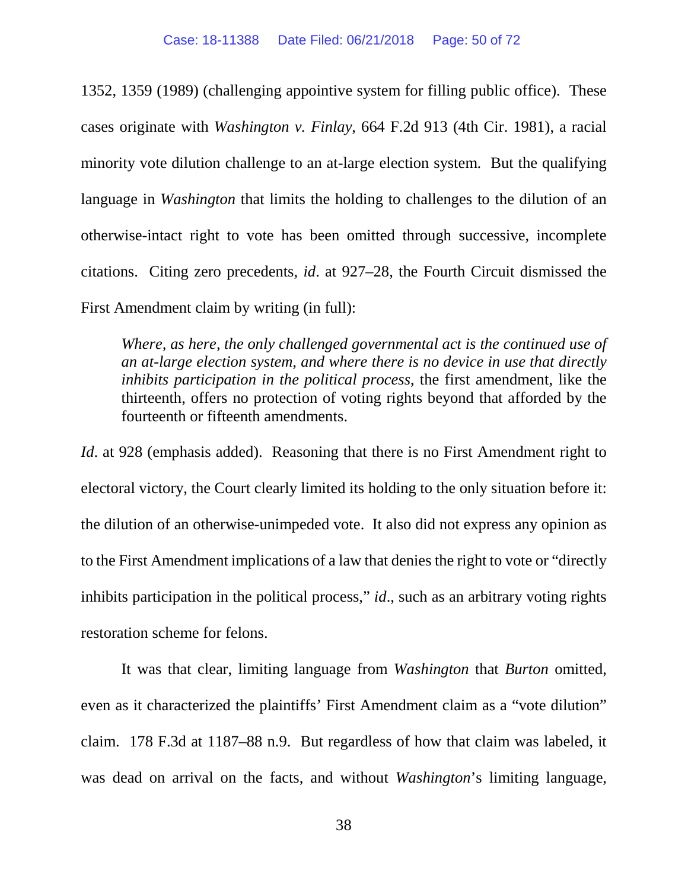1352, 1359 (1989) (challenging appointive system for filling public office). These cases originate with *Washington v. Finlay*, 664 F.2d 913 (4th Cir. 1981), a racial minority vote dilution challenge to an at-large election system. But the qualifying language in *Washington* that limits the holding to challenges to the dilution of an otherwise-intact right to vote has been omitted through successive, incomplete citations. Citing zero precedents, *id*. at 927–28, the Fourth Circuit dismissed the First Amendment claim by writing (in full):

*Where, as here, the only challenged governmental act is the continued use of an at-large election system, and where there is no device in use that directly inhibits participation in the political process*, the first amendment, like the thirteenth, offers no protection of voting rights beyond that afforded by the fourteenth or fifteenth amendments.

*Id.* at 928 (emphasis added). Reasoning that there is no First Amendment right to electoral victory, the Court clearly limited its holding to the only situation before it: the dilution of an otherwise-unimpeded vote. It also did not express any opinion as to the First Amendment implications of a law that denies the right to vote or "directly inhibits participation in the political process," *id.*, such as an arbitrary voting rights restoration scheme for felons.

It was that clear, limiting language from *Washington* that *Burton* omitted, even as it characterized the plaintiffs' First Amendment claim as a "vote dilution" claim. 178 F.3d at 1187–88 n.9. But regardless of how that claim was labeled, it was dead on arrival on the facts, and without *Washington*'s limiting language,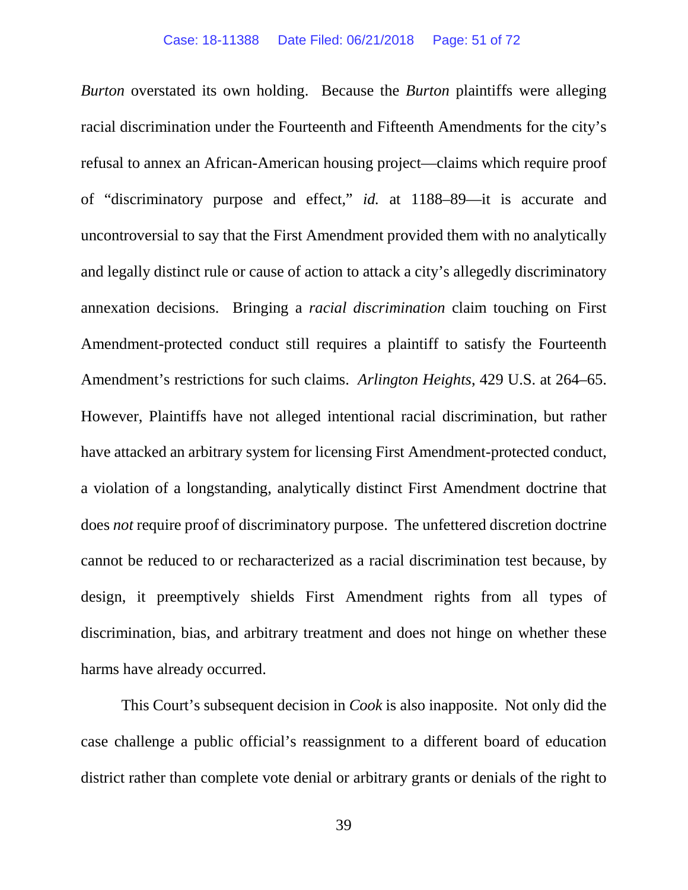*Burton* overstated its own holding. Because the *Burton* plaintiffs were alleging racial discrimination under the Fourteenth and Fifteenth Amendments for the city's refusal to annex an African-American housing project—claims which require proof of "discriminatory purpose and effect," *id.* at 1188–89—it is accurate and uncontroversial to say that the First Amendment provided them with no analytically and legally distinct rule or cause of action to attack a city's allegedly discriminatory annexation decisions. Bringing a *racial discrimination* claim touching on First Amendment-protected conduct still requires a plaintiff to satisfy the Fourteenth Amendment's restrictions for such claims. *Arlington Heights*, 429 U.S. at 264–65. However, Plaintiffs have not alleged intentional racial discrimination, but rather have attacked an arbitrary system for licensing First Amendment-protected conduct, a violation of a longstanding, analytically distinct First Amendment doctrine that does *not* require proof of discriminatory purpose. The unfettered discretion doctrine cannot be reduced to or recharacterized as a racial discrimination test because, by design, it preemptively shields First Amendment rights from all types of discrimination, bias, and arbitrary treatment and does not hinge on whether these harms have already occurred.

This Court's subsequent decision in *Cook* is also inapposite. Not only did the case challenge a public official's reassignment to a different board of education district rather than complete vote denial or arbitrary grants or denials of the right to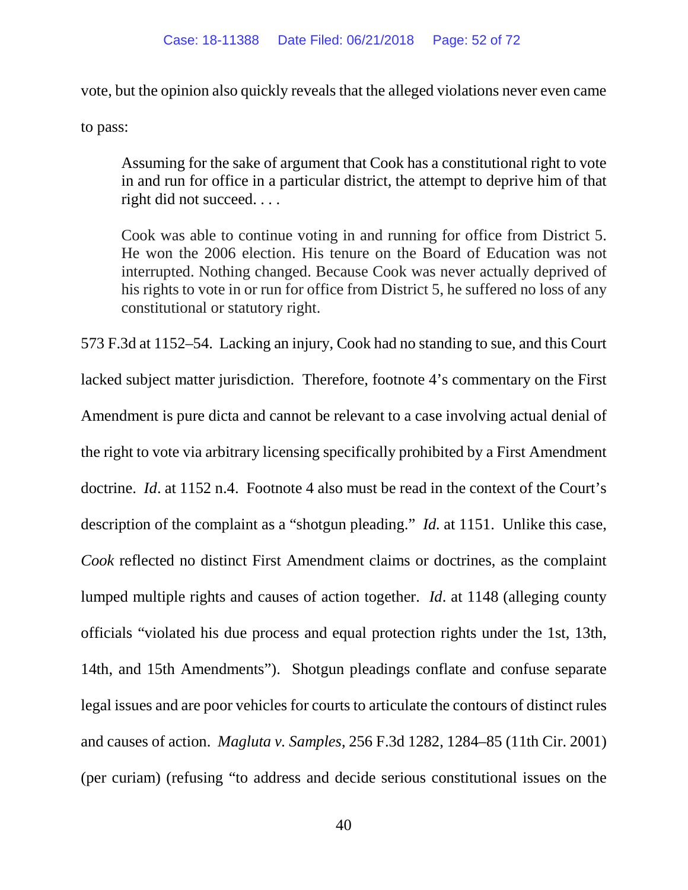vote, but the opinion also quickly reveals that the alleged violations never even came

to pass:

Assuming for the sake of argument that Cook has a constitutional right to vote in and run for office in a particular district, the attempt to deprive him of that right did not succeed. . . .

Cook was able to continue voting in and running for office from District 5. He won the 2006 election. His tenure on the Board of Education was not interrupted. Nothing changed. Because Cook was never actually deprived of his rights to vote in or run for office from District 5, he suffered no loss of any constitutional or statutory right.

573 F.3d at 1152–54. Lacking an injury, Cook had no standing to sue, and this Court lacked subject matter jurisdiction. Therefore, footnote 4's commentary on the First Amendment is pure dicta and cannot be relevant to a case involving actual denial of the right to vote via arbitrary licensing specifically prohibited by a First Amendment doctrine. *Id*. at 1152 n.4. Footnote 4 also must be read in the context of the Court's description of the complaint as a "shotgun pleading." *Id.* at 1151. Unlike this case, *Cook* reflected no distinct First Amendment claims or doctrines, as the complaint lumped multiple rights and causes of action together. *Id*. at 1148 (alleging county officials "violated his due process and equal protection rights under the 1st, 13th, 14th, and 15th Amendments"). Shotgun pleadings conflate and confuse separate legal issues and are poor vehicles for courts to articulate the contours of distinct rules and causes of action. *Magluta v. Samples*, 256 F.3d 1282, 1284–85 (11th Cir. 2001) (per curiam) (refusing "to address and decide serious constitutional issues on the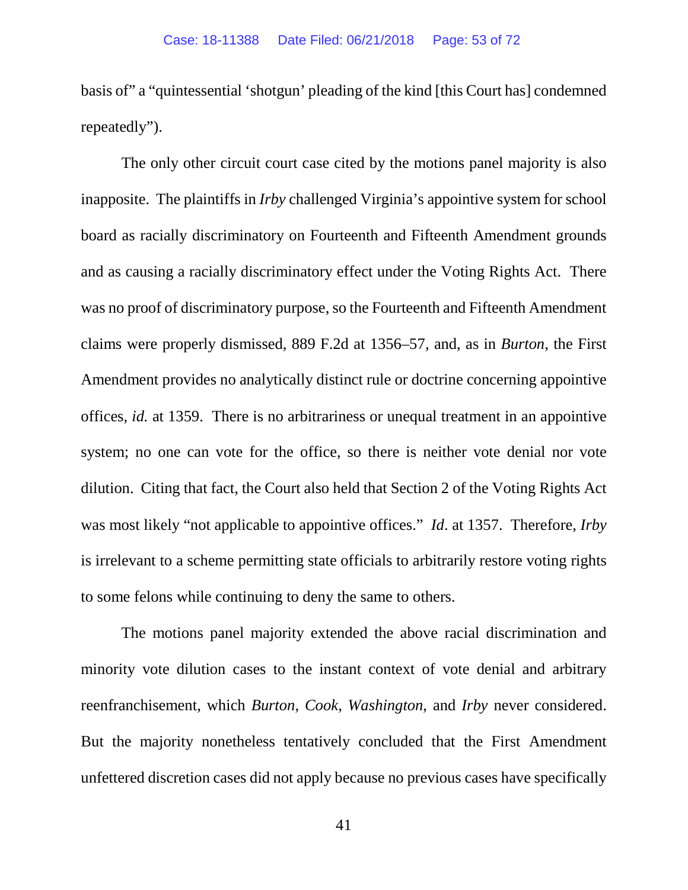basis of" a "quintessential 'shotgun' pleading of the kind [this Court has] condemned repeatedly").

The only other circuit court case cited by the motions panel majority is also inapposite. The plaintiffs in *Irby* challenged Virginia's appointive system for school board as racially discriminatory on Fourteenth and Fifteenth Amendment grounds and as causing a racially discriminatory effect under the Voting Rights Act. There was no proof of discriminatory purpose, so the Fourteenth and Fifteenth Amendment claims were properly dismissed, 889 F.2d at 1356–57, and, as in *Burton*, the First Amendment provides no analytically distinct rule or doctrine concerning appointive offices, *id.* at 1359. There is no arbitrariness or unequal treatment in an appointive system; no one can vote for the office, so there is neither vote denial nor vote dilution. Citing that fact, the Court also held that Section 2 of the Voting Rights Act was most likely "not applicable to appointive offices." *Id*. at 1357. Therefore, *Irby* is irrelevant to a scheme permitting state officials to arbitrarily restore voting rights to some felons while continuing to deny the same to others.

The motions panel majority extended the above racial discrimination and minority vote dilution cases to the instant context of vote denial and arbitrary reenfranchisement, which *Burton*, *Cook*, *Washington*, and *Irby* never considered. But the majority nonetheless tentatively concluded that the First Amendment unfettered discretion cases did not apply because no previous cases have specifically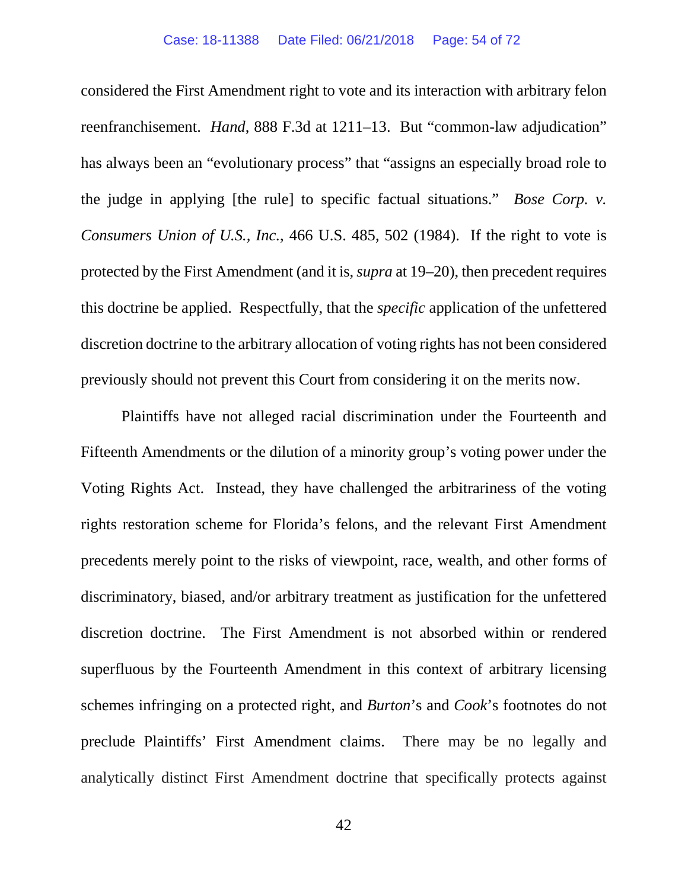considered the First Amendment right to vote and its interaction with arbitrary felon reenfranchisement. *Hand*, 888 F.3d at 1211–13. But "common-law adjudication" has always been an "evolutionary process" that "assigns an especially broad role to the judge in applying [the rule] to specific factual situations." *Bose Corp. v. Consumers Union of U.S., Inc.*, 466 U.S. 485, 502 (1984). If the right to vote is protected by the First Amendment (and it is, *supra* at 19–20), then precedent requires this doctrine be applied. Respectfully, that the *specific* application of the unfettered discretion doctrine to the arbitrary allocation of voting rights has not been considered previously should not prevent this Court from considering it on the merits now.

Plaintiffs have not alleged racial discrimination under the Fourteenth and Fifteenth Amendments or the dilution of a minority group's voting power under the Voting Rights Act. Instead, they have challenged the arbitrariness of the voting rights restoration scheme for Florida's felons, and the relevant First Amendment precedents merely point to the risks of viewpoint, race, wealth, and other forms of discriminatory, biased, and/or arbitrary treatment as justification for the unfettered discretion doctrine. The First Amendment is not absorbed within or rendered superfluous by the Fourteenth Amendment in this context of arbitrary licensing schemes infringing on a protected right, and *Burton*'s and *Cook*'s footnotes do not preclude Plaintiffs' First Amendment claims. There may be no legally and analytically distinct First Amendment doctrine that specifically protects against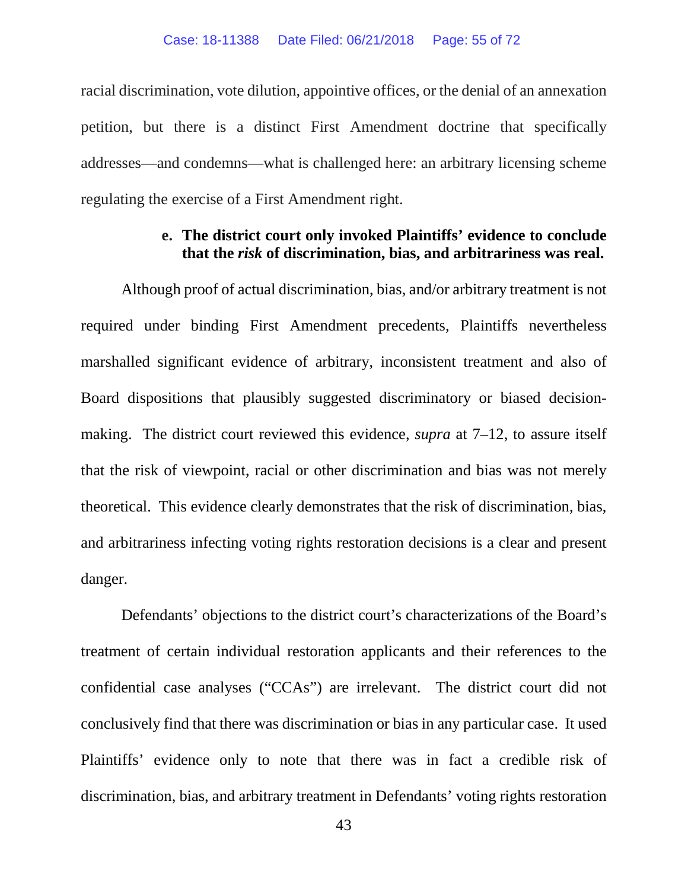racial discrimination, vote dilution, appointive offices, or the denial of an annexation petition, but there is a distinct First Amendment doctrine that specifically addresses—and condemns—what is challenged here: an arbitrary licensing scheme regulating the exercise of a First Amendment right.

### **e. The district court only invoked Plaintiffs' evidence to conclude that the** *risk* **of discrimination, bias, and arbitrariness was real.**

Although proof of actual discrimination, bias, and/or arbitrary treatment is not required under binding First Amendment precedents, Plaintiffs nevertheless marshalled significant evidence of arbitrary, inconsistent treatment and also of Board dispositions that plausibly suggested discriminatory or biased decisionmaking. The district court reviewed this evidence, *supra* at 7–12, to assure itself that the risk of viewpoint, racial or other discrimination and bias was not merely theoretical. This evidence clearly demonstrates that the risk of discrimination, bias, and arbitrariness infecting voting rights restoration decisions is a clear and present danger.

Defendants' objections to the district court's characterizations of the Board's treatment of certain individual restoration applicants and their references to the confidential case analyses ("CCAs") are irrelevant. The district court did not conclusively find that there was discrimination or bias in any particular case. It used Plaintiffs' evidence only to note that there was in fact a credible risk of discrimination, bias, and arbitrary treatment in Defendants' voting rights restoration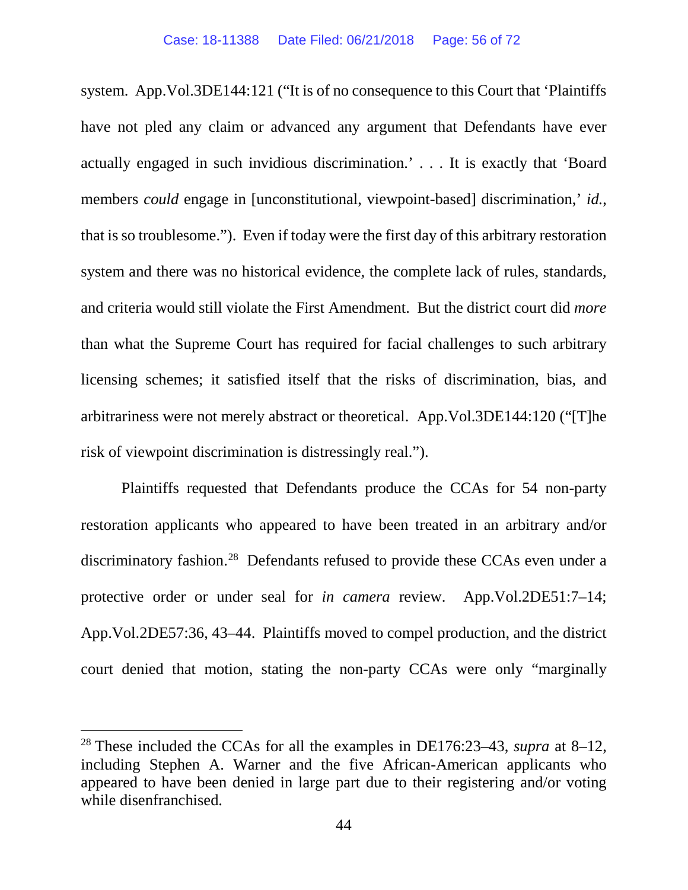system. App.Vol.3DE144:121 ("It is of no consequence to this Court that 'Plaintiffs have not pled any claim or advanced any argument that Defendants have ever actually engaged in such invidious discrimination.' . . . It is exactly that 'Board members *could* engage in [unconstitutional, viewpoint-based] discrimination,' *id.*, that is so troublesome."). Even if today were the first day of this arbitrary restoration system and there was no historical evidence, the complete lack of rules, standards, and criteria would still violate the First Amendment. But the district court did *more* than what the Supreme Court has required for facial challenges to such arbitrary licensing schemes; it satisfied itself that the risks of discrimination, bias, and arbitrariness were not merely abstract or theoretical. App.Vol.3DE144:120 ("[T]he risk of viewpoint discrimination is distressingly real.").

Plaintiffs requested that Defendants produce the CCAs for 54 non-party restoration applicants who appeared to have been treated in an arbitrary and/or discriminatory fashion.<sup>[28](#page-55-0)</sup> Defendants refused to provide these CCAs even under a protective order or under seal for *in camera* review. App.Vol.2DE51:7–14; App.Vol.2DE57:36, 43–44. Plaintiffs moved to compel production, and the district court denied that motion, stating the non-party CCAs were only "marginally

<span id="page-55-0"></span><sup>28</sup> These included the CCAs for all the examples in DE176:23–43, *supra* at 8–12, including Stephen A. Warner and the five African-American applicants who appeared to have been denied in large part due to their registering and/or voting while disenfranchised.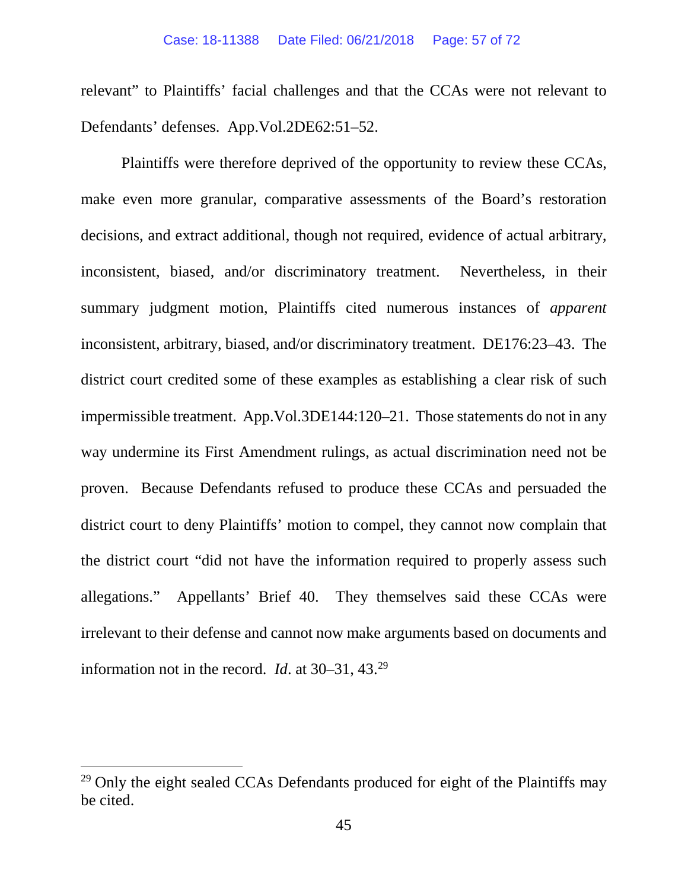relevant" to Plaintiffs' facial challenges and that the CCAs were not relevant to Defendants' defenses. App.Vol.2DE62:51–52.

Plaintiffs were therefore deprived of the opportunity to review these CCAs, make even more granular, comparative assessments of the Board's restoration decisions, and extract additional, though not required, evidence of actual arbitrary, inconsistent, biased, and/or discriminatory treatment. Nevertheless, in their summary judgment motion, Plaintiffs cited numerous instances of *apparent* inconsistent, arbitrary, biased, and/or discriminatory treatment. DE176:23–43. The district court credited some of these examples as establishing a clear risk of such impermissible treatment. App.Vol.3DE144:120–21. Those statements do not in any way undermine its First Amendment rulings, as actual discrimination need not be proven. Because Defendants refused to produce these CCAs and persuaded the district court to deny Plaintiffs' motion to compel, they cannot now complain that the district court "did not have the information required to properly assess such allegations." Appellants' Brief 40. They themselves said these CCAs were irrelevant to their defense and cannot now make arguments based on documents and information not in the record. *Id*. at 30–31, 43. [29](#page-56-0) 

<span id="page-56-0"></span><sup>&</sup>lt;sup>29</sup> Only the eight sealed CCAs Defendants produced for eight of the Plaintiffs may be cited.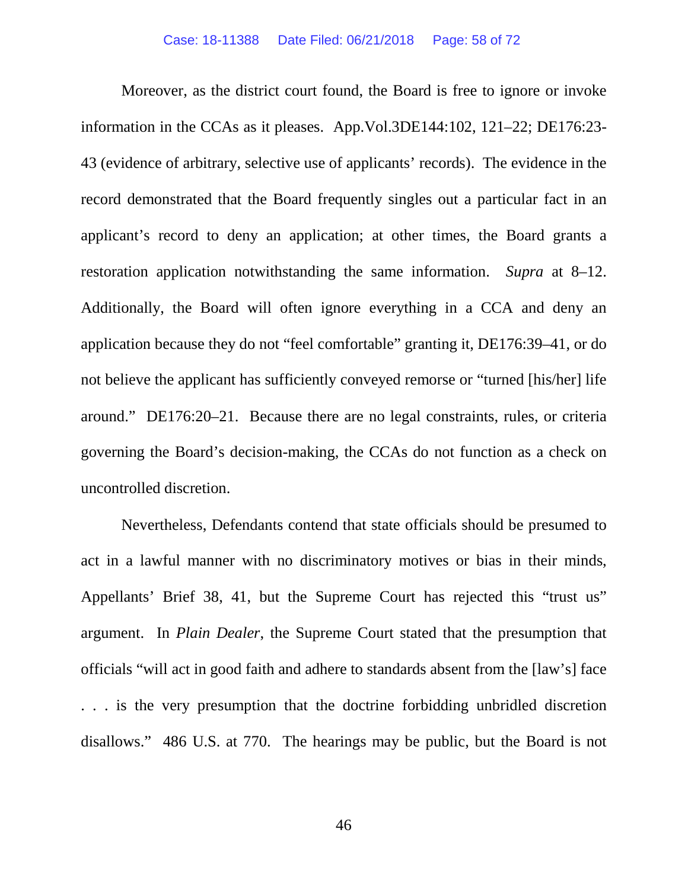Moreover, as the district court found, the Board is free to ignore or invoke information in the CCAs as it pleases. App.Vol.3DE144:102, 121–22; DE176:23- 43 (evidence of arbitrary, selective use of applicants' records). The evidence in the record demonstrated that the Board frequently singles out a particular fact in an applicant's record to deny an application; at other times, the Board grants a restoration application notwithstanding the same information. *Supra* at 8–12. Additionally, the Board will often ignore everything in a CCA and deny an application because they do not "feel comfortable" granting it, DE176:39–41, or do not believe the applicant has sufficiently conveyed remorse or "turned [his/her] life around." DE176:20–21. Because there are no legal constraints, rules, or criteria governing the Board's decision-making, the CCAs do not function as a check on uncontrolled discretion.

Nevertheless, Defendants contend that state officials should be presumed to act in a lawful manner with no discriminatory motives or bias in their minds, Appellants' Brief 38, 41, but the Supreme Court has rejected this "trust us" argument. In *Plain Dealer*, the Supreme Court stated that the presumption that officials "will act in good faith and adhere to standards absent from the [law's] face . . . is the very presumption that the doctrine forbidding unbridled discretion disallows." 486 U.S. at 770. The hearings may be public, but the Board is not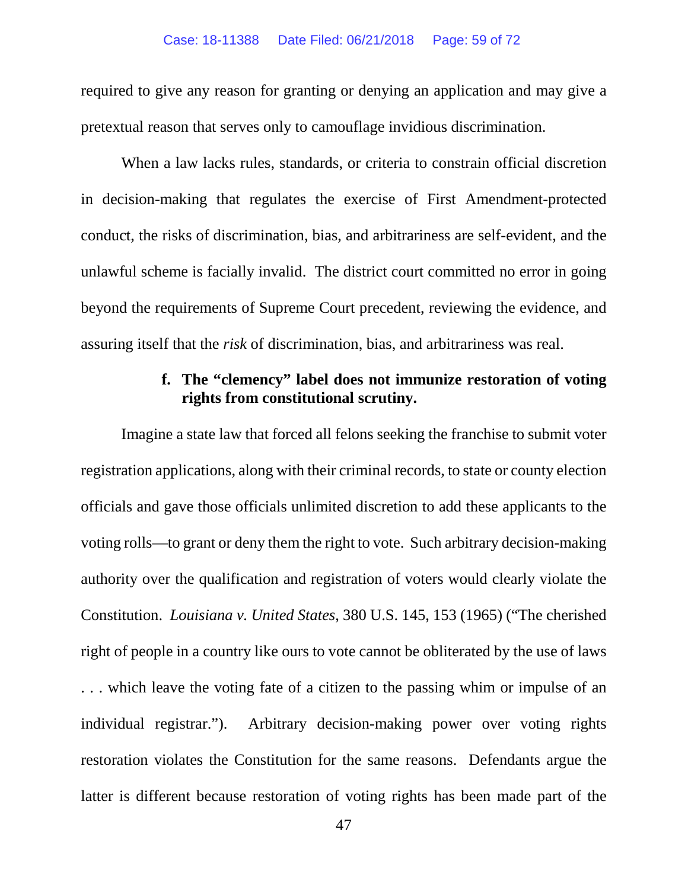required to give any reason for granting or denying an application and may give a pretextual reason that serves only to camouflage invidious discrimination.

When a law lacks rules, standards, or criteria to constrain official discretion in decision-making that regulates the exercise of First Amendment-protected conduct, the risks of discrimination, bias, and arbitrariness are self-evident, and the unlawful scheme is facially invalid. The district court committed no error in going beyond the requirements of Supreme Court precedent, reviewing the evidence, and assuring itself that the *risk* of discrimination, bias, and arbitrariness was real.

## **f. The "clemency" label does not immunize restoration of voting rights from constitutional scrutiny.**

Imagine a state law that forced all felons seeking the franchise to submit voter registration applications, along with their criminal records, to state or county election officials and gave those officials unlimited discretion to add these applicants to the voting rolls—to grant or deny them the right to vote. Such arbitrary decision-making authority over the qualification and registration of voters would clearly violate the Constitution. *Louisiana v. United States*, 380 U.S. 145, 153 (1965) ("The cherished right of people in a country like ours to vote cannot be obliterated by the use of laws . . . which leave the voting fate of a citizen to the passing whim or impulse of an individual registrar."). Arbitrary decision-making power over voting rights restoration violates the Constitution for the same reasons. Defendants argue the latter is different because restoration of voting rights has been made part of the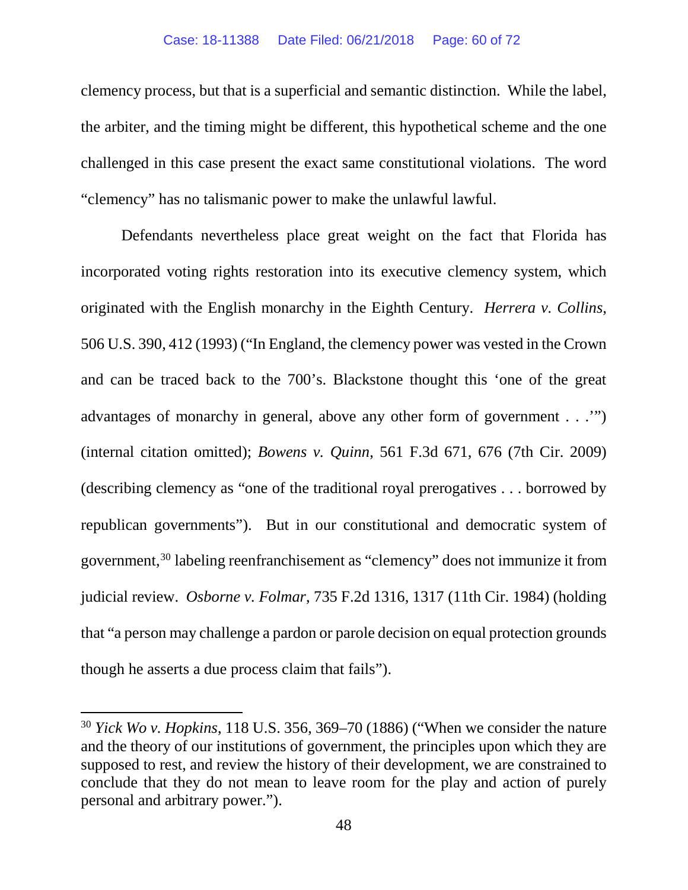clemency process, but that is a superficial and semantic distinction. While the label, the arbiter, and the timing might be different, this hypothetical scheme and the one challenged in this case present the exact same constitutional violations. The word "clemency" has no talismanic power to make the unlawful lawful.

Defendants nevertheless place great weight on the fact that Florida has incorporated voting rights restoration into its executive clemency system, which originated with the English monarchy in the Eighth Century. *Herrera v. Collins*, 506 U.S. 390, 412 (1993) ("In England, the clemency power was vested in the Crown and can be traced back to the 700's. Blackstone thought this 'one of the great advantages of monarchy in general, above any other form of government . . .'") (internal citation omitted); *Bowens v. Quinn*, 561 F.3d 671, 676 (7th Cir. 2009) (describing clemency as "one of the traditional royal prerogatives . . . borrowed by republican governments"). But in our constitutional and democratic system of government,[30](#page-59-0) labeling reenfranchisement as "clemency" does not immunize it from judicial review. *Osborne v. Folmar*, 735 F.2d 1316, 1317 (11th Cir. 1984) (holding that "a person may challenge a pardon or parole decision on equal protection grounds though he asserts a due process claim that fails").

<span id="page-59-0"></span><sup>30</sup> *Yick Wo v. Hopkins*, 118 U.S. 356, 369–70 (1886) ("When we consider the nature and the theory of our institutions of government, the principles upon which they are supposed to rest, and review the history of their development, we are constrained to conclude that they do not mean to leave room for the play and action of purely personal and arbitrary power.").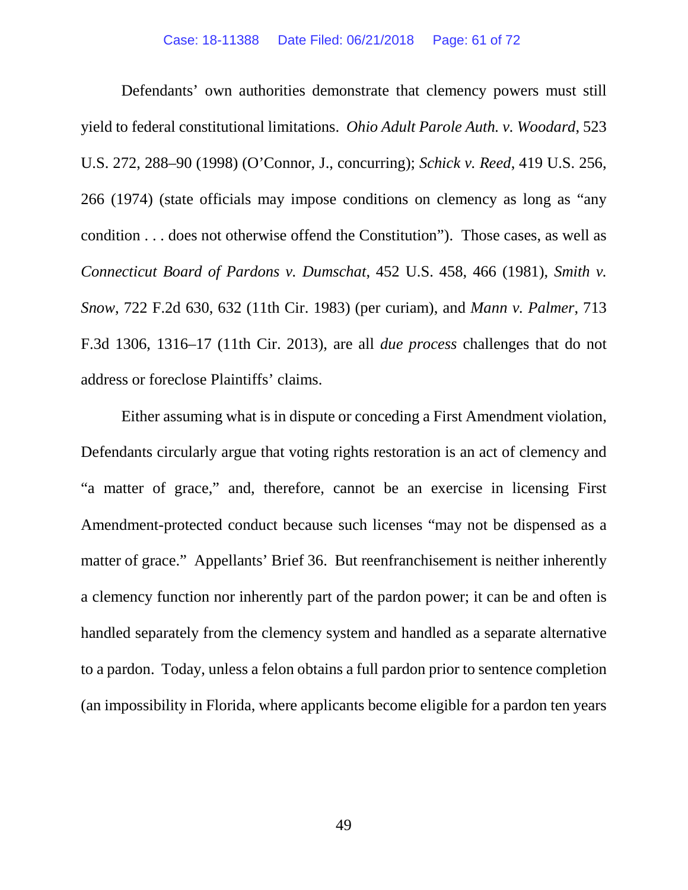Defendants' own authorities demonstrate that clemency powers must still yield to federal constitutional limitations. *Ohio Adult Parole Auth. v. Woodard*, 523 U.S. 272, 288–90 (1998) (O'Connor, J., concurring); *Schick v. Reed*, 419 U.S. 256, 266 (1974) (state officials may impose conditions on clemency as long as "any condition . . . does not otherwise offend the Constitution"). Those cases, as well as *Connecticut Board of Pardons v. Dumschat*, 452 U.S. 458, 466 (1981), *Smith v. Snow*, 722 F.2d 630, 632 (11th Cir. 1983) (per curiam), and *Mann v. Palmer*, 713 F.3d 1306, 1316–17 (11th Cir. 2013), are all *due process* challenges that do not address or foreclose Plaintiffs' claims.

Either assuming what is in dispute or conceding a First Amendment violation, Defendants circularly argue that voting rights restoration is an act of clemency and "a matter of grace," and, therefore, cannot be an exercise in licensing First Amendment-protected conduct because such licenses "may not be dispensed as a matter of grace." Appellants' Brief 36. But reenfranchisement is neither inherently a clemency function nor inherently part of the pardon power; it can be and often is handled separately from the clemency system and handled as a separate alternative to a pardon. Today, unless a felon obtains a full pardon prior to sentence completion (an impossibility in Florida, where applicants become eligible for a pardon ten years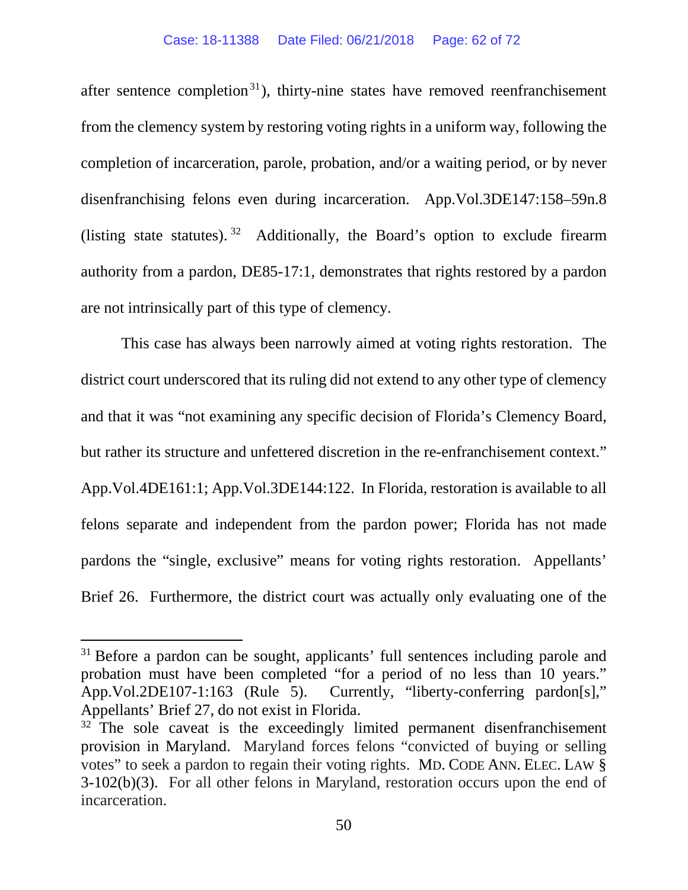after sentence completion<sup>[31](#page-61-0)</sup>), thirty-nine states have removed reenfranchisement from the clemency system by restoring voting rights in a uniform way, following the completion of incarceration, parole, probation, and/or a waiting period, or by never disenfranchising felons even during incarceration. App.Vol.3DE147:158–59n.8 (listing state statutes).  $32$  Additionally, the Board's option to exclude firearm authority from a pardon, DE85-17:1, demonstrates that rights restored by a pardon are not intrinsically part of this type of clemency.

This case has always been narrowly aimed at voting rights restoration. The district court underscored that its ruling did not extend to any other type of clemency and that it was "not examining any specific decision of Florida's Clemency Board, but rather its structure and unfettered discretion in the re-enfranchisement context." App.Vol.4DE161:1; App.Vol.3DE144:122. In Florida, restoration is available to all felons separate and independent from the pardon power; Florida has not made pardons the "single, exclusive" means for voting rights restoration. Appellants' Brief 26. Furthermore, the district court was actually only evaluating one of the

<span id="page-61-0"></span> $31$  Before a pardon can be sought, applicants' full sentences including parole and probation must have been completed "for a period of no less than 10 years." App.Vol.2DE107-1:163 (Rule 5). Currently, "liberty-conferring pardon[s]," Appellants' Brief 27, do not exist in Florida.

<span id="page-61-1"></span><sup>&</sup>lt;sup>32</sup> The sole caveat is the exceedingly limited permanent disenfranchisement provision in Maryland. Maryland forces felons "convicted of buying or selling votes" to seek a pardon to regain their voting rights. MD. CODE ANN. ELEC. LAW § 3-102(b)(3). For all other felons in Maryland, restoration occurs upon the end of incarceration.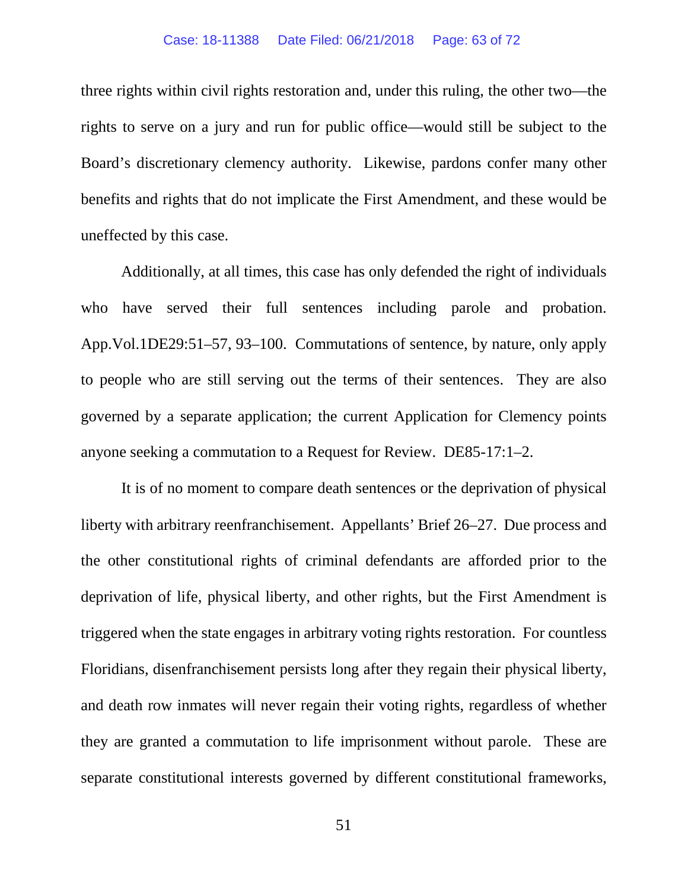#### Case: 18-11388 Date Filed: 06/21/2018 Page: 63 of 72

three rights within civil rights restoration and, under this ruling, the other two—the rights to serve on a jury and run for public office—would still be subject to the Board's discretionary clemency authority. Likewise, pardons confer many other benefits and rights that do not implicate the First Amendment, and these would be uneffected by this case.

Additionally, at all times, this case has only defended the right of individuals who have served their full sentences including parole and probation. App.Vol.1DE29:51–57, 93–100. Commutations of sentence, by nature, only apply to people who are still serving out the terms of their sentences. They are also governed by a separate application; the current Application for Clemency points anyone seeking a commutation to a Request for Review. DE85-17:1–2.

It is of no moment to compare death sentences or the deprivation of physical liberty with arbitrary reenfranchisement. Appellants' Brief 26–27. Due process and the other constitutional rights of criminal defendants are afforded prior to the deprivation of life, physical liberty, and other rights, but the First Amendment is triggered when the state engages in arbitrary voting rights restoration. For countless Floridians, disenfranchisement persists long after they regain their physical liberty, and death row inmates will never regain their voting rights, regardless of whether they are granted a commutation to life imprisonment without parole. These are separate constitutional interests governed by different constitutional frameworks,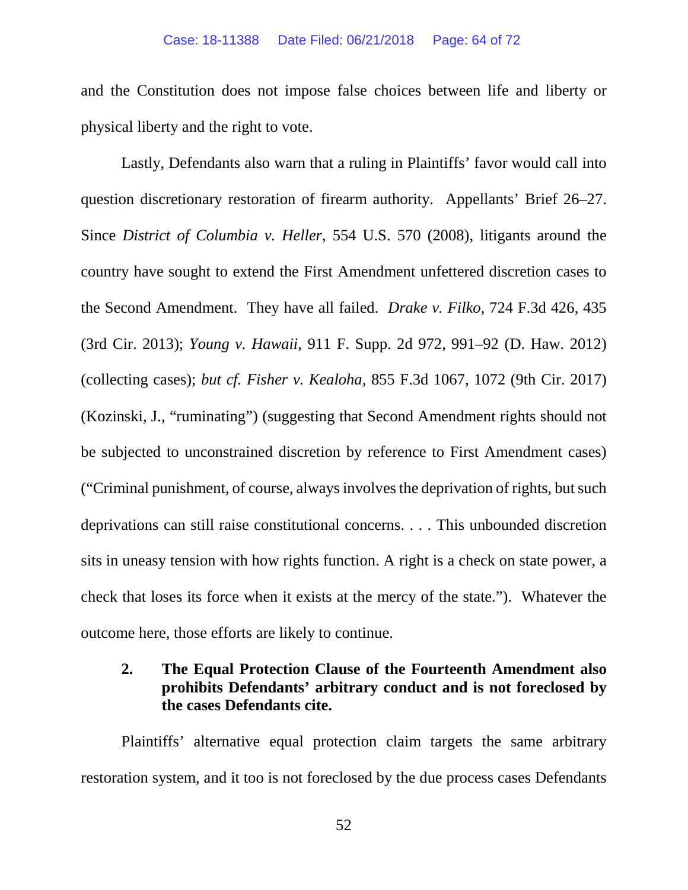and the Constitution does not impose false choices between life and liberty or physical liberty and the right to vote.

Lastly, Defendants also warn that a ruling in Plaintiffs' favor would call into question discretionary restoration of firearm authority. Appellants' Brief 26–27. Since *District of Columbia v. Heller*, 554 U.S. 570 (2008), litigants around the country have sought to extend the First Amendment unfettered discretion cases to the Second Amendment. They have all failed. *Drake v. Filko*, 724 F.3d 426, 435 (3rd Cir. 2013); *Young v. Hawaii*, 911 F. Supp. 2d 972, 991–92 (D. Haw. 2012) (collecting cases); *but cf. Fisher v. Kealoha*, 855 F.3d 1067, 1072 (9th Cir. 2017) (Kozinski, J., "ruminating") (suggesting that Second Amendment rights should not be subjected to unconstrained discretion by reference to First Amendment cases) ("Criminal punishment, of course, always involves the deprivation of rights, but such deprivations can still raise constitutional concerns. . . . This unbounded discretion sits in uneasy tension with how rights function. A right is a check on state power, a check that loses its force when it exists at the mercy of the state."). Whatever the outcome here, those efforts are likely to continue.

## **2. The Equal Protection Clause of the Fourteenth Amendment also prohibits Defendants' arbitrary conduct and is not foreclosed by the cases Defendants cite.**

Plaintiffs' alternative equal protection claim targets the same arbitrary restoration system, and it too is not foreclosed by the due process cases Defendants

52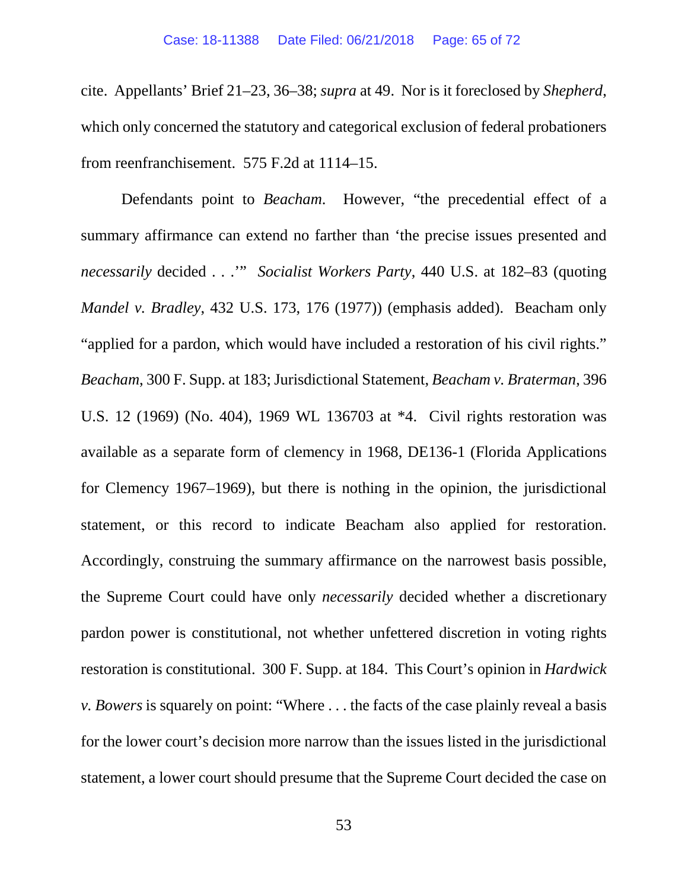cite. Appellants' Brief 21–23, 36–38; *supra* at 49. Nor is it foreclosed by *Shepherd*, which only concerned the statutory and categorical exclusion of federal probationers from reenfranchisement. 575 F.2d at 1114–15.

Defendants point to *Beacham*. However, "the precedential effect of a summary affirmance can extend no farther than 'the precise issues presented and *necessarily* decided . . .'" *Socialist Workers Party*, 440 U.S. at 182–83 (quoting *Mandel v. Bradley*, 432 U.S. 173, 176 (1977)) (emphasis added). Beacham only "applied for a pardon, which would have included a restoration of his civil rights." *Beacham*, 300 F. Supp. at 183; Jurisdictional Statement, *Beacham v. Braterman*, 396 U.S. 12 (1969) (No. 404), 1969 WL 136703 at \*4. Civil rights restoration was available as a separate form of clemency in 1968, DE136-1 (Florida Applications for Clemency 1967–1969), but there is nothing in the opinion, the jurisdictional statement, or this record to indicate Beacham also applied for restoration. Accordingly, construing the summary affirmance on the narrowest basis possible, the Supreme Court could have only *necessarily* decided whether a discretionary pardon power is constitutional, not whether unfettered discretion in voting rights restoration is constitutional. 300 F. Supp. at 184. This Court's opinion in *Hardwick v. Bowers* is squarely on point: "Where . . . the facts of the case plainly reveal a basis for the lower court's decision more narrow than the issues listed in the jurisdictional statement, a lower court should presume that the Supreme Court decided the case on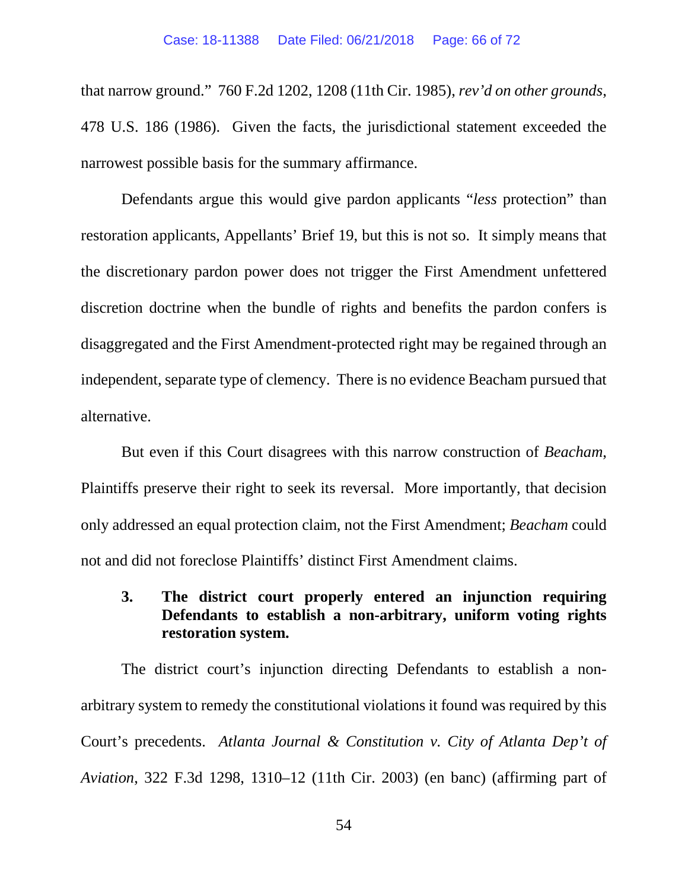that narrow ground." 760 F.2d 1202, 1208 (11th Cir. 1985), *rev'd on other grounds*, 478 U.S. 186 (1986). Given the facts, the jurisdictional statement exceeded the narrowest possible basis for the summary affirmance.

Defendants argue this would give pardon applicants "*less* protection" than restoration applicants, Appellants' Brief 19, but this is not so. It simply means that the discretionary pardon power does not trigger the First Amendment unfettered discretion doctrine when the bundle of rights and benefits the pardon confers is disaggregated and the First Amendment-protected right may be regained through an independent, separate type of clemency. There is no evidence Beacham pursued that alternative.

But even if this Court disagrees with this narrow construction of *Beacham*, Plaintiffs preserve their right to seek its reversal. More importantly, that decision only addressed an equal protection claim, not the First Amendment; *Beacham* could not and did not foreclose Plaintiffs' distinct First Amendment claims.

**3. The district court properly entered an injunction requiring Defendants to establish a non-arbitrary, uniform voting rights restoration system.**

The district court's injunction directing Defendants to establish a nonarbitrary system to remedy the constitutional violations it found was required by this Court's precedents. *Atlanta Journal & Constitution v. City of Atlanta Dep't of Aviation*, 322 F.3d 1298, 1310–12 (11th Cir. 2003) (en banc) (affirming part of

54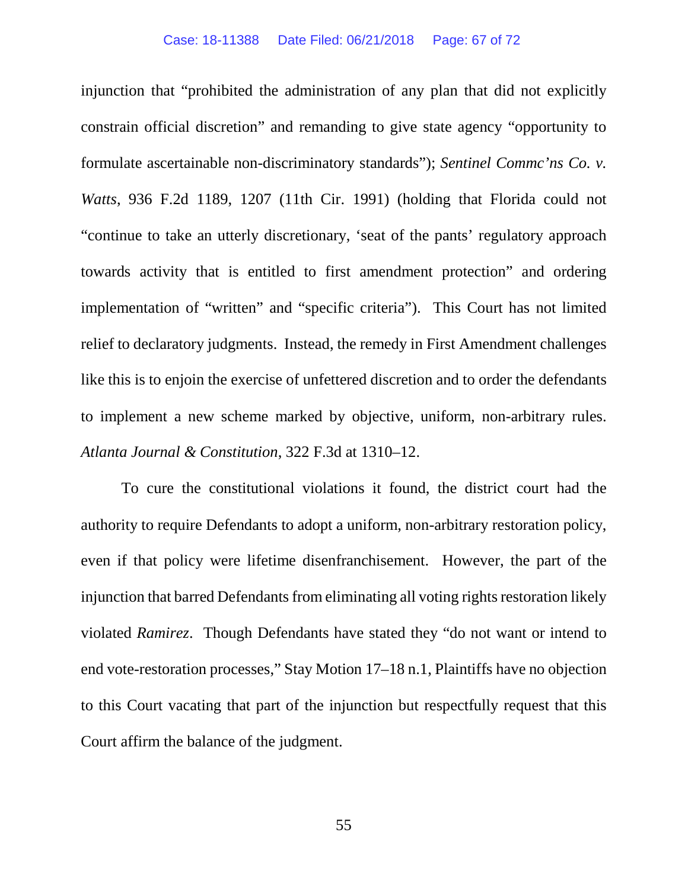injunction that "prohibited the administration of any plan that did not explicitly constrain official discretion" and remanding to give state agency "opportunity to formulate ascertainable non-discriminatory standards"); *Sentinel Commc'ns Co. v. Watts*, 936 F.2d 1189, 1207 (11th Cir. 1991) (holding that Florida could not "continue to take an utterly discretionary, 'seat of the pants' regulatory approach towards activity that is entitled to first amendment protection" and ordering implementation of "written" and "specific criteria"). This Court has not limited relief to declaratory judgments. Instead, the remedy in First Amendment challenges like this is to enjoin the exercise of unfettered discretion and to order the defendants to implement a new scheme marked by objective, uniform, non-arbitrary rules. *Atlanta Journal & Constitution*, 322 F.3d at 1310–12.

To cure the constitutional violations it found, the district court had the authority to require Defendants to adopt a uniform, non-arbitrary restoration policy, even if that policy were lifetime disenfranchisement. However, the part of the injunction that barred Defendants from eliminating all voting rights restoration likely violated *Ramirez*. Though Defendants have stated they "do not want or intend to end vote-restoration processes," Stay Motion 17–18 n.1, Plaintiffs have no objection to this Court vacating that part of the injunction but respectfully request that this Court affirm the balance of the judgment.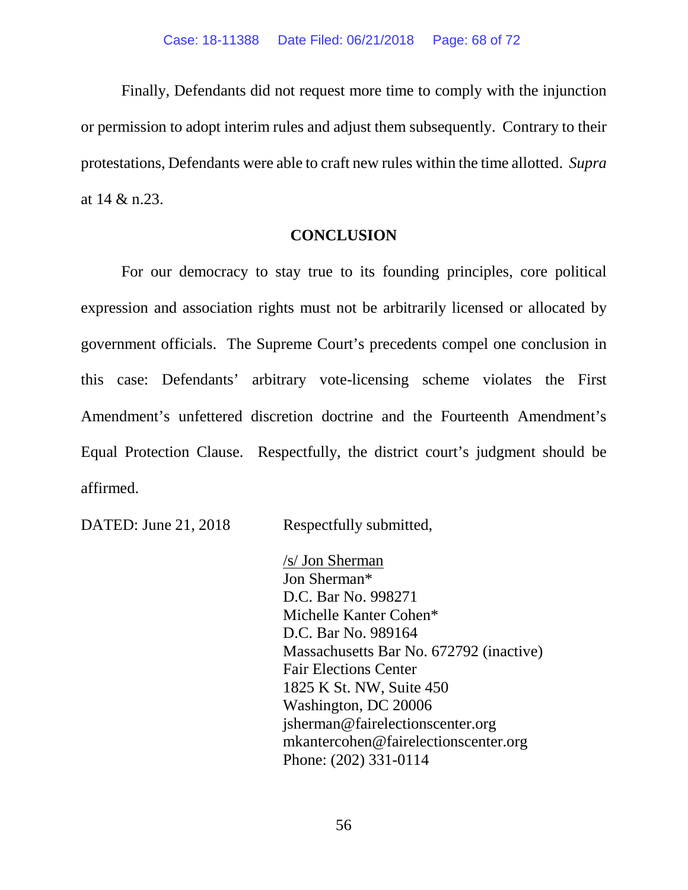Finally, Defendants did not request more time to comply with the injunction or permission to adopt interim rules and adjust them subsequently. Contrary to their protestations, Defendants were able to craft new rules within the time allotted. *Supra* at 14 & n.23.

#### **CONCLUSION**

For our democracy to stay true to its founding principles, core political expression and association rights must not be arbitrarily licensed or allocated by government officials. The Supreme Court's precedents compel one conclusion in this case: Defendants' arbitrary vote-licensing scheme violates the First Amendment's unfettered discretion doctrine and the Fourteenth Amendment's Equal Protection Clause. Respectfully, the district court's judgment should be affirmed.

DATED: June 21, 2018 Respectfully submitted,

/s/ Jon Sherman Jon Sherman\* D.C. Bar No. 998271 Michelle Kanter Cohen\* D.C. Bar No. 989164 Massachusetts Bar No. 672792 (inactive) Fair Elections Center 1825 K St. NW, Suite 450 Washington, DC 20006 jsherman@fairelectionscenter.org mkantercohen@fairelectionscenter.org Phone: (202) 331-0114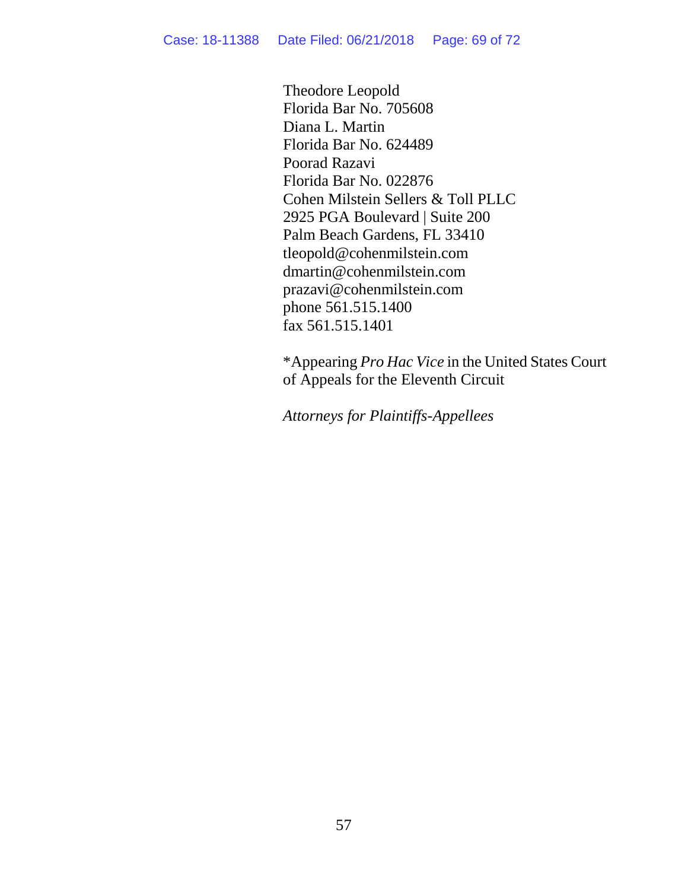Theodore Leopold Florida Bar No. 705608 Diana L. Martin Florida Bar No. 624489 Poorad Razavi Florida Bar No. 022876 Cohen Milstein Sellers & Toll PLLC 2925 PGA Boulevard | Suite 200 Palm Beach Gardens, FL 33410 tleopold@cohenmilstein.com dmartin@cohenmilstein.com prazavi@cohenmilstein.com phone 561.515.1400 fax 561.515.1401

\*Appearing *Pro Hac Vice* in the United States Court of Appeals for the Eleventh Circuit

*Attorneys for Plaintiffs-Appellees*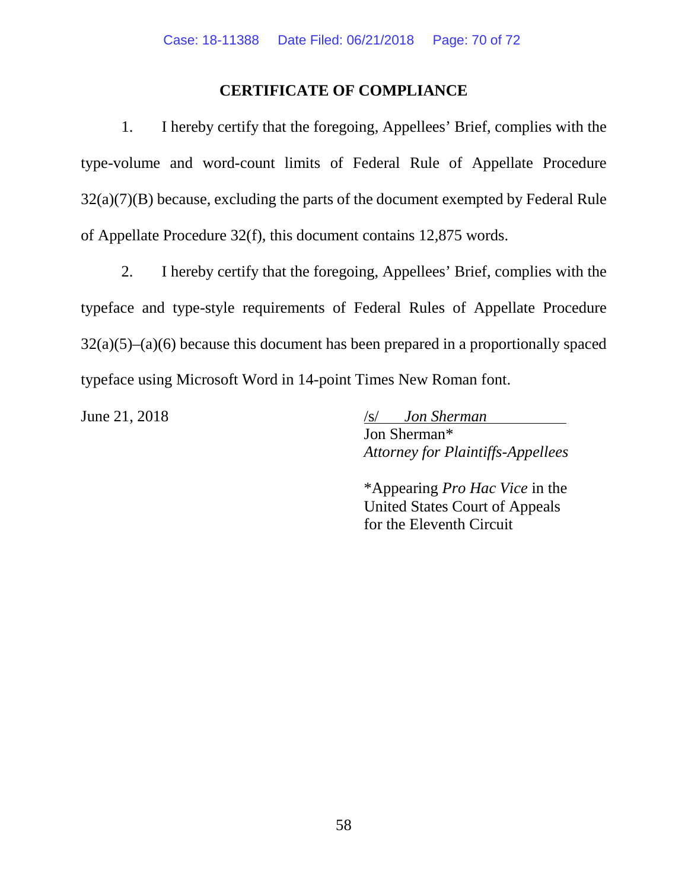#### **CERTIFICATE OF COMPLIANCE**

1. I hereby certify that the foregoing, Appellees' Brief, complies with the type-volume and word-count limits of Federal Rule of Appellate Procedure 32(a)(7)(B) because, excluding the parts of the document exempted by Federal Rule of Appellate Procedure 32(f), this document contains 12,875 words.

2. I hereby certify that the foregoing, Appellees' Brief, complies with the typeface and type-style requirements of Federal Rules of Appellate Procedure 32(a)(5)–(a)(6) because this document has been prepared in a proportionally spaced typeface using Microsoft Word in 14-point Times New Roman font.

June 21, 2018 /s/ *Jon Sherman* Jon Sherman\* *Attorney for Plaintiffs-Appellees*

> \*Appearing *Pro Hac Vice* in the United States Court of Appeals for the Eleventh Circuit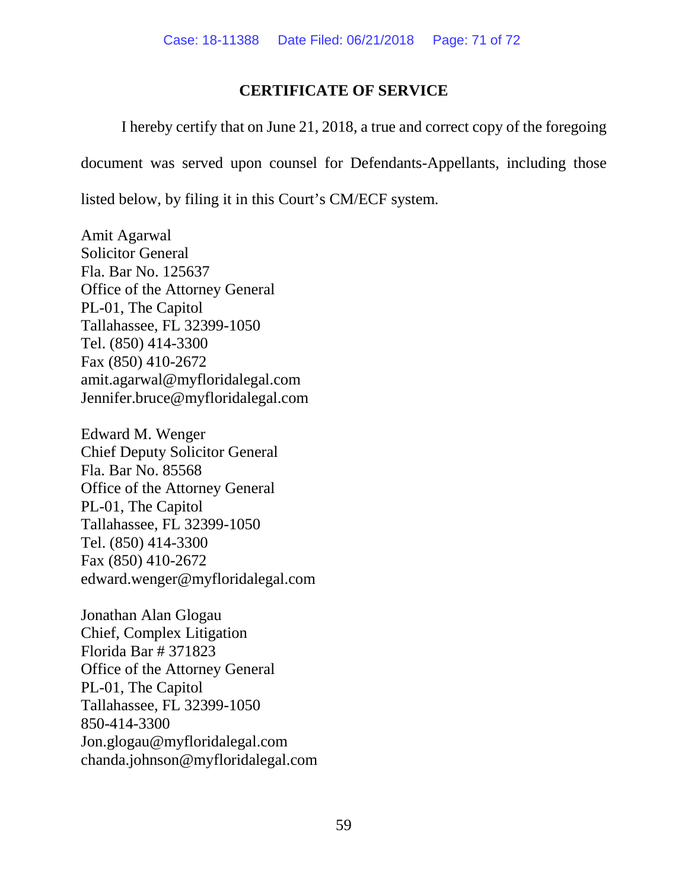## **CERTIFICATE OF SERVICE**

I hereby certify that on June 21, 2018, a true and correct copy of the foregoing document was served upon counsel for Defendants-Appellants, including those listed below, by filing it in this Court's CM/ECF system.

Amit Agarwal Solicitor General Fla. Bar No. 125637 Office of the Attorney General PL-01, The Capitol Tallahassee, FL 32399-1050 Tel. (850) 414-3300 Fax (850) 410-2672 amit.agarwal@myfloridalegal.com Jennifer.bruce@myfloridalegal.com

Edward M. Wenger Chief Deputy Solicitor General Fla. Bar No. 85568 Office of the Attorney General PL-01, The Capitol Tallahassee, FL 32399-1050 Tel. (850) 414-3300 Fax (850) 410-2672 edward.wenger@myfloridalegal.com

Jonathan Alan Glogau Chief, Complex Litigation Florida Bar # 371823 Office of the Attorney General PL-01, The Capitol Tallahassee, FL 32399-1050 850-414-3300 Jon.glogau@myfloridalegal.com chanda.johnson@myfloridalegal.com